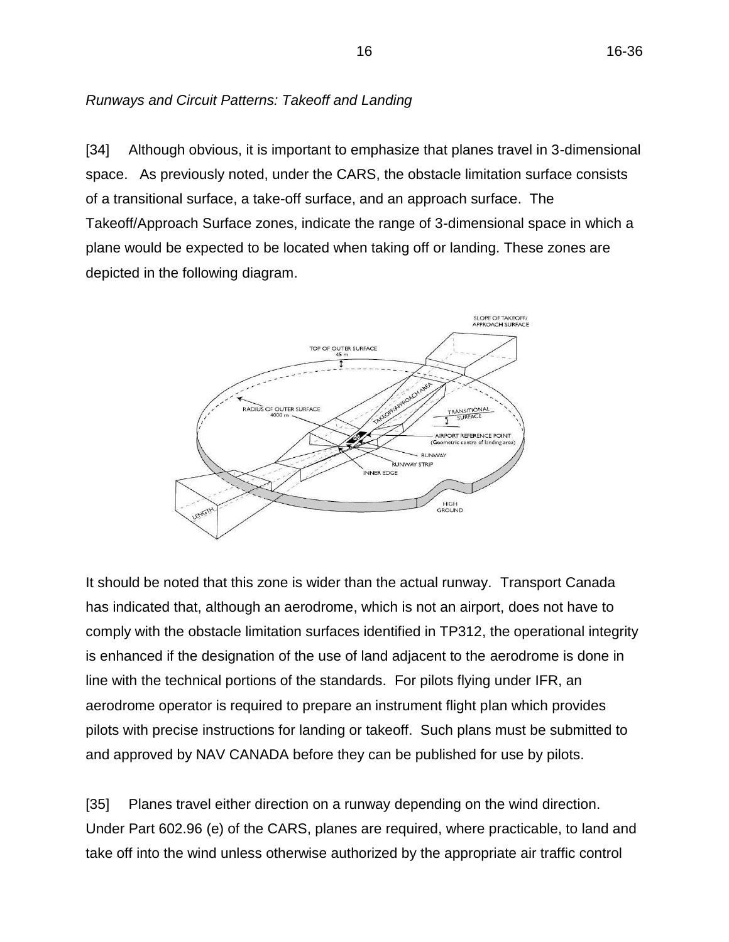# **Environmental Review Tribunal**

Tribunal de l'environnement



**ISSUE DATE:** October 07, 2016 **CASE NO.:** 16-036

Kevin Elwood, Gail Elwood and

Preserve Clearview Inc.

**Clearview** 

Corporation of the County of Simcoe and Town of Collingwood

Corporation of the Township of

**PROCEEDING COMMENCED UNDER** section 142.1(2) of the *Environmental Protection Act*, R.S.O. 1990, c.E.19, as amended

| Appellant:<br>Approval Holder:<br>Respondent: | See Appendix 1 - Appellant List<br>wpd Fairview Wind Incorporated<br>Director, Ministry of the Environment and Climate<br>Change |
|-----------------------------------------------|----------------------------------------------------------------------------------------------------------------------------------|
| Subject of appeal:                            | Renewable Energy Approval for Fairview Wind<br>Project                                                                           |
| Reference No.:                                | 3948-9RDLRF                                                                                                                      |
| <b>Property Address/Description:</b>          | various sites                                                                                                                    |
| Municipality:                                 | <b>Township of Clearview</b>                                                                                                     |
| <b>Upper Tier:</b>                            | <b>County of Simcoe</b>                                                                                                          |
| ERT Case No.:                                 | 16-036                                                                                                                           |
| <b>ERT Case Name:</b>                         | Wiggins v. Ontario (Environment and Climate<br>Change)                                                                           |
| Heard:                                        | May 16 to 19, and May 30 to June 3, 2016 in<br>Collingwood, Ontario                                                              |
| <b>APPEARANCES:</b>                           |                                                                                                                                  |
| <b>Parties</b>                                | Counsel/Representative <sup>+</sup>                                                                                              |
| John Wiggins                                  | Eric Gillespie and Priya Vittal                                                                                                  |
|                                               |                                                                                                                                  |

Petersen

Konstantine J. Stavrakos

Julie Abouchar, Richard Butler and Nicole

Harold Elston and Aynsley Andersen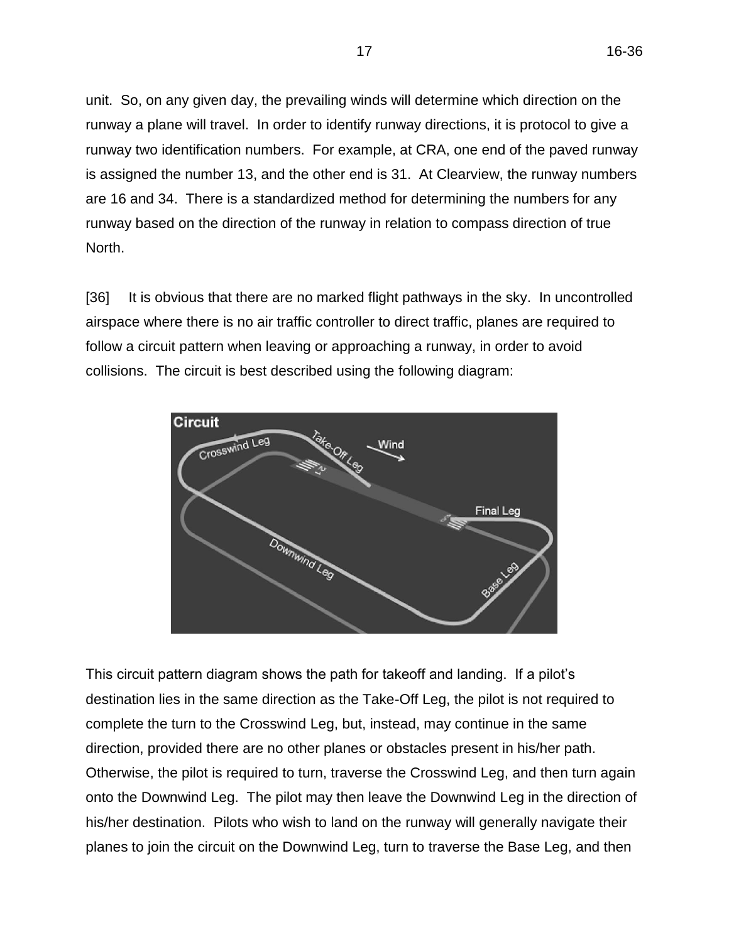| wpd Fairview Wind Incorporated                                                        | John Richardson and Nedko Petkov       |
|---------------------------------------------------------------------------------------|----------------------------------------|
| Director, Ministry of the<br><b>Environment and Climate Change</b>                    | <b>Andrea Huckins and Sylvia Davis</b> |
| <b>Participant</b>                                                                    |                                        |
| <b>Canadian Owners and Pilots</b><br>Association                                      | <b>Glenn Grenier</b>                   |
| <b>Presenters</b>                                                                     |                                        |
| <b>Collingwood Flying Club</b>                                                        | George E. Daniels <sup>+</sup>         |
| Susan Richardson, Mandy<br>Bridson, Stephen Bridson, and<br><b>Elizabeth Marshall</b> | Self-represented                       |

# **ORDER DELIVERED BY DIRK VANDERBENT AND HUGH S. WILKINS**

# **REASONS**

## **Background**

[1] On February 11, 2016, Mohsen Keyvani, Director, Ministry of the Environment and Climate Change ("MOECC") issued Renewable Energy Approval No. 3948- 9RDLRF (the "REA") to wpd Fairview Wind Incorporated (the "Approval Holder"), granting approval for the construction, installation, operation, use and retiring of a Class 4 wind facility with eight wind turbines and a total name plate capacity of 16.4 megawatts (the "Project"). The Project is proposed to be located in Clearview Township, Simcoe County, Ontario (the "Project site").

[2] On February 19, 2016, John Wiggins, and on February 26, 2016, Gail Elwood, Kevin Elwood, Preserve Clearview Inc., the Corporation of the County of Simcoe ("Simcoe"), the Corporation of the Township of Clearview ("Township of Clearview"), and the Town of Collingwood ("Collingwood") (jointly "the Appellants") appealed the REA to the Environmental Review Tribunal (the "Tribunal") under s. 142.1(2) of the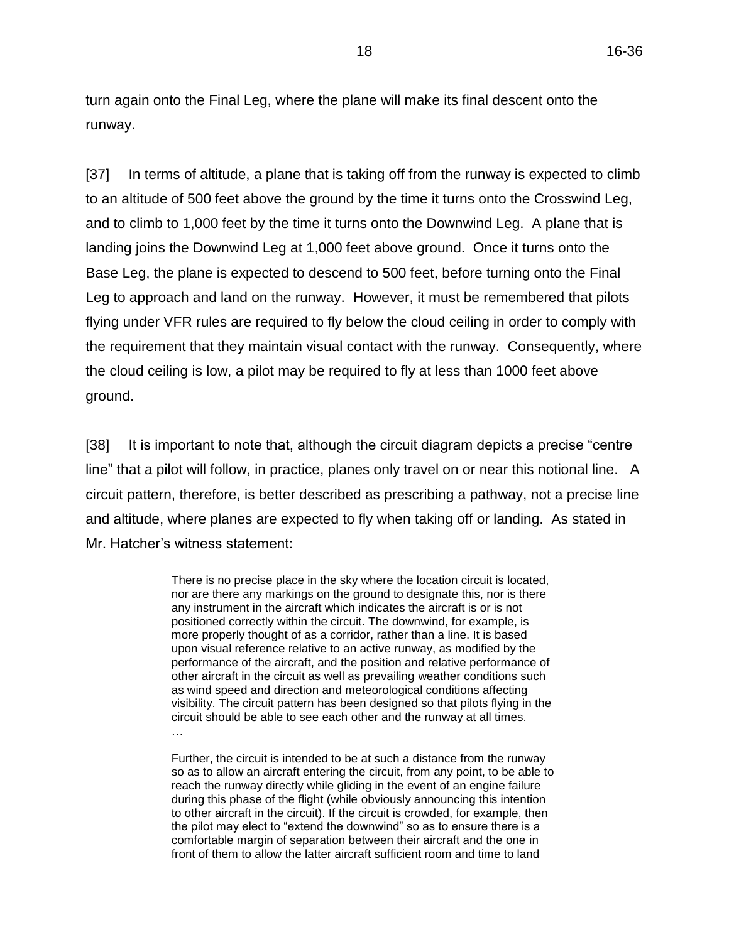*Environmental Protection Act* ("*EPA*"). Each Appellant appealed on the grounds that the Project will cause serious harm to human health and serious and irreversible harm to plant life, animal life and the natural environment.

[3] In overview, respecting harm to human health, it is the Appellants' position that the proposed location of the wind turbines, which are in close proximity to the takeoff and landing areas of two aerodromes, the Collingwood Regional Airport ("CRA") and Clearview Field, Stayner ("Clearview"), will result in airplane accidents that will result in serious injury or death. The Director and the Approval Holder disagree. Respecting serious and irreversible harm to animal life, the Appellants take the position that the proposed wind turbines in the Project will result in collision mortalities for hibernating bat species, including little brown myotis (*Myotis lucifugus*), northern myotis (*Myotis septentrionalis*), and eastern small-footed myotis (*Myotis leibii*), which are all listed as endangered under the *Endangered Species Act, 2007* ("*ESA*"). The Appellants maintain that such collision mortalities will further accelerate the decline of these species' populations, and further reduce their numbers in the vicinity of the Project site leading to local extirpation. Again, the Director and the Approval Holder disagree.

[4] The parties completed the presentation of their evidence in the main hearing on June 3, 2016. The Tribunal subsequently issued an Order, dated June 16, 2016, adjourning the proceeding for 64 days under O. Reg. 359/09, s. 59(2)1.ii. In light of this adjournment, under s. 145.2.1(6) of the *EPA* the due date for disposing of this hearing was revised to October 21, 2016.

[5] For the reasons that follow, the Tribunal finds that the Appellants have satisfied the health and environment tests under s. 145.2.1(2)(a) and (b) of the *EPA* and further adjourns this hearing under O. Reg. 359/09, s. 59(2)1.ii to determine the next steps in this proceeding.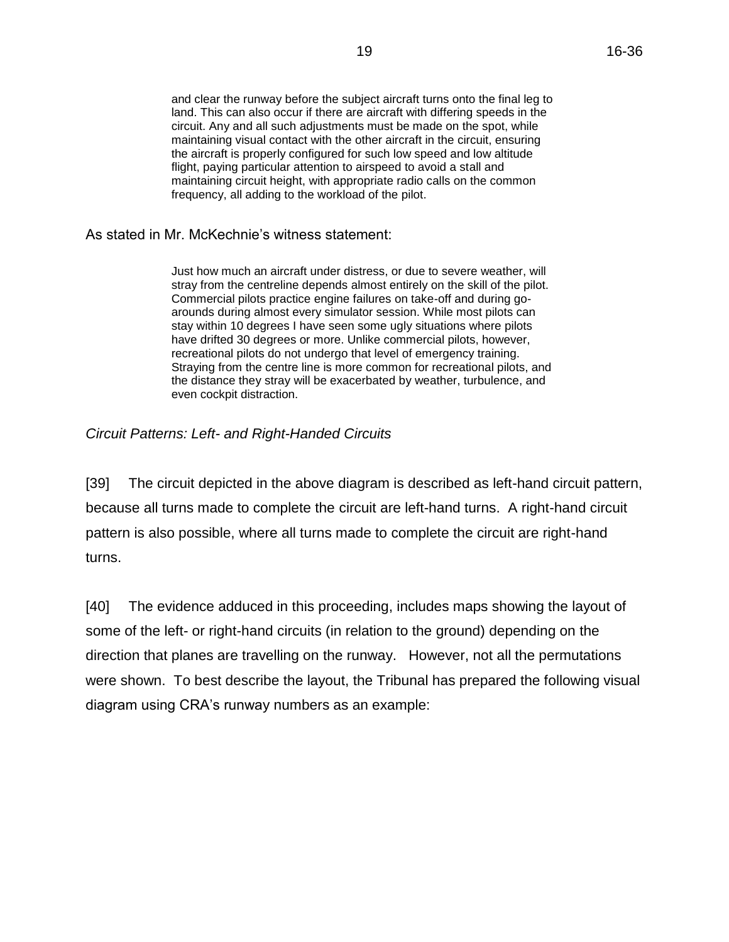## **Relevant Legislation**

[6] The following provisions of the *EPA* set out the jurisdiction of the Tribunal respecting these appeals, the onus of proof of the Appellants and the discretionary remedial powers of the Tribunal if it determines that engaging in the Project in accordance with the REA will cause the prescribed harm.

## [7] *Environmental Protection Act*

### **Interpretation**

[1.](http://www.e-laws.gov.on.ca/html/statutes/french/elaws_statutes_90e19_f.htm#s1s1) (1)

In this Act,

"natural environment" means the air, land and water, or any combination or part thereof, of the Province of Ontario;

…

### **PART I ADMINISTRATION**

### **Purpose of Act**

3. (1) The purpose of this act is to provide for the protection and conservation of the natural environment.

…

### **PART XIII APPEALS TO TRIBUNAL**

…

### **Hearing re renewable energy approval**

142.1 (1) This section applies to a person resident in Ontario who is not entitled under section 139 to require a hearing by the Tribunal in respect of a decision made by the Director under section 47.5.

### **Same**

(2) A person mentioned in subsection (1) may, by written notice served upon the Director and the Tribunal within 15 days after a day prescribed by the regulations, require a hearing by the Tribunal in respect of a decision made by the Director under clause 47.5 (1) (a) or subsection 47.5 (2) or (3). …

### **Grounds for hearing**

(3) A person may require a hearing under subsection (2) only on the grounds that engaging in the renewable energy project in accordance with the renewable energy approval will cause,

(a) serious harm to human health; or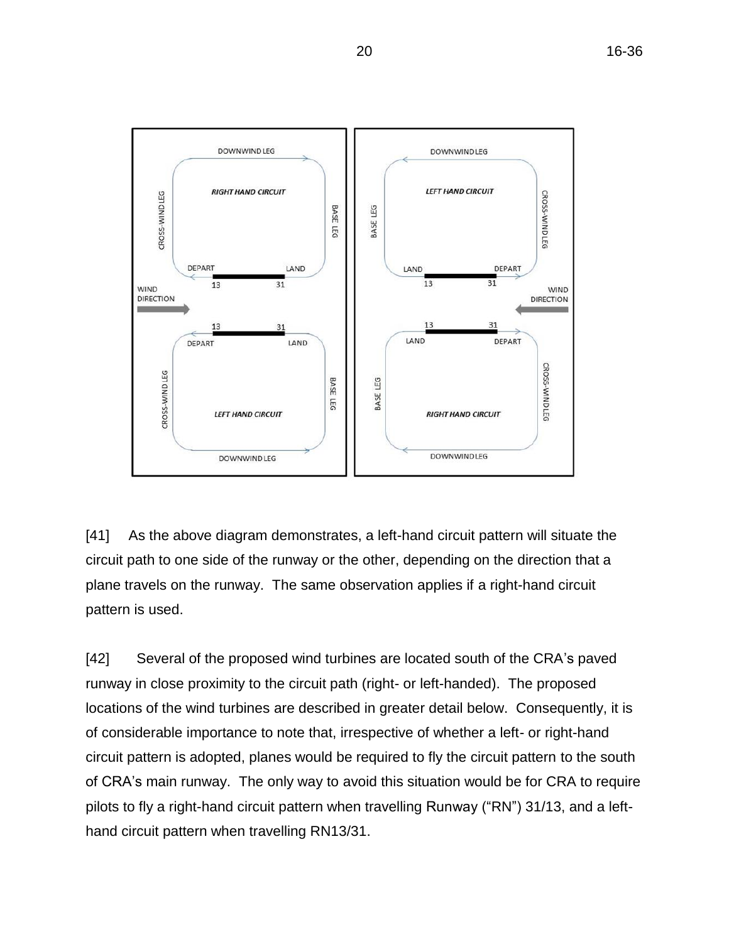(b) serious and irreversible harm to plant life, animal life or the natural environment.

…

### **Hearing required under s. 142.1**

145.2.1 (1) This section applies to a hearing required under section 142.1.

### **What Tribunal must consider**

[\(2\)](http://www.e-laws.gov.on.ca/html/statutes/french/elaws_statutes_90e19_f.htm#s145p2p1s2) The Tribunal shall review the decision of the Director and shall consider only whether engaging in the renewable energy project in accordance with the renewable energy approval will cause,

- (a) serious harm to human health; or
- (b) serious and irreversible harm to plant life, animal life or the natural environment.

### **Onus of proof**

[\(3\)](http://www.e-laws.gov.on.ca/html/statutes/french/elaws_statutes_90e19_f.htm#s145p2p1s3) The person who required the hearing has the onus of proving that engaging in the renewable energy project in accordance with the renewable energy approval will cause harm referred to in clause (2) (a) or (b).

#### **Powers of Tribunal**

[\(4\)](http://www.e-laws.gov.on.ca/html/statutes/french/elaws_statutes_90e19_f.htm#s145p2p1s4) If the Tribunal determines that engaging in the renewable energy project in accordance with the renewable energy approval will cause harm referred to in clause (2) (a) or (b), the Tribunal may,

- (a) revoke the decision of the Director;
- (b) by order direct the Director to take such action as the Tribunal considers the Director should take in accordance with this Act and the regulations; or
- (c) alter the decision of the Director, and, for that purpose, the Tribunal may substitute its opinion for that of the Director.

#### **Same**

[\(5\)](http://www.e-laws.gov.on.ca/html/statutes/french/elaws_statutes_90e19_f.htm#s145p2p1s5) The Tribunal shall confirm the decision of the Director if the Tribunal determines that engaging in the renewable energy project in accordance with the renewable energy approval will not cause harm described in clause  $(2)$   $(a)$  or  $(b)$ .

### **Deemed confirmation of decision**

(6) The decision of the Director shall be deemed to be confirmed by the Tribunal if the Tribunal has not disposed of the hearing in respect of the decision within the period of time prescribed by the regulations.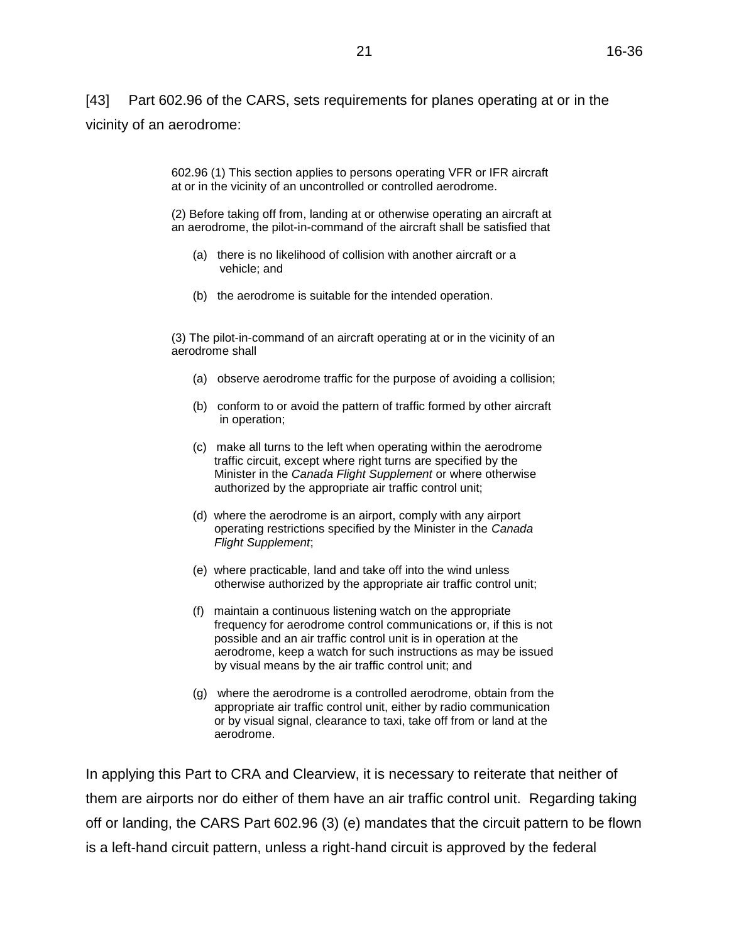# **Issues**

[8] The issues to be determined on this appeal are:

- 1. Whether engaging in the Project in accordance with the REA will cause serious harm to human health; and
- 2. Whether engaging in the Project in accordance with the REA will cause serious and irreversible harm to bats.

# **Discussion, Analysis and Findings**

[9] The Tribunal has considered all the evidence and submissions of the parties in detail. As these written materials exceed 2,000 pages, the Tribunal has reproduced only the evidence and salient submissions necessary to explain the Tribunal's reasons for its disposition of these appeals.

# **Issue No. 1: Whether Engaging in the Project in Accordance with the REA will cause Serious Harm to Human Health**

# *Evidence*

# *Expert Witnesses*

[10] The Tribunal qualified the following witnesses to give opinion evidence on behalf of the Appellants, Simcoe and Collingwood:

 Charles Cormier, who was qualified to give opinion evidence as an expert in instrument flight procedures including take-offs and approaches, and in aviation safety, including qualitative assessments of the impacts and risks of obstacles on take-offs and approaches;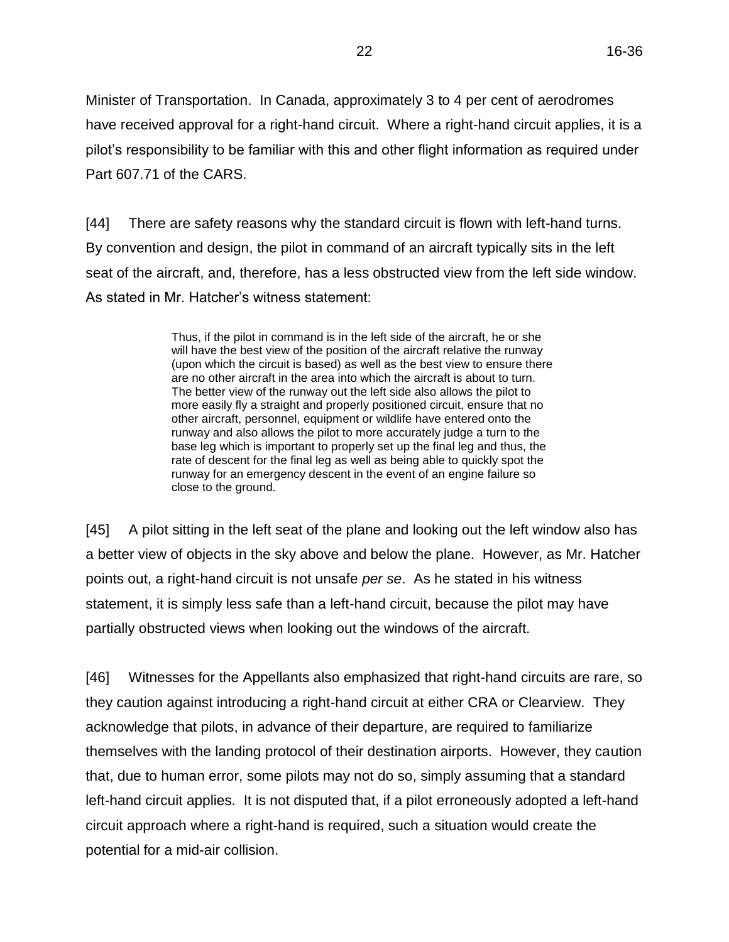- David Gascoine, who was qualified to give opinion evidence as a person experienced in the area of flight and safety training and conditions at the CRA;
- Lee Heitman, who was qualified to give opinion evidence as an experienced commercial pilot with experience in aviation and safety management systems evaluation;
- Douglas McKechnie, who was qualified to give opinion evidence as an experienced commercial pilot and person who has significant experience in training pilots to identify, respond to and recover from emergencies;
- Dennis Moore, who was qualified to give opinion evidence as an expert in evaluating airport operation safety, including quantitatively assessing risk of hazards to air navigation; and
- Adam Dershowitz, who was qualified to give opinion evidence as an expert in aeronautical engineering, including aviation risk and pilot decision-making.

[11] The Tribunal qualified the following witnesses to give opinion evidence on health issues on behalf of the Appellants, Kevin and Gail Elwood and Preserve Clearview Inc.:

- Mr. Cormier, who was qualified as noted above;
- William Duncan, who was qualified to give opinion evidence as an expert in aeronautical engineering, aviation safety and flight data analysis and aviation safety training;
- Kerry Hutton, who was qualified to give opinion evidence as an expert in aerospace engineering, aviation safety and flight data analysis, air accident and incident investigations and aviation animation, air accident and incident re-creation;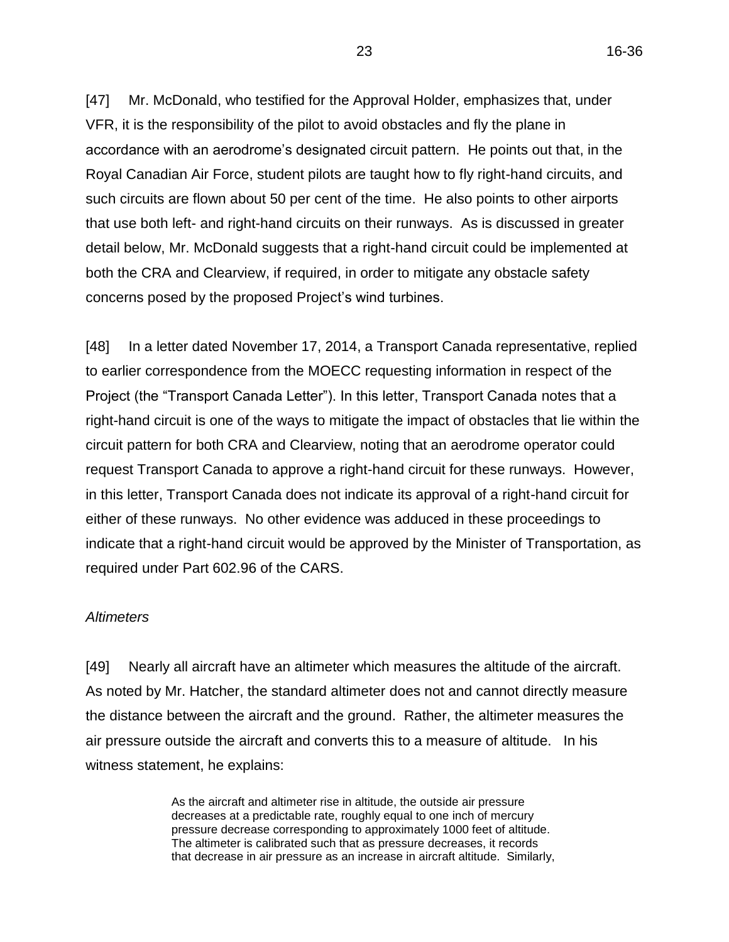- Charles Pereira, who was qualified to give opinion evidence as an expert in aeronautical engineering, including aircraft performance, aviation safety and accident investigations; and
- Keith Green, who was qualified to give opinion evidence as an expert in Aviation Safety Management Systems (SMS), inclusive of Hazard and Risk Assessment, and aerodrome/airport safety.

[12] The Tribunal qualified the following witness to give opinion evidence on behalf of the Appellant, Township of Clearview:

• Randy Mawson, who was qualified to give opinion evidence in the area of forensic climatology, including the impacts on aviation and aircraft.

[13] The Tribunal qualified the following witness to give opinion evidence on behalf of the Participant, Canadian Owners and Pilots Association:

 Conrad Hatcher, who was qualified to give opinion evidence as an aviation expert and, more specifically, as an expert in civil aviation as it relates to pilot training, aircraft operations and general aviation safety, including the conduct of safe operations in the aerodrome environment.

[14] The Tribunal qualified the following witnesses to give opinion evidence on behalf of the Approval Holder:

- Edward McDonald, who was qualified to give opinion evidence with respect to aviation, including instrument flight rule and visual flight rule operations, and instrument approach design inclusive of the identification of hazards; and
- Anthony Cox, who was qualified to give opinion evidence as an expert in the area of risk assessment in public safety, energy and transport as well as fluid dynamics and turbulence.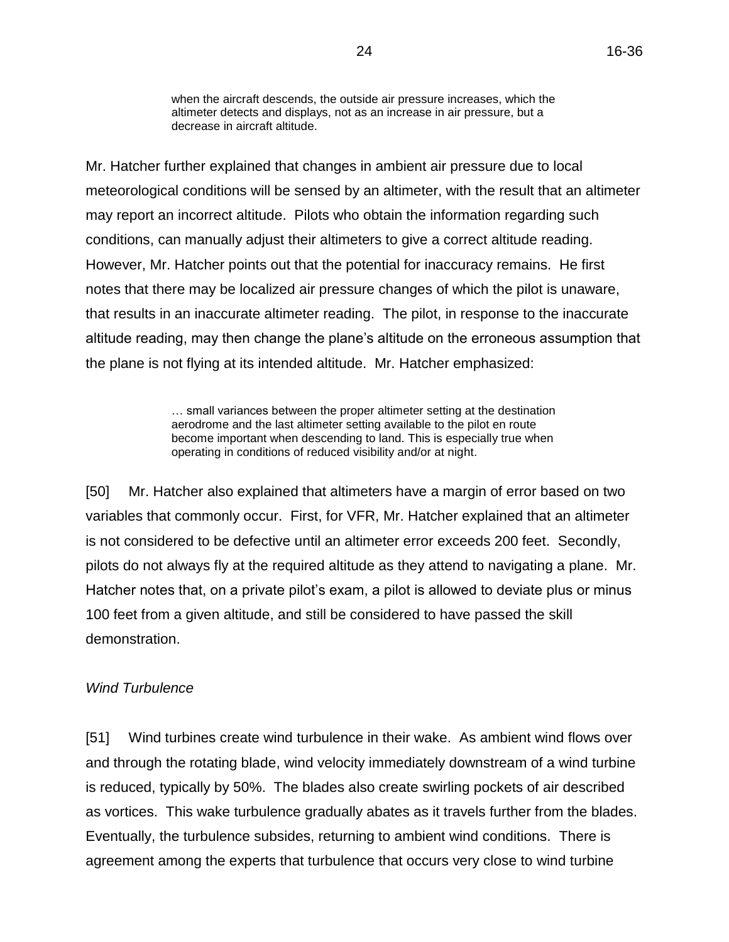[15] The Tribunal qualified the following witness to give opinion evidence on behalf of the Director of the MOECC:

 David Simpson, who was qualified to give opinion evidence as an expert in instrument flight procedure design and instrument flight procedure maintenance for aerodromes, airports and en route structures.

# *The Federal Aviation Regulatory Regime*

[16] The federal government regulates aviation under the *Aeronautics Act* and the *Canadian Aviation Regulations* ("CARS"). These are administered by Transport Canada which is a federal government department. NAV CANADA is a federally incorporated corporation that provides air navigation services in Canada, pursuant to the *Civil Air Navigation Services Commercialization Act*. Pursuant to this Act, NAV CANADA provides air navigation services in Canada, including aeronautical information, air traffic control, aviation weather reporting, and flight information to pilots.

[17] Transport Canada publishes standards, and, as well, issues guidance documents. These include documents on land use in the vicinity of aerodromes (for example, TP1247E - "Aviation - Land Use in the Vicinity of Aerodromes" ("TP1247E")) and standards and recommended practices (for example, TP312 - *Aerodrome Standards and Recommended Practices* ("TP312")). NAV CANADA also publishes the *Canada Flight Supplement,* which is an aerodrome directory that provides data and sketches of Canadian aerodromes and airports.

[18] Under the federal regime, an aerodrome is any location where planes take off or land. Aerodromes may be registered with Transport Canada, but are not required to be. However, all aerodromes must comply with CARS, Part III Subpart 1. Registered aerodromes are included in the *Canada Flight Supplement*.

[19] Although the terms "aerodrome" and "airport" are sometimes used interchangeably, they mean different things. An "airport" must be certified by Transport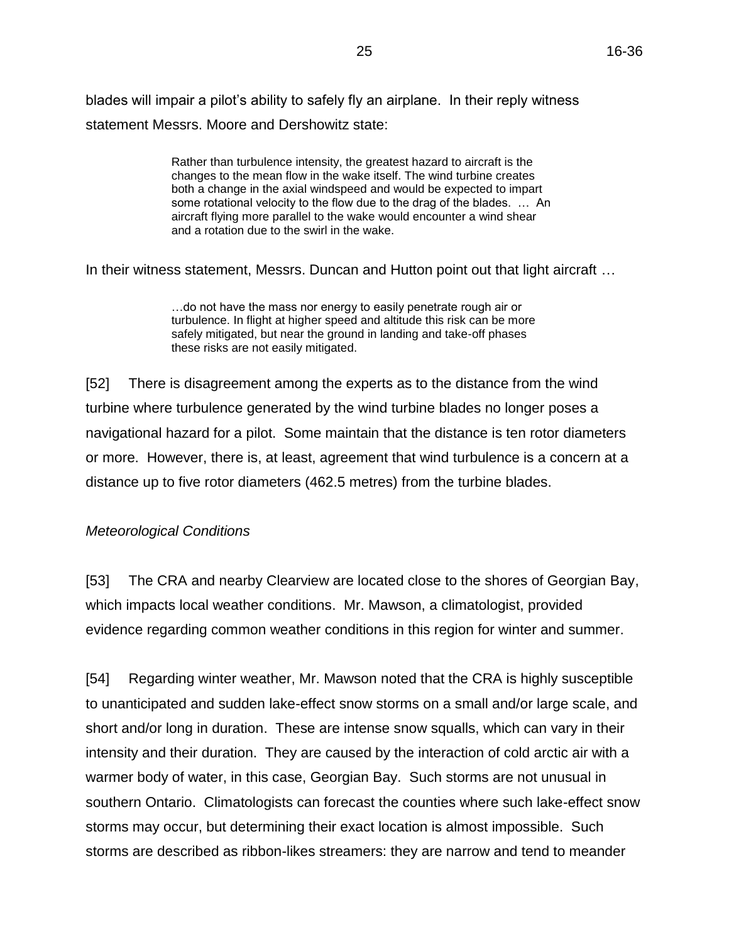Canada. They are required to comply with CARS Part III, Subpart 2 and TP312. TP312 states:

> These standards complement subpart 302 of the *Canadian Aviation Regulations* (CARs). They set out requirements such as: physical characteristics, obstacle limitation surfaces, visual aids and technical services the aerodrome operator at a certified land aerodrome (airport) provides to support aircraft operations. Other standards, established under Part III of the CARS form part of the overall safety specifications to satisfy the requirements of aerodrome certification.

The operational requirements for an airport are therefore more stringent than those for an uncertified aerodrome.

[20] Until 2007, the CRA held airport certification, but then relinquished this designation. Although it is still named the Collingwood Regional *Airport* (emphasis added), the CRA has, since then, continued to operate only as an uncertified aerodrome. Clearview has never been certified. Neither CRA nor Clearview have an air traffic control service. They each have uncontrolled airspace.

[21] Regarding land-use planning, in respect of airports, federal airport zoning regulations can only be enacted under the *Aeronautics Act*. Such zoning regulations may restrict or prohibit activities and uses. Again, because CRA and Clearview are not airports, there are no such zoning regulations in respect of these two aerodromes. Transport Canada issued TP1274E to inform planners and others on how specific land uses may impact aerodromes. In its introduction, TP1274E states:

> Municipal planners and developers must understand that how land is used around an aerodrome will have an impact on the aerodrome's operations. The land use around aerodromes can have significant impacts on safety at the aerodrome and can negatively impact the operational viability of the aerodrome to the detriment of the local community that depends upon it.

[22] TP1247E specifically addresses wind turbines. It states, in Part 6, that wind turbines are obstacles that require marking and lighting in accordance with Transport Canada's standards. It also notes potential challenges that wind turbines may have on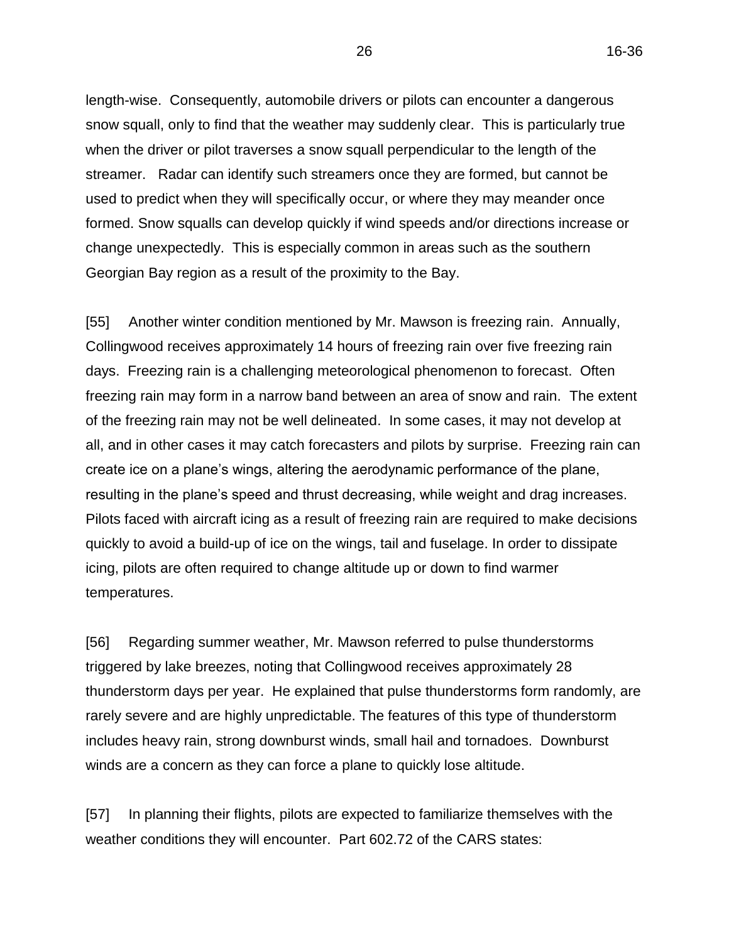persons using radar systems, and navigation and communication systems. Regarding obstacle impacts, TP1247E emphasizes (in bold type):

> **Note: It is of the utmost importance to be aware that the proximity of obstacles, for example, wind turbines, telecommunications towers, antennae, smoke stacks, etc., may potentially have an impact on the current and future usability of an aerodrome. Therefore, it is critical that planning and coordination of the siting of obstacles should be conducted in conjunction with an aerodrome operator at the earliest possible opportunity.** (emphasis in the original)

However, TP1247E does not make any specific recommendations regarding the placement of wind turbines in proximity to aerodromes.

[23] In summary, all airports are aerodromes, but not all aerodromes are airports. Under the CARS, airports must comply with TP312, but aerodromes do not. Nonetheless, implementing TP312's requirements is considered a best practice to promote air navigation safety at an aerodrome. CRA, when it was an airport, complied with these requirements, and, based on the evidence before the Tribunal, it continues to do so.

## *Obstacle Limitation Surfaces*

[24] The CARS recommends and/or regulates limits on the types of obstacles that may be placed on "surfaces" (ground or water) in the vicinity of an aerodrome. In Part I, Subpart 1, it defines an obstacle limitation surface as follows:

> *obstacle limitation surface* means a surface that establishes the limit to which objects may project into an aerodrome's airspace, so that aircraft operations for which the aerodrome is intended may be conducted safely, and consists of a transitional surface, a take-off surface, an approach surface and an outer surface;

The CARS contemplates the designation of obstacle limitation surfaces for airports, with the specific parameters outlined in TP312. However, with respect to uncertified aerodromes (aerodromes that are not airports), the CARS only references obstacle limitation surfaces for purposes of determining when lighting and marking requirements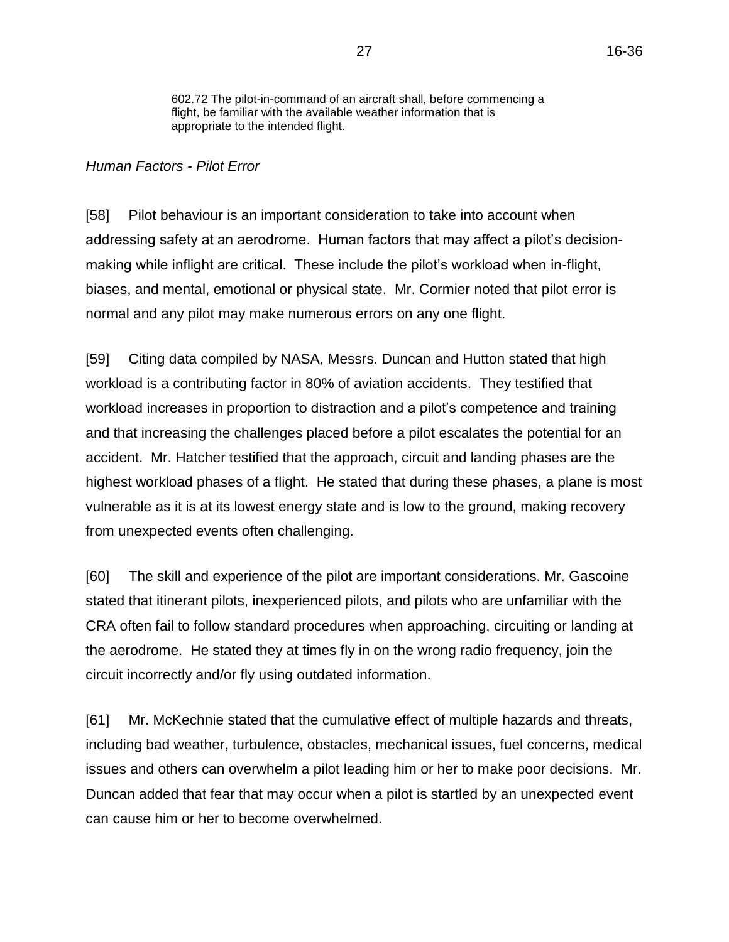are required. Again, however, it must be noted that implementing TP312's requirements is considered a best practice to promote air navigation safety at all aerodromes, including uncertified ones.

*Visual Flight Rules versus Instrument Flight Rules*

[25] There are specific rules that pilots must adhere to when flying. These include Visual Flight Rules ("VFR"), which are generally used by recreational pilots, and Instrument Flight Rules ("IFR"), which are generally used by commercial and more advanced pilots. In his witness statement, Mr. Cormier described the difference between VFR and IFR as follows:

> Pilots may operate their aircraft under Visual Flight Rules (VFR) or Instrument Flight Rules. Most recreational pilots fly VFR only, which requires reasonable weather conditions, visual reference to the ground, and adherence to the principle of see-and-be-seen. VFR pilots must avoid clouds and maintain a safe height above ground unless taking off or landing. IFR pilots require more training, must pass an annual test, and have more instruments and navigational aids in their aircraft. They can fly on their instruments in almost any weather, do not need reference to ground, and require a clearance from the air traffic control agency.

> Take-off (departure) and landing (approach) can occur under VFR, or by IFR using a published instrument procedure, as follows:

Visual departure/approach: the pilot departs/approaches by visual reference alone in conditions where the pilot's field of vision is not obstructed by clouds or other inclement weather. Pilots who take-off and land visually are not required to have an instrument rating.

Instrument departure/approach procedure: this is an airport or aerodrome procedure, approved by NAV CANADA used in inclement weather to support visual take-off or landing. Instrument approaches allow a pilot to use aircraft instrumentation to guide the aircraft through non-visual means to a position from which the aircraft can either be visually landed safely or a missed approach performed if the pilot cannot see the runway adequately to execute a normal landing.

An instrument approach or departure procedure cannot be used by a pilot who does not have an instrument rating. In addition, many aerodromes do not have approved instrument procedures, meaning take-off and landing may only be accomplished visually.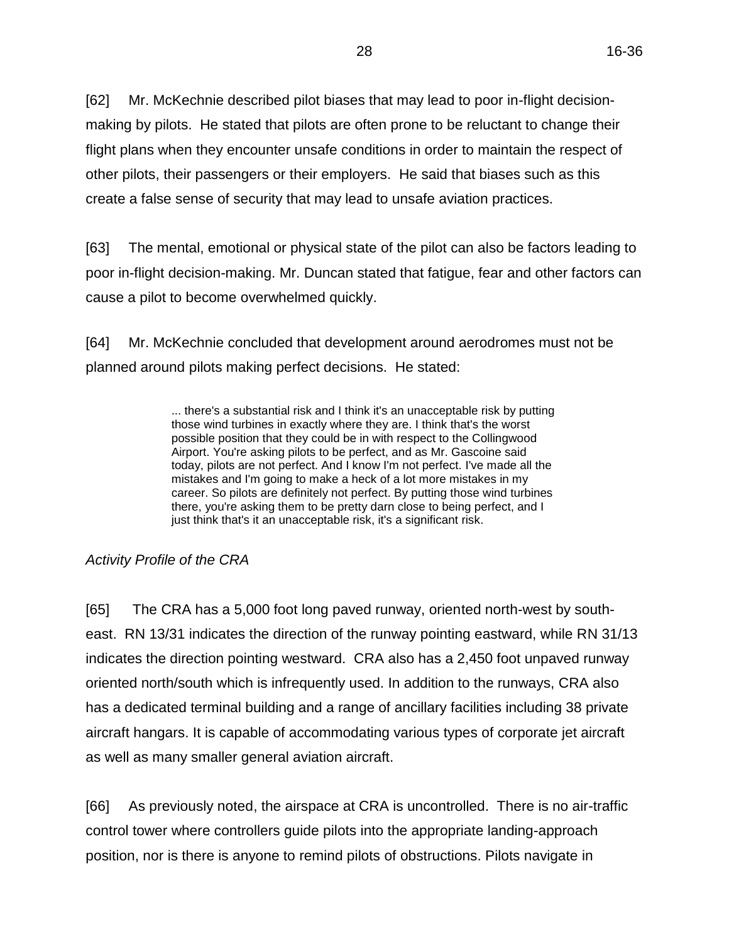[26] Part 704.23 of the CARS sets the mandatory obstacle clearance requirements for VFR flight. It states:

> Except when conducting a take-off or landing, no person shall operate an aircraft in VFR flight

- (a) at night, at less than 1,000 feet above the highest obstacle located within a horizontal distance of three miles from the route to be flown; or
- (b) where the aircraft is an aeroplane, during the day, at less than 500 feet AGL [above ground level] or at a horizontal distance of less than 500 feet from any obstacle.

[27] Part 602.115 of the CARS sets the minimum visual meteorological conditions for VFR flight in uncontrolled airspace. It states:

> 602.115 No person shall operate an aircraft in VFR flight within uncontrolled airspace unless

- (a) the aircraft is operated with visual reference to the surface;
- (b) where the aircraft is operated at or above 1,000 feet AGL
	- during the day, flight visibility is not less than one mile,
	- (ii) during the night, flight visibility is not less than three miles, and
	- (iii) in either case, the distance of the aircraft from cloud is not less than 500 feet vertically and 2,000 feet horizontally;
- (c) where the aircraft is not a helicopter and is operated at less than 1,000 feet AGL
	- (i) during the day, flight visibility is not less than two miles, except if otherwise authorized in an air operator certificate,
	- (ii) during the night, flight visibility is not less than three miles, and
	- (iii) in either case, the aircraft is operated clear of cloud;

[28] Consequently, pilots flying under VFR must not only maintain visual contact with other planes flying at the same altitude, but also with planes or other obstacles below and above them.

…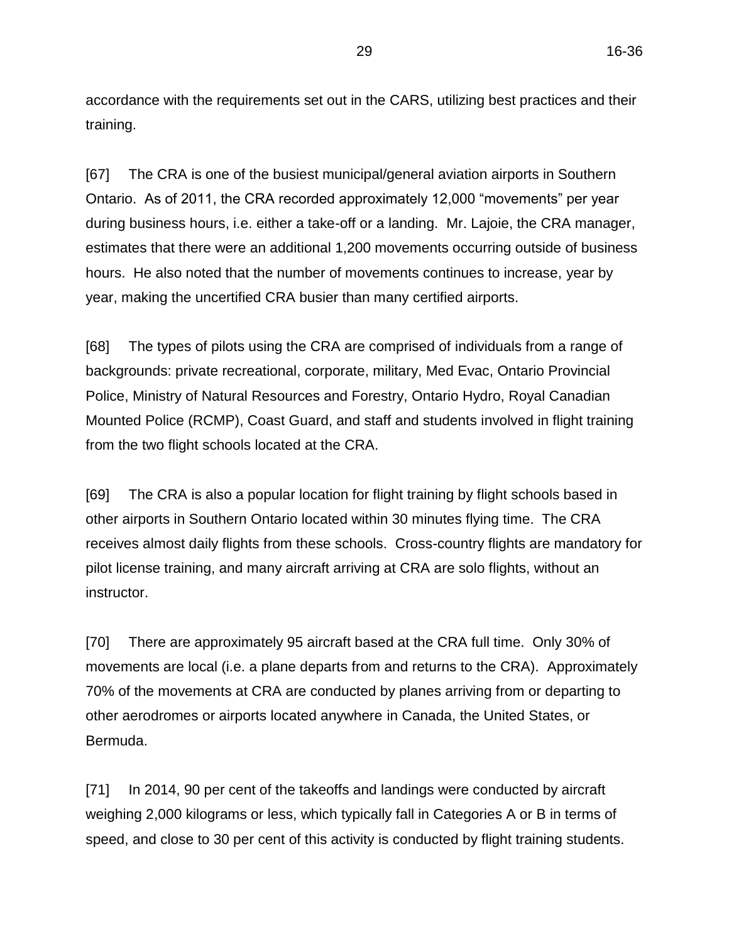### *Aerodynamics of Flight*

[29] A plane's forward velocity is provided by either motor-driven propellers, typically employed by smaller aircraft, or by jet engines, usually in larger aircraft. This forward velocity creates movement of air over the front of the plane's wings, which, in turn, creates the air pressure dynamic which lifts the plane into the air. Standard flight practice recommends that planes take off into the wind, i.e. travel in the opposite direction that the wind is blowing (also described as a headwind). The headwind blowing over the wings creates additional lift. This means that, in order to achieve the lift necessary to become airborne, a plane travelling into the headwind can travel at a lower ground velocity, which, in turn, requires a shorter takeoff run for the plane to become airborne.

[30] It is trite to observe that, unlike automobiles, there is no reverse gear in a plane. In order for a plane to take-off and remain aloft, the plane must achieve and maintain a minimum forward velocity. The air must flow evenly over the wings to maintain lift. However, the angle in which a plane travels through the air can reach a critical point, where, aerodynamically, the wings no longer provide sufficient lift, resulting in aerodynamic stall, where a pilot would lose control of the plane and it would begin to fall. A pilot may be able to maneuver the plane to re-establish control of the plane if an aerodynamic stall occurs. It must be noted that aerodynamic stall is different from engine stall. In the case of an engine stall, the plane can continue to glide, and, hopefully, a pilot would be able to maneuver the plane in order to land safely.

[31] It is also trite to observe that, unlike an automobile, a plane in mid-air cannot slow down to a stop in order to make a 90 degree turn. A safe turn, known as a standard rate turn, would, at approach velocity, require a bank angle of approximately 15 degrees, and take 60 seconds to complete 180 degrees (30 seconds for 90 degrees, 15 seconds for 45 degrees and so forth). A steeper bank angle will effect a faster turn, but if the angle is too steep the aircraft may aerodynamically stall, which would cause the pilot to lose control of the plane, at the very least, temporarily. The plane would also begin to lose altitude. If the pilot could not maneuver the plane out of the stall, the plane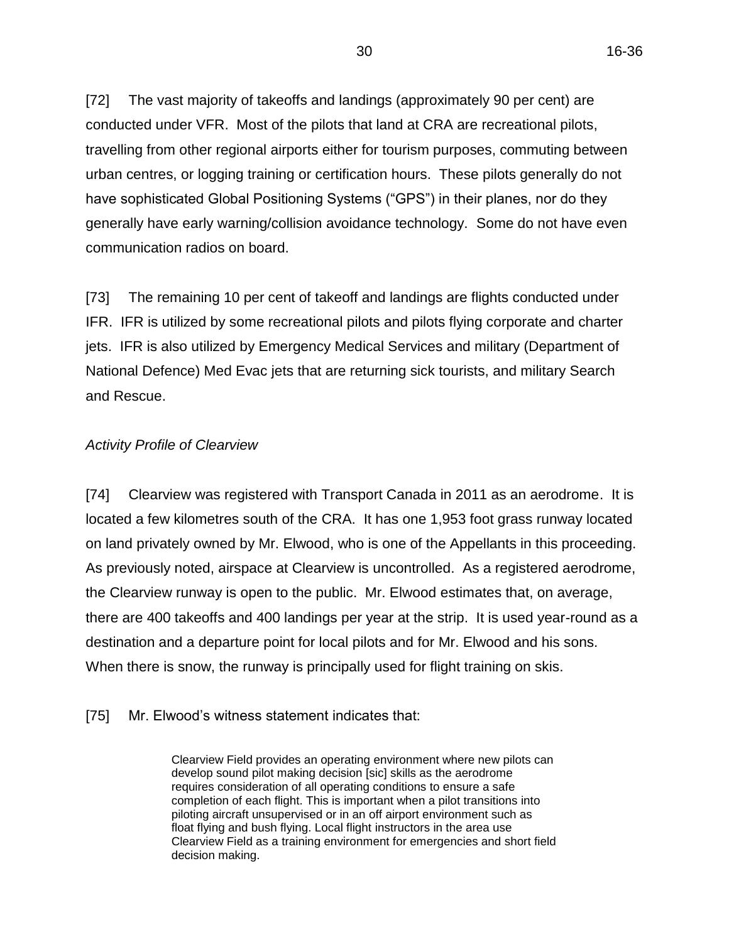would impact with the ground. It is also important to remember that a plane maintains forward velocity during the time required to complete a turn, so, during a turn, a plane continues to travel a horizontal distance as measured in relation to the ground.

[32] The velocity at which a plane must fly in order to maintain lift, depends on the size and type of plane. In the air industry, a plane is described as falling within one of four categories (A through D) based on the range of velocity at which it can travel. Smaller planes, which include those generally used for recreational purposes, are grouped in either Category A or B, and the largest planes, such as passenger jets, are grouped in Category D.

[33] The evidence in this proceeding respecting velocity (i.e. distance travelled over time) measured it as either miles per hour, feet per second, kilometres per hour, metres per second, or knots (one nautical mile (1.852 km or 1.151 miles) per hour). The evidence regarding the highest velocity capacity for each category of plane was expressed in knots. For the purpose of this Order, the Tribunal has converted knots into both kilometres per hour and metres per second. One knot is equal to 0.514 metres per second. The highest velocity capacity for each plane category is set out in the following table:

| <b>CATEGORY</b> | <b>KNOTS</b> | <b>KILOMETRES</b><br><b>PER HOUR</b> | <b>METRES</b><br><b>PER SECOND</b> |
|-----------------|--------------|--------------------------------------|------------------------------------|
| Α               | 90           | 166.68                               | 46.30                              |
| B               | 120          | 222.23                               | 61.73                              |
| С               | 140          | 259.27                               | 72.02                              |
|                 | 165          | 305.57                               | 84.88                              |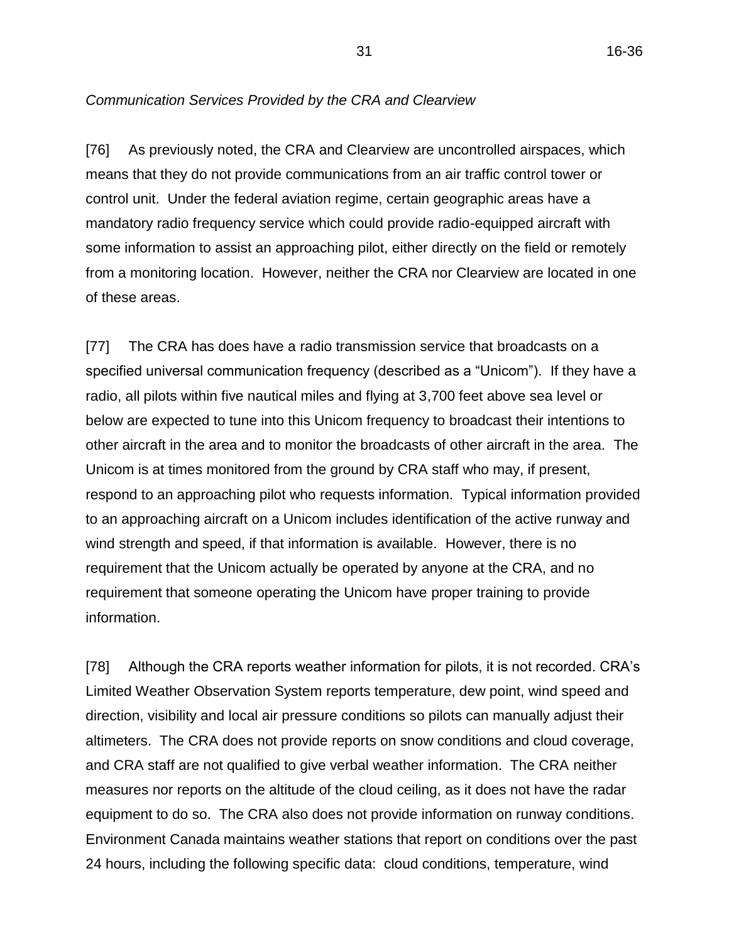# *Runways and Circuit Patterns: Takeoff and Landing*

[34] Although obvious, it is important to emphasize that planes travel in 3-dimensional space. As previously noted, under the CARS, the obstacle limitation surface consists of a transitional surface, a take-off surface, and an approach surface. The Takeoff/Approach Surface zones, indicate the range of 3-dimensional space in which a plane would be expected to be located when taking off or landing. These zones are depicted in the following diagram.



It should be noted that this zone is wider than the actual runway. Transport Canada has indicated that, although an aerodrome, which is not an airport, does not have to comply with the obstacle limitation surfaces identified in TP312, the operational integrity is enhanced if the designation of the use of land adjacent to the aerodrome is done in line with the technical portions of the standards. For pilots flying under IFR, an aerodrome operator is required to prepare an instrument flight plan which provides pilots with precise instructions for landing or takeoff. Such plans must be submitted to and approved by NAV CANADA before they can be published for use by pilots.

[35] Planes travel either direction on a runway depending on the wind direction. Under Part 602.96 (e) of the CARS, planes are required, where practicable, to land and take off into the wind unless otherwise authorized by the appropriate air traffic control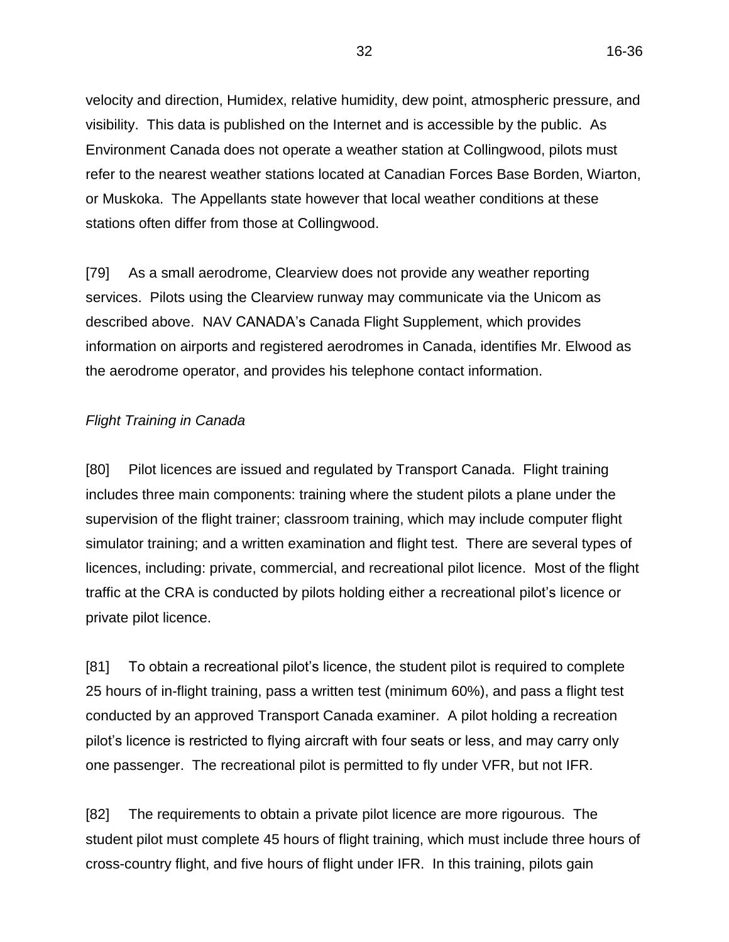unit. So, on any given day, the prevailing winds will determine which direction on the runway a plane will travel. In order to identify runway directions, it is protocol to give a runway two identification numbers. For example, at CRA, one end of the paved runway is assigned the number 13, and the other end is 31. At Clearview, the runway numbers are 16 and 34. There is a standardized method for determining the numbers for any runway based on the direction of the runway in relation to compass direction of true North.

[36] It is obvious that there are no marked flight pathways in the sky. In uncontrolled airspace where there is no air traffic controller to direct traffic, planes are required to follow a circuit pattern when leaving or approaching a runway, in order to avoid collisions. The circuit is best described using the following diagram:



This circuit pattern diagram shows the path for takeoff and landing. If a pilot's destination lies in the same direction as the Take-Off Leg, the pilot is not required to complete the turn to the Crosswind Leg, but, instead, may continue in the same direction, provided there are no other planes or obstacles present in his/her path. Otherwise, the pilot is required to turn, traverse the Crosswind Leg, and then turn again onto the Downwind Leg. The pilot may then leave the Downwind Leg in the direction of his/her destination. Pilots who wish to land on the runway will generally navigate their planes to join the circuit on the Downwind Leg, turn to traverse the Base Leg, and then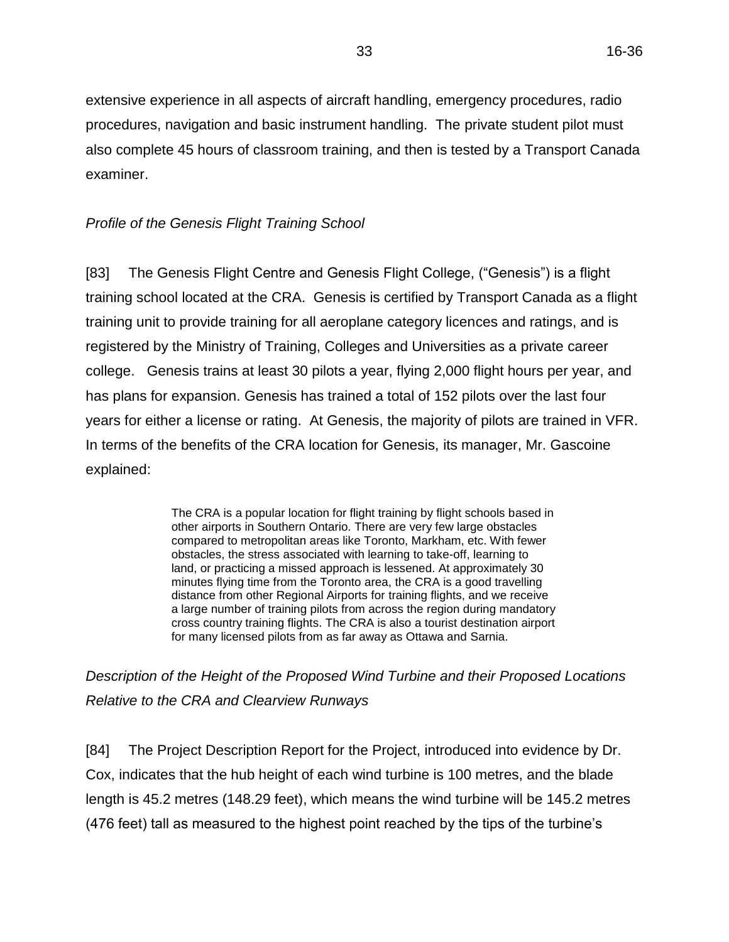turn again onto the Final Leg, where the plane will make its final descent onto the runway.

[37] In terms of altitude, a plane that is taking off from the runway is expected to climb to an altitude of 500 feet above the ground by the time it turns onto the Crosswind Leg, and to climb to 1,000 feet by the time it turns onto the Downwind Leg. A plane that is landing joins the Downwind Leg at 1,000 feet above ground. Once it turns onto the Base Leg, the plane is expected to descend to 500 feet, before turning onto the Final Leg to approach and land on the runway. However, it must be remembered that pilots flying under VFR rules are required to fly below the cloud ceiling in order to comply with the requirement that they maintain visual contact with the runway. Consequently, where the cloud ceiling is low, a pilot may be required to fly at less than 1000 feet above ground.

[38] It is important to note that, although the circuit diagram depicts a precise "centre line" that a pilot will follow, in practice, planes only travel on or near this notional line. A circuit pattern, therefore, is better described as prescribing a pathway, not a precise line and altitude, where planes are expected to fly when taking off or landing. As stated in Mr. Hatcher's witness statement:

> There is no precise place in the sky where the location circuit is located, nor are there any markings on the ground to designate this, nor is there any instrument in the aircraft which indicates the aircraft is or is not positioned correctly within the circuit. The downwind, for example, is more properly thought of as a corridor, rather than a line. It is based upon visual reference relative to an active runway, as modified by the performance of the aircraft, and the position and relative performance of other aircraft in the circuit as well as prevailing weather conditions such as wind speed and direction and meteorological conditions affecting visibility. The circuit pattern has been designed so that pilots flying in the circuit should be able to see each other and the runway at all times. …

> Further, the circuit is intended to be at such a distance from the runway so as to allow an aircraft entering the circuit, from any point, to be able to reach the runway directly while gliding in the event of an engine failure during this phase of the flight (while obviously announcing this intention to other aircraft in the circuit). If the circuit is crowded, for example, then the pilot may elect to "extend the downwind" so as to ensure there is a comfortable margin of separation between their aircraft and the one in front of them to allow the latter aircraft sufficient room and time to land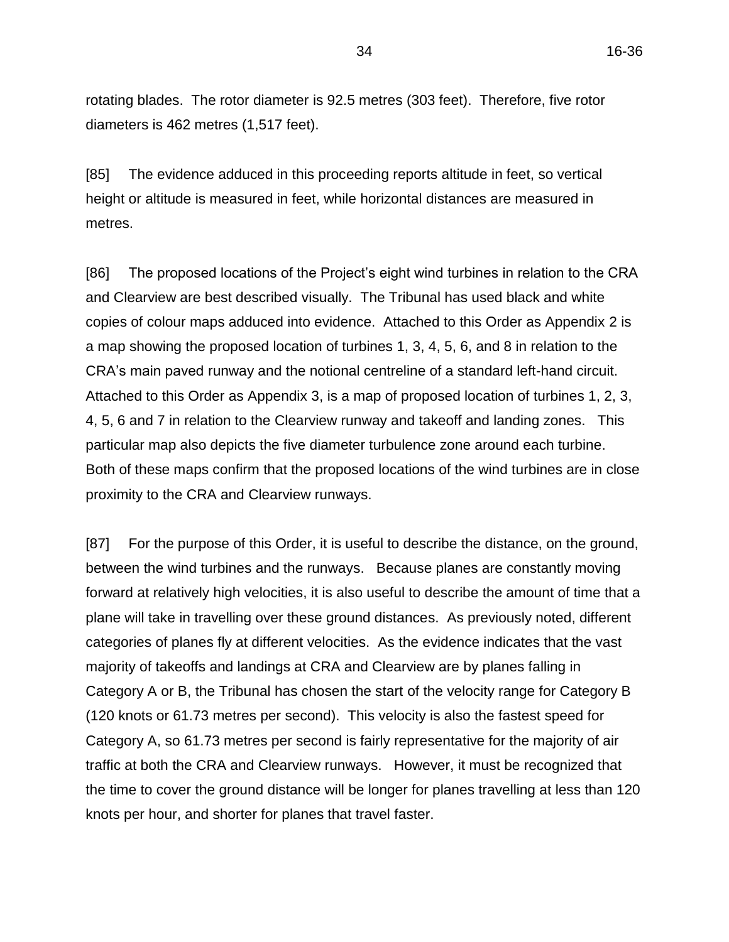and clear the runway before the subject aircraft turns onto the final leg to land. This can also occur if there are aircraft with differing speeds in the circuit. Any and all such adjustments must be made on the spot, while maintaining visual contact with the other aircraft in the circuit, ensuring the aircraft is properly configured for such low speed and low altitude flight, paying particular attention to airspeed to avoid a stall and maintaining circuit height, with appropriate radio calls on the common frequency, all adding to the workload of the pilot.

### As stated in Mr. McKechnie's witness statement:

Just how much an aircraft under distress, or due to severe weather, will stray from the centreline depends almost entirely on the skill of the pilot. Commercial pilots practice engine failures on take-off and during goarounds during almost every simulator session. While most pilots can stay within 10 degrees I have seen some ugly situations where pilots have drifted 30 degrees or more. Unlike commercial pilots, however, recreational pilots do not undergo that level of emergency training. Straying from the centre line is more common for recreational pilots, and the distance they stray will be exacerbated by weather, turbulence, and even cockpit distraction.

# *Circuit Patterns: Left- and Right-Handed Circuits*

[39] The circuit depicted in the above diagram is described as left-hand circuit pattern, because all turns made to complete the circuit are left-hand turns. A right-hand circuit pattern is also possible, where all turns made to complete the circuit are right-hand turns.

[40] The evidence adduced in this proceeding, includes maps showing the layout of some of the left- or right-hand circuits (in relation to the ground) depending on the direction that planes are travelling on the runway. However, not all the permutations were shown. To best describe the layout, the Tribunal has prepared the following visual diagram using CRA's runway numbers as an example: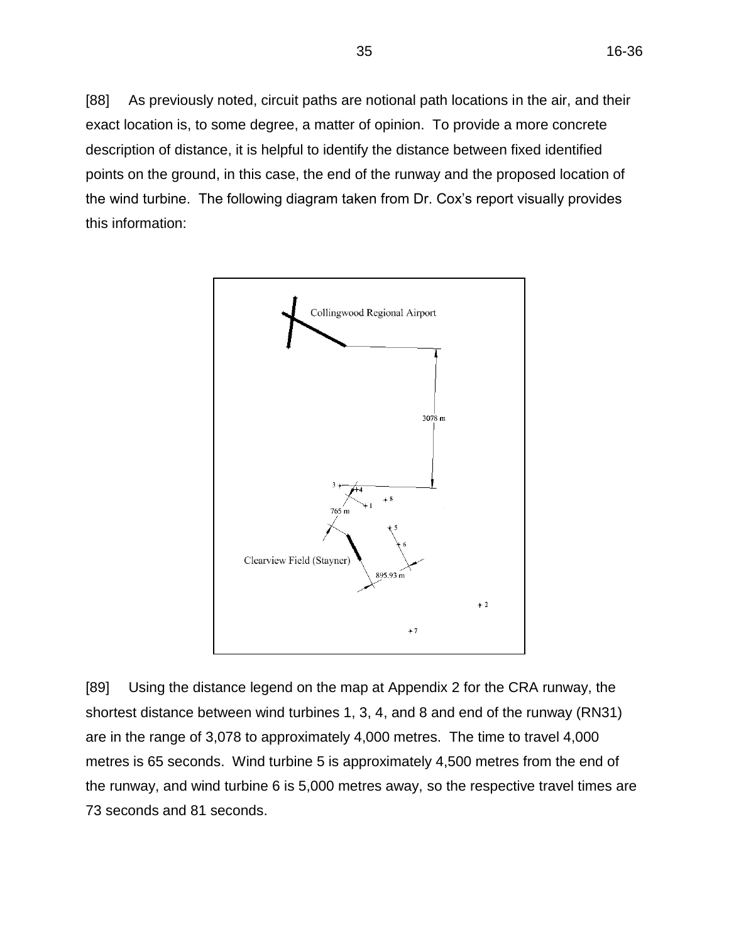

[41] As the above diagram demonstrates, a left-hand circuit pattern will situate the circuit path to one side of the runway or the other, depending on the direction that a plane travels on the runway. The same observation applies if a right-hand circuit pattern is used.

[42] Several of the proposed wind turbines are located south of the CRA's paved runway in close proximity to the circuit path (right- or left-handed). The proposed locations of the wind turbines are described in greater detail below. Consequently, it is of considerable importance to note that, irrespective of whether a left- or right-hand circuit pattern is adopted, planes would be required to fly the circuit pattern to the south of CRA's main runway. The only way to avoid this situation would be for CRA to require pilots to fly a right-hand circuit pattern when travelling Runway ("RN") 31/13, and a lefthand circuit pattern when travelling RN13/31.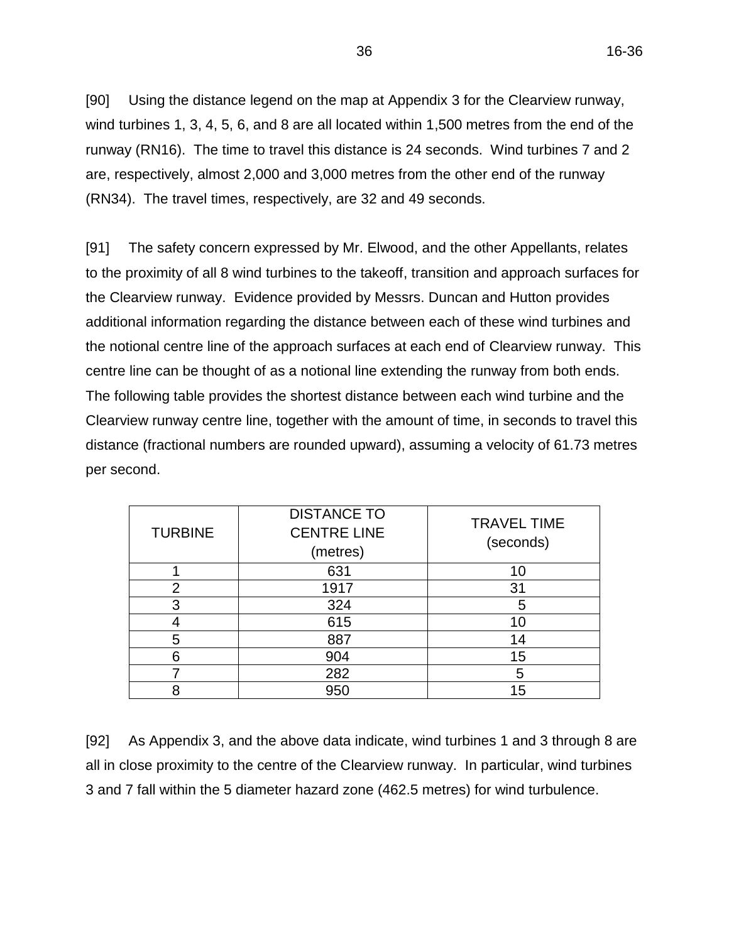[43] Part 602.96 of the CARS, sets requirements for planes operating at or in the vicinity of an aerodrome:

> 602.96 (1) This section applies to persons operating VFR or IFR aircraft at or in the vicinity of an uncontrolled or controlled aerodrome.

> (2) Before taking off from, landing at or otherwise operating an aircraft at an aerodrome, the pilot-in-command of the aircraft shall be satisfied that

- (a) there is no likelihood of collision with another aircraft or a vehicle; and
- (b) the aerodrome is suitable for the intended operation.

(3) The pilot-in-command of an aircraft operating at or in the vicinity of an aerodrome shall

- (a) observe aerodrome traffic for the purpose of avoiding a collision;
- (b) conform to or avoid the pattern of traffic formed by other aircraft in operation;
- (c) make all turns to the left when operating within the aerodrome traffic circuit, except where right turns are specified by the Minister in the *Canada Flight Supplement* or where otherwise authorized by the appropriate air traffic control unit;
- (d) where the aerodrome is an airport, comply with any airport operating restrictions specified by the Minister in the *Canada Flight Supplement*;
- (e) where practicable, land and take off into the wind unless otherwise authorized by the appropriate air traffic control unit;
- (f) maintain a continuous listening watch on the appropriate frequency for aerodrome control communications or, if this is not possible and an air traffic control unit is in operation at the aerodrome, keep a watch for such instructions as may be issued by visual means by the air traffic control unit; and
- (g) where the aerodrome is a controlled aerodrome, obtain from the appropriate air traffic control unit, either by radio communication or by visual signal, clearance to taxi, take off from or land at the aerodrome.

In applying this Part to CRA and Clearview, it is necessary to reiterate that neither of them are airports nor do either of them have an air traffic control unit. Regarding taking off or landing, the CARS Part 602.96 (3) (e) mandates that the circuit pattern to be flown is a left-hand circuit pattern, unless a right-hand circuit is approved by the federal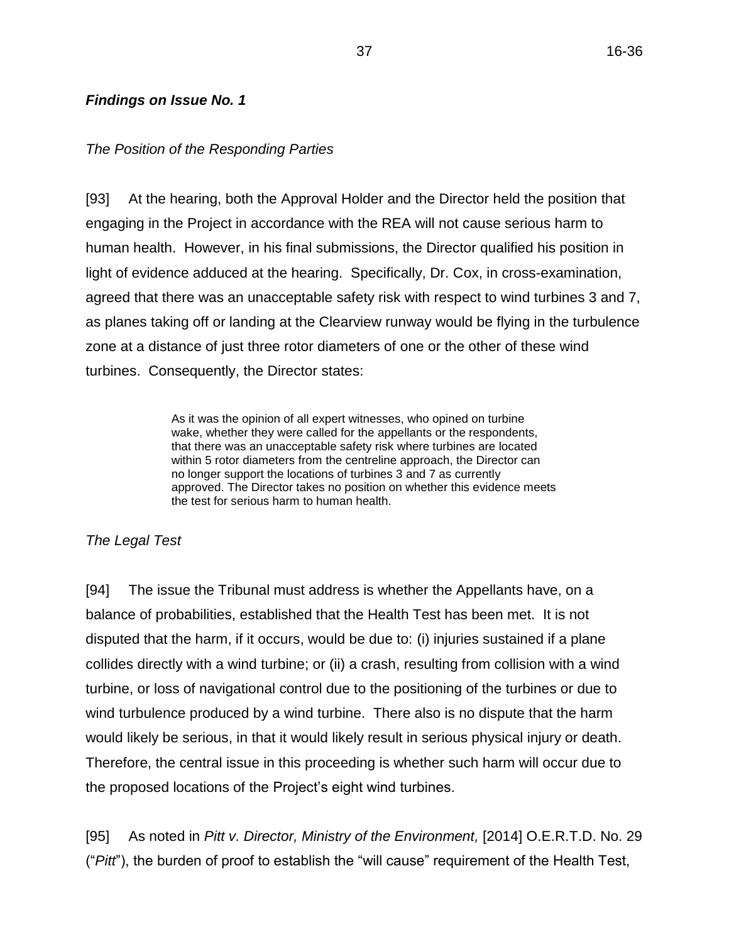Minister of Transportation. In Canada, approximately 3 to 4 per cent of aerodromes have received approval for a right-hand circuit. Where a right-hand circuit applies, it is a pilot's responsibility to be familiar with this and other flight information as required under Part 607.71 of the CARS.

[44] There are safety reasons why the standard circuit is flown with left-hand turns. By convention and design, the pilot in command of an aircraft typically sits in the left seat of the aircraft, and, therefore, has a less obstructed view from the left side window. As stated in Mr. Hatcher's witness statement:

> Thus, if the pilot in command is in the left side of the aircraft, he or she will have the best view of the position of the aircraft relative the runway (upon which the circuit is based) as well as the best view to ensure there are no other aircraft in the area into which the aircraft is about to turn. The better view of the runway out the left side also allows the pilot to more easily fly a straight and properly positioned circuit, ensure that no other aircraft, personnel, equipment or wildlife have entered onto the runway and also allows the pilot to more accurately judge a turn to the base leg which is important to properly set up the final leg and thus, the rate of descent for the final leg as well as being able to quickly spot the runway for an emergency descent in the event of an engine failure so close to the ground.

[45] A pilot sitting in the left seat of the plane and looking out the left window also has a better view of objects in the sky above and below the plane. However, as Mr. Hatcher points out, a right-hand circuit is not unsafe *per se*. As he stated in his witness statement, it is simply less safe than a left-hand circuit, because the pilot may have partially obstructed views when looking out the windows of the aircraft.

[46] Witnesses for the Appellants also emphasized that right-hand circuits are rare, so they caution against introducing a right-hand circuit at either CRA or Clearview. They acknowledge that pilots, in advance of their departure, are required to familiarize themselves with the landing protocol of their destination airports. However, they caution that, due to human error, some pilots may not do so, simply assuming that a standard left-hand circuit applies. It is not disputed that, if a pilot erroneously adopted a left-hand circuit approach where a right-hand is required, such a situation would create the potential for a mid-air collision.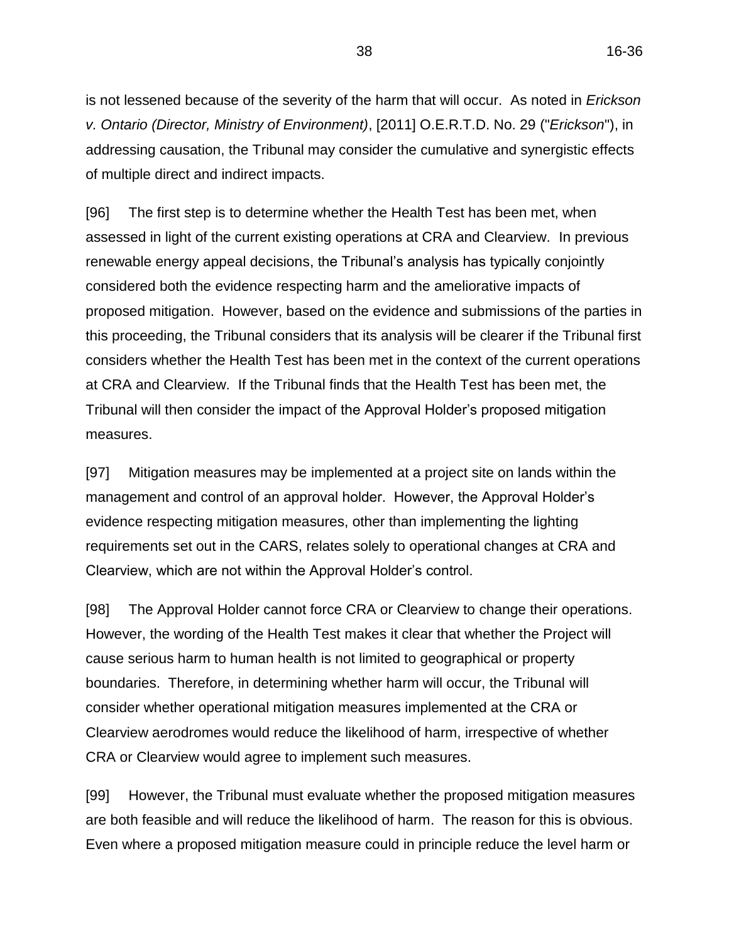23 16-36

[47] Mr. McDonald, who testified for the Approval Holder, emphasizes that, under VFR, it is the responsibility of the pilot to avoid obstacles and fly the plane in accordance with an aerodrome's designated circuit pattern. He points out that, in the Royal Canadian Air Force, student pilots are taught how to fly right-hand circuits, and such circuits are flown about 50 per cent of the time. He also points to other airports that use both left- and right-hand circuits on their runways. As is discussed in greater detail below, Mr. McDonald suggests that a right-hand circuit could be implemented at both the CRA and Clearview, if required, in order to mitigate any obstacle safety concerns posed by the proposed Project's wind turbines.

[48] In a letter dated November 17, 2014, a Transport Canada representative, replied to earlier correspondence from the MOECC requesting information in respect of the Project (the "Transport Canada Letter"). In this letter, Transport Canada notes that a right-hand circuit is one of the ways to mitigate the impact of obstacles that lie within the circuit pattern for both CRA and Clearview, noting that an aerodrome operator could request Transport Canada to approve a right-hand circuit for these runways. However, in this letter, Transport Canada does not indicate its approval of a right-hand circuit for either of these runways. No other evidence was adduced in these proceedings to indicate that a right-hand circuit would be approved by the Minister of Transportation, as required under Part 602.96 of the CARS.

## *Altimeters*

[49] Nearly all aircraft have an altimeter which measures the altitude of the aircraft. As noted by Mr. Hatcher, the standard altimeter does not and cannot directly measure the distance between the aircraft and the ground. Rather, the altimeter measures the air pressure outside the aircraft and converts this to a measure of altitude. In his witness statement, he explains:

> As the aircraft and altimeter rise in altitude, the outside air pressure decreases at a predictable rate, roughly equal to one inch of mercury pressure decrease corresponding to approximately 1000 feet of altitude. The altimeter is calibrated such that as pressure decreases, it records that decrease in air pressure as an increase in aircraft altitude. Similarly,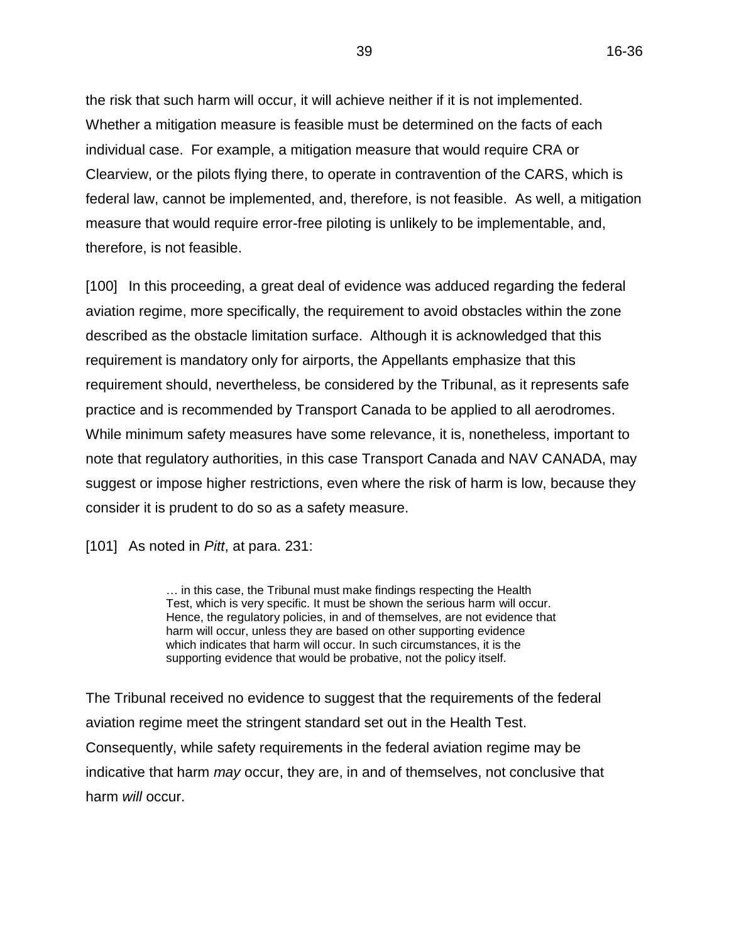when the aircraft descends, the outside air pressure increases, which the altimeter detects and displays, not as an increase in air pressure, but a decrease in aircraft altitude.

Mr. Hatcher further explained that changes in ambient air pressure due to local meteorological conditions will be sensed by an altimeter, with the result that an altimeter may report an incorrect altitude. Pilots who obtain the information regarding such conditions, can manually adjust their altimeters to give a correct altitude reading. However, Mr. Hatcher points out that the potential for inaccuracy remains. He first notes that there may be localized air pressure changes of which the pilot is unaware, that results in an inaccurate altimeter reading. The pilot, in response to the inaccurate altitude reading, may then change the plane's altitude on the erroneous assumption that the plane is not flying at its intended altitude. Mr. Hatcher emphasized:

> … small variances between the proper altimeter setting at the destination aerodrome and the last altimeter setting available to the pilot en route become important when descending to land. This is especially true when operating in conditions of reduced visibility and/or at night.

[50] Mr. Hatcher also explained that altimeters have a margin of error based on two variables that commonly occur. First, for VFR, Mr. Hatcher explained that an altimeter is not considered to be defective until an altimeter error exceeds 200 feet. Secondly, pilots do not always fly at the required altitude as they attend to navigating a plane. Mr. Hatcher notes that, on a private pilot's exam, a pilot is allowed to deviate plus or minus 100 feet from a given altitude, and still be considered to have passed the skill demonstration.

### *Wind Turbulence*

[51] Wind turbines create wind turbulence in their wake. As ambient wind flows over and through the rotating blade, wind velocity immediately downstream of a wind turbine is reduced, typically by 50%. The blades also create swirling pockets of air described as vortices. This wake turbulence gradually abates as it travels further from the blades. Eventually, the turbulence subsides, returning to ambient wind conditions. There is agreement among the experts that turbulence that occurs very close to wind turbine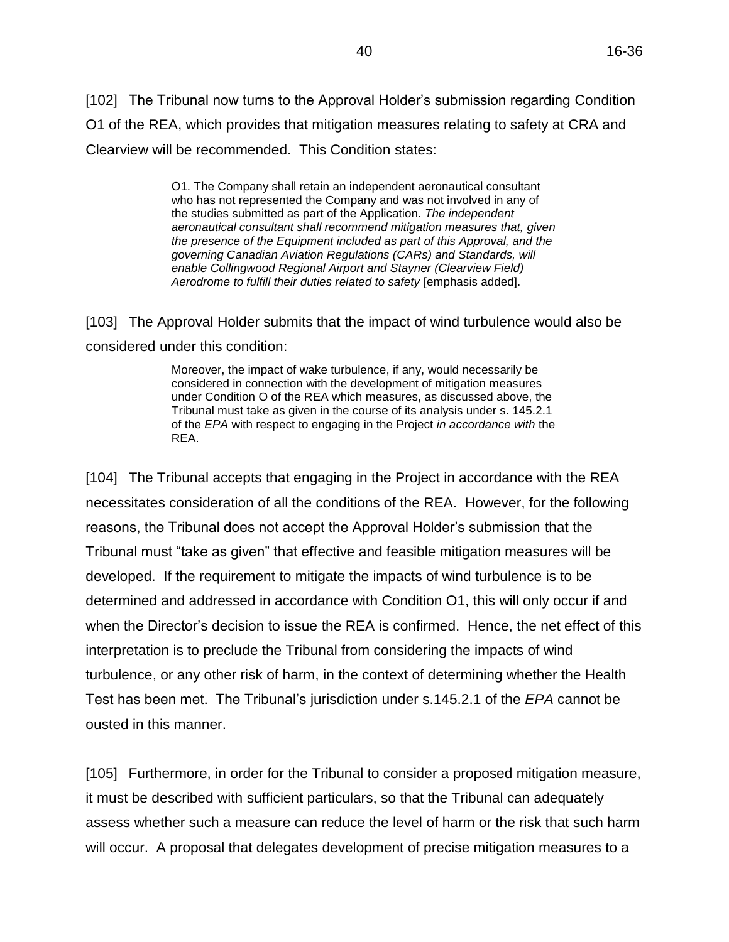blades will impair a pilot's ability to safely fly an airplane. In their reply witness statement Messrs. Moore and Dershowitz state:

> Rather than turbulence intensity, the greatest hazard to aircraft is the changes to the mean flow in the wake itself. The wind turbine creates both a change in the axial windspeed and would be expected to impart some rotational velocity to the flow due to the drag of the blades. … An aircraft flying more parallel to the wake would encounter a wind shear and a rotation due to the swirl in the wake.

In their witness statement, Messrs. Duncan and Hutton point out that light aircraft …

…do not have the mass nor energy to easily penetrate rough air or turbulence. In flight at higher speed and altitude this risk can be more safely mitigated, but near the ground in landing and take-off phases these risks are not easily mitigated.

[52] There is disagreement among the experts as to the distance from the wind turbine where turbulence generated by the wind turbine blades no longer poses a navigational hazard for a pilot. Some maintain that the distance is ten rotor diameters or more. However, there is, at least, agreement that wind turbulence is a concern at a distance up to five rotor diameters (462.5 metres) from the turbine blades.

### *Meteorological Conditions*

[53] The CRA and nearby Clearview are located close to the shores of Georgian Bay, which impacts local weather conditions. Mr. Mawson, a climatologist, provided evidence regarding common weather conditions in this region for winter and summer.

[54] Regarding winter weather, Mr. Mawson noted that the CRA is highly susceptible to unanticipated and sudden lake-effect snow storms on a small and/or large scale, and short and/or long in duration. These are intense snow squalls, which can vary in their intensity and their duration. They are caused by the interaction of cold arctic air with a warmer body of water, in this case, Georgian Bay. Such storms are not unusual in southern Ontario. Climatologists can forecast the counties where such lake-effect snow storms may occur, but determining their exact location is almost impossible. Such storms are described as ribbon-likes streamers: they are narrow and tend to meander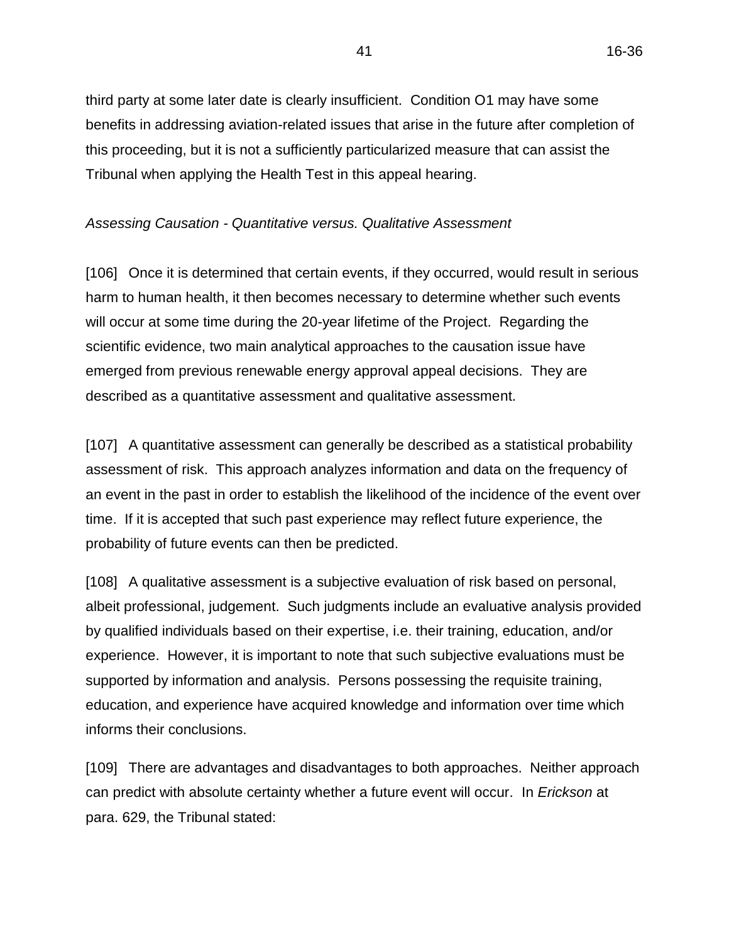length-wise. Consequently, automobile drivers or pilots can encounter a dangerous snow squall, only to find that the weather may suddenly clear. This is particularly true when the driver or pilot traverses a snow squall perpendicular to the length of the streamer. Radar can identify such streamers once they are formed, but cannot be used to predict when they will specifically occur, or where they may meander once formed. Snow squalls can develop quickly if wind speeds and/or directions increase or change unexpectedly. This is especially common in areas such as the southern Georgian Bay region as a result of the proximity to the Bay.

[55] Another winter condition mentioned by Mr. Mawson is freezing rain. Annually, Collingwood receives approximately 14 hours of freezing rain over five freezing rain days. Freezing rain is a challenging meteorological phenomenon to forecast. Often freezing rain may form in a narrow band between an area of snow and rain. The extent of the freezing rain may not be well delineated. In some cases, it may not develop at all, and in other cases it may catch forecasters and pilots by surprise. Freezing rain can create ice on a plane's wings, altering the aerodynamic performance of the plane, resulting in the plane's speed and thrust decreasing, while weight and drag increases. Pilots faced with aircraft icing as a result of freezing rain are required to make decisions quickly to avoid a build-up of ice on the wings, tail and fuselage. In order to dissipate icing, pilots are often required to change altitude up or down to find warmer temperatures.

[56] Regarding summer weather, Mr. Mawson referred to pulse thunderstorms triggered by lake breezes, noting that Collingwood receives approximately 28 thunderstorm days per year. He explained that pulse thunderstorms form randomly, are rarely severe and are highly unpredictable. The features of this type of thunderstorm includes heavy rain, strong downburst winds, small hail and tornadoes. Downburst winds are a concern as they can force a plane to quickly lose altitude.

[57] In planning their flights, pilots are expected to familiarize themselves with the weather conditions they will encounter. Part 602.72 of the CARS states: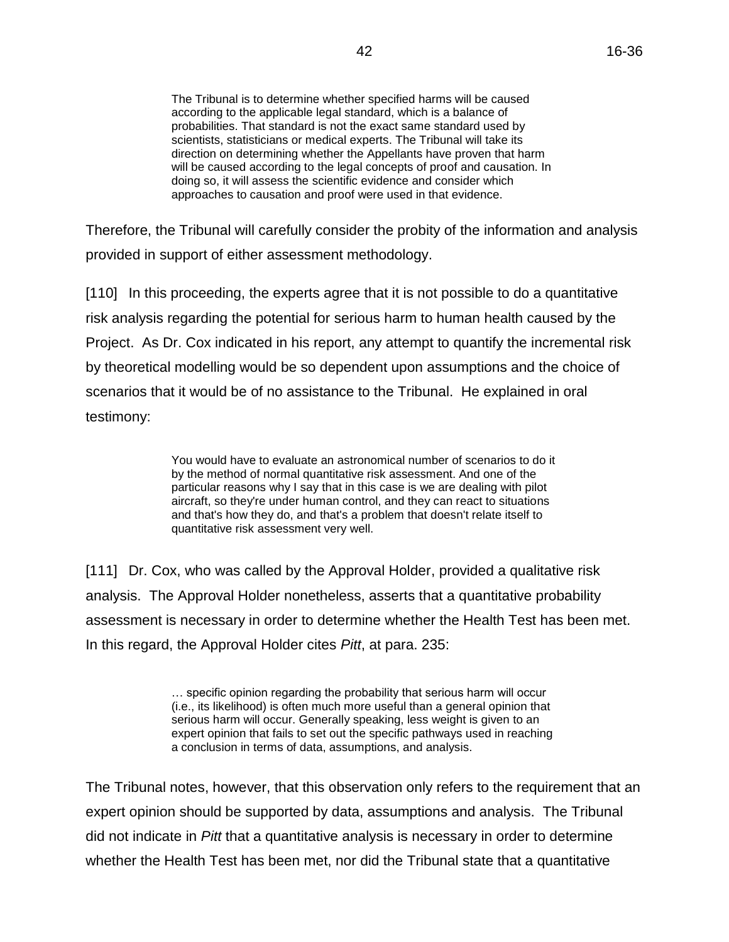602.72 The pilot-in-command of an aircraft shall, before commencing a flight, be familiar with the available weather information that is appropriate to the intended flight.

### *Human Factors - Pilot Error*

[58] Pilot behaviour is an important consideration to take into account when addressing safety at an aerodrome. Human factors that may affect a pilot's decisionmaking while inflight are critical. These include the pilot's workload when in-flight, biases, and mental, emotional or physical state. Mr. Cormier noted that pilot error is normal and any pilot may make numerous errors on any one flight.

[59] Citing data compiled by NASA, Messrs. Duncan and Hutton stated that high workload is a contributing factor in 80% of aviation accidents. They testified that workload increases in proportion to distraction and a pilot's competence and training and that increasing the challenges placed before a pilot escalates the potential for an accident. Mr. Hatcher testified that the approach, circuit and landing phases are the highest workload phases of a flight. He stated that during these phases, a plane is most vulnerable as it is at its lowest energy state and is low to the ground, making recovery from unexpected events often challenging.

[60] The skill and experience of the pilot are important considerations. Mr. Gascoine stated that itinerant pilots, inexperienced pilots, and pilots who are unfamiliar with the CRA often fail to follow standard procedures when approaching, circuiting or landing at the aerodrome. He stated they at times fly in on the wrong radio frequency, join the circuit incorrectly and/or fly using outdated information.

[61] Mr. McKechnie stated that the cumulative effect of multiple hazards and threats, including bad weather, turbulence, obstacles, mechanical issues, fuel concerns, medical issues and others can overwhelm a pilot leading him or her to make poor decisions. Mr. Duncan added that fear that may occur when a pilot is startled by an unexpected event can cause him or her to become overwhelmed.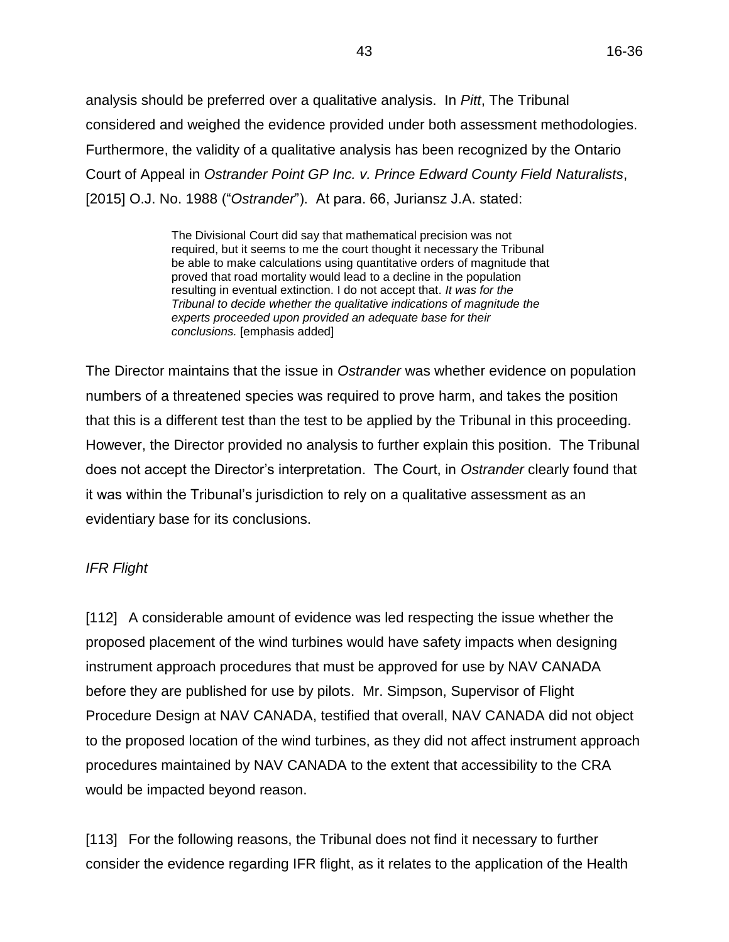[62] Mr. McKechnie described pilot biases that may lead to poor in-flight decisionmaking by pilots. He stated that pilots are often prone to be reluctant to change their flight plans when they encounter unsafe conditions in order to maintain the respect of other pilots, their passengers or their employers. He said that biases such as this create a false sense of security that may lead to unsafe aviation practices.

[63] The mental, emotional or physical state of the pilot can also be factors leading to poor in-flight decision-making. Mr. Duncan stated that fatigue, fear and other factors can cause a pilot to become overwhelmed quickly.

[64] Mr. McKechnie concluded that development around aerodromes must not be planned around pilots making perfect decisions. He stated:

> ... there's a substantial risk and I think it's an unacceptable risk by putting those wind turbines in exactly where they are. I think that's the worst possible position that they could be in with respect to the Collingwood Airport. You're asking pilots to be perfect, and as Mr. Gascoine said today, pilots are not perfect. And I know I'm not perfect. I've made all the mistakes and I'm going to make a heck of a lot more mistakes in my career. So pilots are definitely not perfect. By putting those wind turbines there, you're asking them to be pretty darn close to being perfect, and I just think that's it an unacceptable risk, it's a significant risk.

# *Activity Profile of the CRA*

[65] The CRA has a 5,000 foot long paved runway, oriented north-west by southeast. RN 13/31 indicates the direction of the runway pointing eastward, while RN 31/13 indicates the direction pointing westward. CRA also has a 2,450 foot unpaved runway oriented north/south which is infrequently used. In addition to the runways, CRA also has a dedicated terminal building and a range of ancillary facilities including 38 private aircraft hangars. It is capable of accommodating various types of corporate jet aircraft as well as many smaller general aviation aircraft.

[66] As previously noted, the airspace at CRA is uncontrolled. There is no air-traffic control tower where controllers guide pilots into the appropriate landing-approach position, nor is there is anyone to remind pilots of obstructions. Pilots navigate in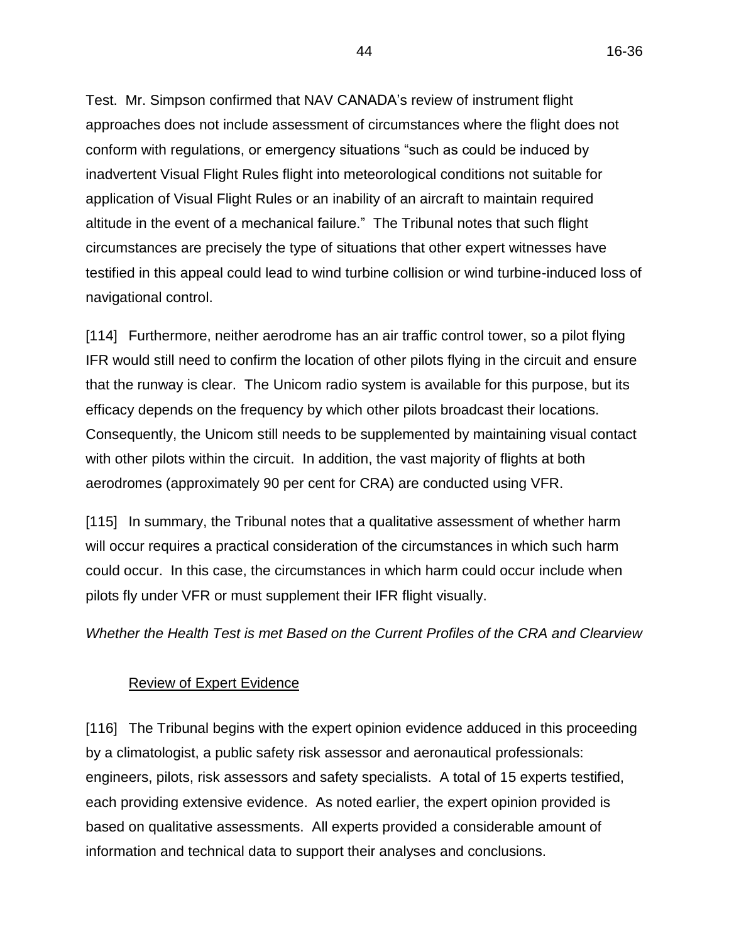[67] The CRA is one of the busiest municipal/general aviation airports in Southern Ontario. As of 2011, the CRA recorded approximately 12,000 "movements" per year during business hours, i.e. either a take-off or a landing. Mr. Lajoie, the CRA manager, estimates that there were an additional 1,200 movements occurring outside of business hours. He also noted that the number of movements continues to increase, year by year, making the uncertified CRA busier than many certified airports.

[68] The types of pilots using the CRA are comprised of individuals from a range of backgrounds: private recreational, corporate, military, Med Evac, Ontario Provincial Police, Ministry of Natural Resources and Forestry, Ontario Hydro, Royal Canadian Mounted Police (RCMP), Coast Guard, and staff and students involved in flight training from the two flight schools located at the CRA.

[69] The CRA is also a popular location for flight training by flight schools based in other airports in Southern Ontario located within 30 minutes flying time. The CRA receives almost daily flights from these schools. Cross-country flights are mandatory for pilot license training, and many aircraft arriving at CRA are solo flights, without an instructor.

[70] There are approximately 95 aircraft based at the CRA full time. Only 30% of movements are local (i.e. a plane departs from and returns to the CRA). Approximately 70% of the movements at CRA are conducted by planes arriving from or departing to other aerodromes or airports located anywhere in Canada, the United States, or Bermuda.

[71] In 2014, 90 per cent of the takeoffs and landings were conducted by aircraft weighing 2,000 kilograms or less, which typically fall in Categories A or B in terms of speed, and close to 30 per cent of this activity is conducted by flight training students.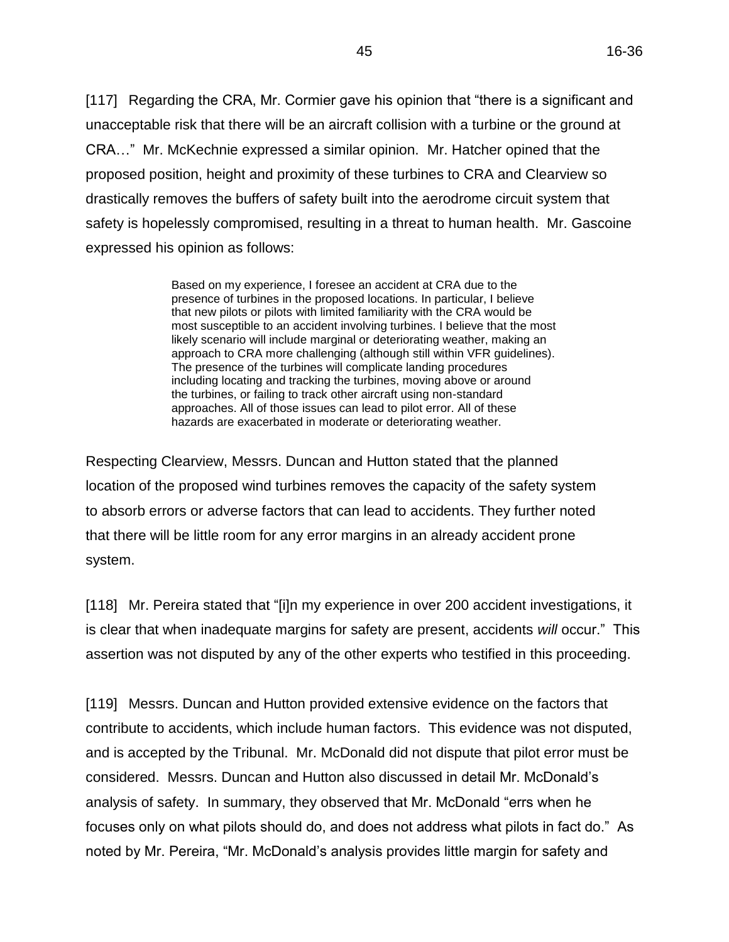[72] The vast majority of takeoffs and landings (approximately 90 per cent) are conducted under VFR. Most of the pilots that land at CRA are recreational pilots, travelling from other regional airports either for tourism purposes, commuting between urban centres, or logging training or certification hours. These pilots generally do not have sophisticated Global Positioning Systems ("GPS") in their planes, nor do they generally have early warning/collision avoidance technology. Some do not have even communication radios on board.

[73] The remaining 10 per cent of takeoff and landings are flights conducted under IFR. IFR is utilized by some recreational pilots and pilots flying corporate and charter jets. IFR is also utilized by Emergency Medical Services and military (Department of National Defence) Med Evac jets that are returning sick tourists, and military Search and Rescue.

## *Activity Profile of Clearview*

[74] Clearview was registered with Transport Canada in 2011 as an aerodrome. It is located a few kilometres south of the CRA. It has one 1,953 foot grass runway located on land privately owned by Mr. Elwood, who is one of the Appellants in this proceeding. As previously noted, airspace at Clearview is uncontrolled. As a registered aerodrome, the Clearview runway is open to the public. Mr. Elwood estimates that, on average, there are 400 takeoffs and 400 landings per year at the strip. It is used year-round as a destination and a departure point for local pilots and for Mr. Elwood and his sons. When there is snow, the runway is principally used for flight training on skis.

[75] Mr. Elwood's witness statement indicates that:

Clearview Field provides an operating environment where new pilots can develop sound pilot making decision [sic] skills as the aerodrome requires consideration of all operating conditions to ensure a safe completion of each flight. This is important when a pilot transitions into piloting aircraft unsupervised or in an off airport environment such as float flying and bush flying. Local flight instructors in the area use Clearview Field as a training environment for emergencies and short field decision making.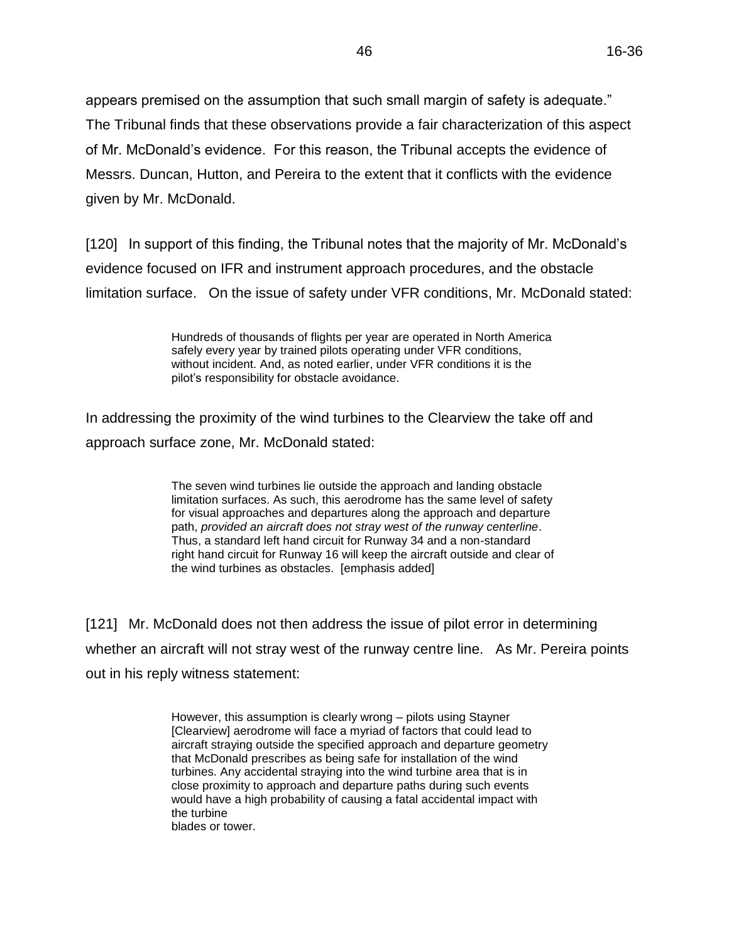### *Communication Services Provided by the CRA and Clearview*

[76] As previously noted, the CRA and Clearview are uncontrolled airspaces, which means that they do not provide communications from an air traffic control tower or control unit. Under the federal aviation regime, certain geographic areas have a mandatory radio frequency service which could provide radio-equipped aircraft with some information to assist an approaching pilot, either directly on the field or remotely from a monitoring location. However, neither the CRA nor Clearview are located in one of these areas.

[77] The CRA has does have a radio transmission service that broadcasts on a specified universal communication frequency (described as a "Unicom"). If they have a radio, all pilots within five nautical miles and flying at 3,700 feet above sea level or below are expected to tune into this Unicom frequency to broadcast their intentions to other aircraft in the area and to monitor the broadcasts of other aircraft in the area. The Unicom is at times monitored from the ground by CRA staff who may, if present, respond to an approaching pilot who requests information. Typical information provided to an approaching aircraft on a Unicom includes identification of the active runway and wind strength and speed, if that information is available. However, there is no requirement that the Unicom actually be operated by anyone at the CRA, and no requirement that someone operating the Unicom have proper training to provide information.

[78] Although the CRA reports weather information for pilots, it is not recorded. CRA's Limited Weather Observation System reports temperature, dew point, wind speed and direction, visibility and local air pressure conditions so pilots can manually adjust their altimeters. The CRA does not provide reports on snow conditions and cloud coverage, and CRA staff are not qualified to give verbal weather information. The CRA neither measures nor reports on the altitude of the cloud ceiling, as it does not have the radar equipment to do so. The CRA also does not provide information on runway conditions. Environment Canada maintains weather stations that report on conditions over the past 24 hours, including the following specific data: cloud conditions, temperature, wind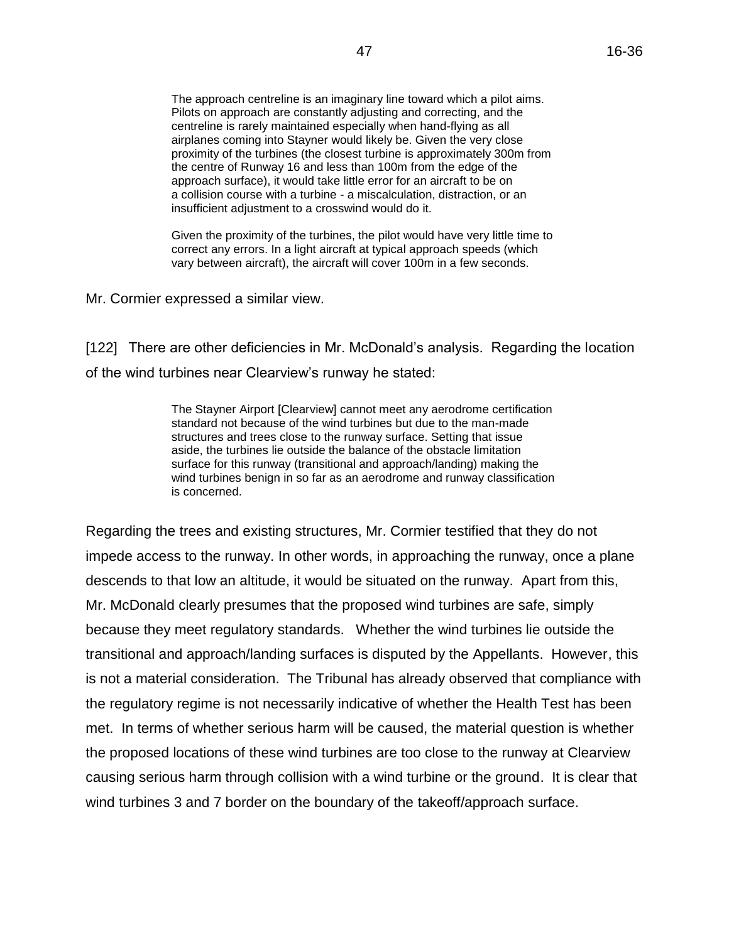velocity and direction, Humidex, relative humidity, dew point, atmospheric pressure, and visibility. This data is published on the Internet and is accessible by the public. As Environment Canada does not operate a weather station at Collingwood, pilots must refer to the nearest weather stations located at Canadian Forces Base Borden, Wiarton, or Muskoka. The Appellants state however that local weather conditions at these stations often differ from those at Collingwood.

[79] As a small aerodrome, Clearview does not provide any weather reporting services. Pilots using the Clearview runway may communicate via the Unicom as described above. NAV CANADA's Canada Flight Supplement, which provides information on airports and registered aerodromes in Canada, identifies Mr. Elwood as the aerodrome operator, and provides his telephone contact information.

## *Flight Training in Canada*

[80] Pilot licences are issued and regulated by Transport Canada. Flight training includes three main components: training where the student pilots a plane under the supervision of the flight trainer; classroom training, which may include computer flight simulator training; and a written examination and flight test. There are several types of licences, including: private, commercial, and recreational pilot licence. Most of the flight traffic at the CRA is conducted by pilots holding either a recreational pilot's licence or private pilot licence.

[81] To obtain a recreational pilot's licence, the student pilot is required to complete 25 hours of in-flight training, pass a written test (minimum 60%), and pass a flight test conducted by an approved Transport Canada examiner. A pilot holding a recreation pilot's licence is restricted to flying aircraft with four seats or less, and may carry only one passenger. The recreational pilot is permitted to fly under VFR, but not IFR.

[82] The requirements to obtain a private pilot licence are more rigourous. The student pilot must complete 45 hours of flight training, which must include three hours of cross-country flight, and five hours of flight under IFR. In this training, pilots gain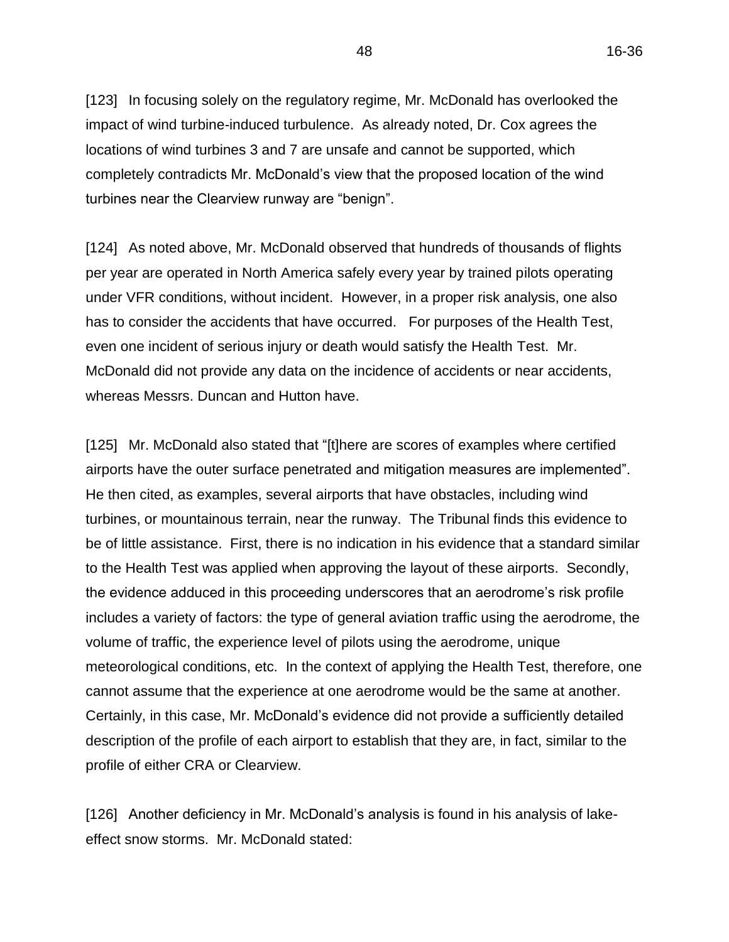extensive experience in all aspects of aircraft handling, emergency procedures, radio procedures, navigation and basic instrument handling. The private student pilot must also complete 45 hours of classroom training, and then is tested by a Transport Canada examiner.

# *Profile of the Genesis Flight Training School*

[83] The Genesis Flight Centre and Genesis Flight College, ("Genesis") is a flight training school located at the CRA. Genesis is certified by Transport Canada as a flight training unit to provide training for all aeroplane category licences and ratings, and is registered by the Ministry of Training, Colleges and Universities as a private career college. Genesis trains at least 30 pilots a year, flying 2,000 flight hours per year, and has plans for expansion. Genesis has trained a total of 152 pilots over the last four years for either a license or rating. At Genesis, the majority of pilots are trained in VFR. In terms of the benefits of the CRA location for Genesis, its manager, Mr. Gascoine explained:

> The CRA is a popular location for flight training by flight schools based in other airports in Southern Ontario. There are very few large obstacles compared to metropolitan areas like Toronto, Markham, etc. With fewer obstacles, the stress associated with learning to take-off, learning to land, or practicing a missed approach is lessened. At approximately 30 minutes flying time from the Toronto area, the CRA is a good travelling distance from other Regional Airports for training flights, and we receive a large number of training pilots from across the region during mandatory cross country training flights. The CRA is also a tourist destination airport for many licensed pilots from as far away as Ottawa and Sarnia.

*Description of the Height of the Proposed Wind Turbine and their Proposed Locations Relative to the CRA and Clearview Runways*

[84] The Project Description Report for the Project, introduced into evidence by Dr. Cox, indicates that the hub height of each wind turbine is 100 metres, and the blade length is 45.2 metres (148.29 feet), which means the wind turbine will be 145.2 metres (476 feet) tall as measured to the highest point reached by the tips of the turbine's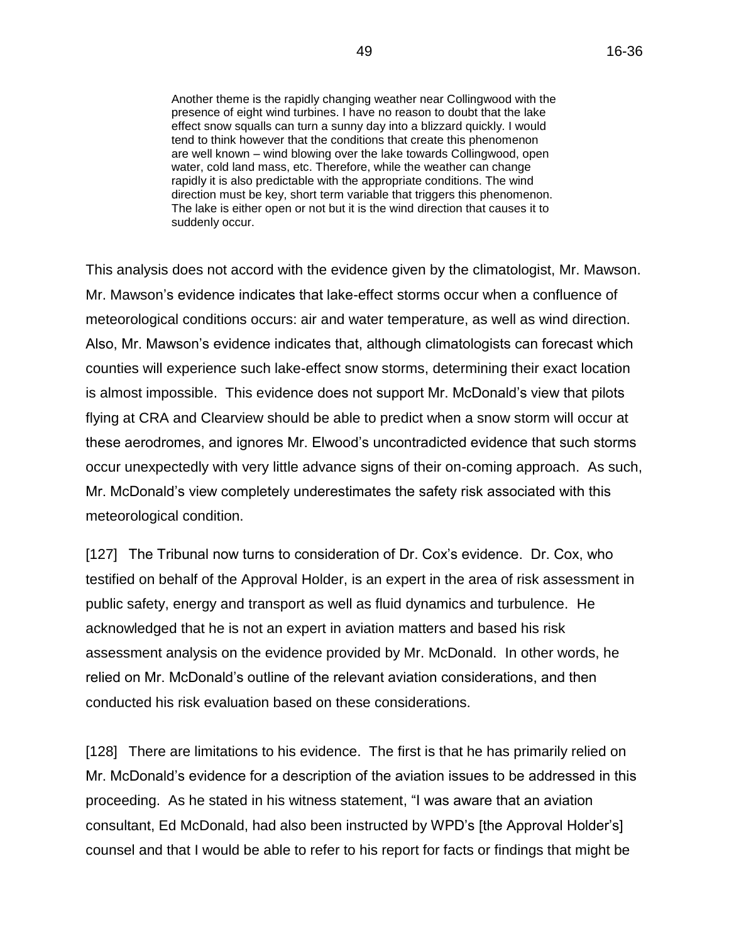rotating blades. The rotor diameter is 92.5 metres (303 feet). Therefore, five rotor diameters is 462 metres (1,517 feet).

[85] The evidence adduced in this proceeding reports altitude in feet, so vertical height or altitude is measured in feet, while horizontal distances are measured in metres.

[86] The proposed locations of the Project's eight wind turbines in relation to the CRA and Clearview are best described visually. The Tribunal has used black and white copies of colour maps adduced into evidence. Attached to this Order as Appendix 2 is a map showing the proposed location of turbines 1, 3, 4, 5, 6, and 8 in relation to the CRA's main paved runway and the notional centreline of a standard left-hand circuit. Attached to this Order as Appendix 3, is a map of proposed location of turbines 1, 2, 3, 4, 5, 6 and 7 in relation to the Clearview runway and takeoff and landing zones. This particular map also depicts the five diameter turbulence zone around each turbine. Both of these maps confirm that the proposed locations of the wind turbines are in close proximity to the CRA and Clearview runways.

[87] For the purpose of this Order, it is useful to describe the distance, on the ground, between the wind turbines and the runways. Because planes are constantly moving forward at relatively high velocities, it is also useful to describe the amount of time that a plane will take in travelling over these ground distances. As previously noted, different categories of planes fly at different velocities. As the evidence indicates that the vast majority of takeoffs and landings at CRA and Clearview are by planes falling in Category A or B, the Tribunal has chosen the start of the velocity range for Category B (120 knots or 61.73 metres per second). This velocity is also the fastest speed for Category A, so 61.73 metres per second is fairly representative for the majority of air traffic at both the CRA and Clearview runways. However, it must be recognized that the time to cover the ground distance will be longer for planes travelling at less than 120 knots per hour, and shorter for planes that travel faster.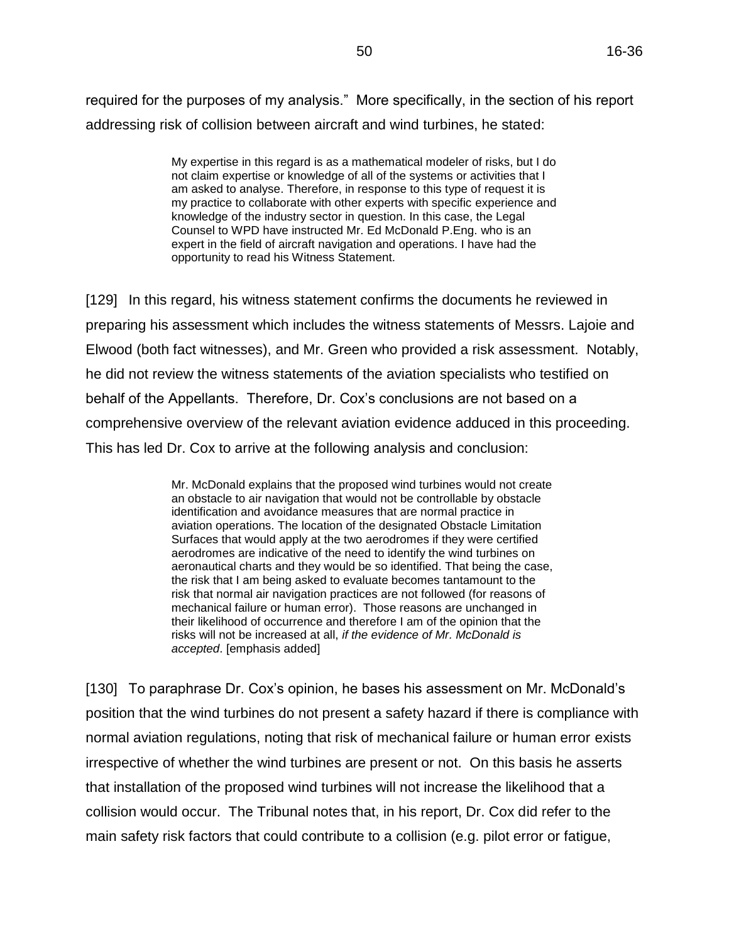[88] As previously noted, circuit paths are notional path locations in the air, and their exact location is, to some degree, a matter of opinion. To provide a more concrete description of distance, it is helpful to identify the distance between fixed identified points on the ground, in this case, the end of the runway and the proposed location of the wind turbine. The following diagram taken from Dr. Cox's report visually provides this information:



[89] Using the distance legend on the map at Appendix 2 for the CRA runway, the shortest distance between wind turbines 1, 3, 4, and 8 and end of the runway (RN31) are in the range of 3,078 to approximately 4,000 metres. The time to travel 4,000 metres is 65 seconds. Wind turbine 5 is approximately 4,500 metres from the end of the runway, and wind turbine 6 is 5,000 metres away, so the respective travel times are 73 seconds and 81 seconds.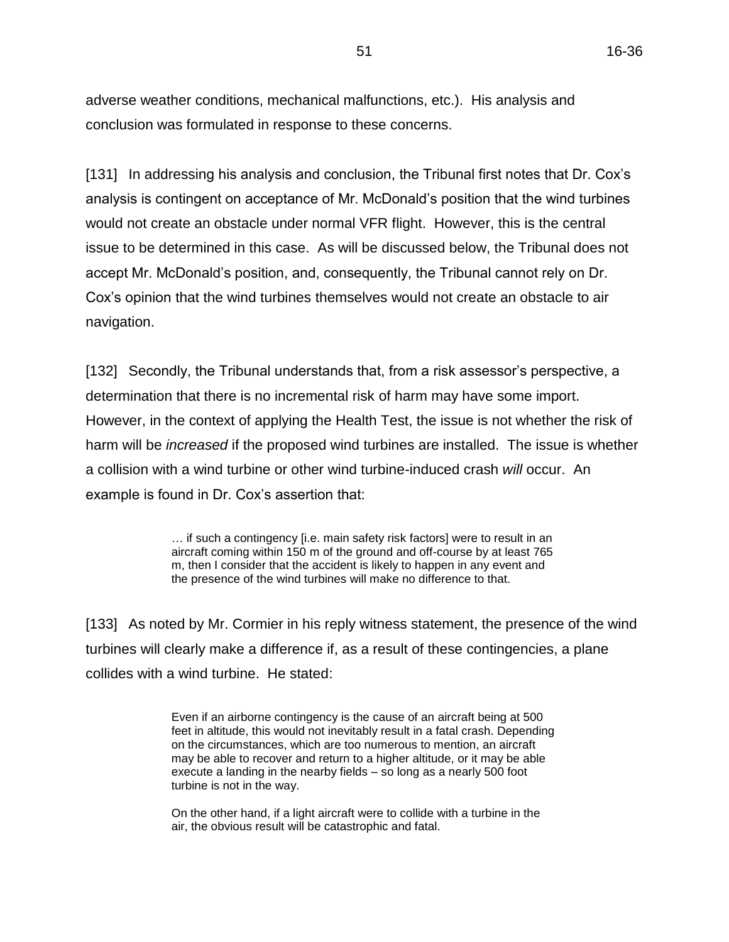[90] Using the distance legend on the map at Appendix 3 for the Clearview runway, wind turbines 1, 3, 4, 5, 6, and 8 are all located within 1,500 metres from the end of the runway (RN16). The time to travel this distance is 24 seconds. Wind turbines 7 and 2 are, respectively, almost 2,000 and 3,000 metres from the other end of the runway (RN34). The travel times, respectively, are 32 and 49 seconds.

[91] The safety concern expressed by Mr. Elwood, and the other Appellants, relates to the proximity of all 8 wind turbines to the takeoff, transition and approach surfaces for the Clearview runway. Evidence provided by Messrs. Duncan and Hutton provides additional information regarding the distance between each of these wind turbines and the notional centre line of the approach surfaces at each end of Clearview runway. This centre line can be thought of as a notional line extending the runway from both ends. The following table provides the shortest distance between each wind turbine and the Clearview runway centre line, together with the amount of time, in seconds to travel this distance (fractional numbers are rounded upward), assuming a velocity of 61.73 metres per second.

| <b>TURBINE</b> | <b>DISTANCE TO</b><br><b>CENTRE LINE</b><br>(metres) | <b>TRAVEL TIME</b><br>(seconds) |
|----------------|------------------------------------------------------|---------------------------------|
|                | 631                                                  | 10                              |
| 2              | 1917                                                 | 31                              |
| 3              | 324                                                  | 5                               |
|                | 615                                                  | 10                              |
| 5              | 887                                                  | 14                              |
|                | 904                                                  | 15                              |
|                | 282                                                  | 5                               |
|                | 950                                                  | 15                              |

[92] As Appendix 3, and the above data indicate, wind turbines 1 and 3 through 8 are all in close proximity to the centre of the Clearview runway. In particular, wind turbines 3 and 7 fall within the 5 diameter hazard zone (462.5 metres) for wind turbulence.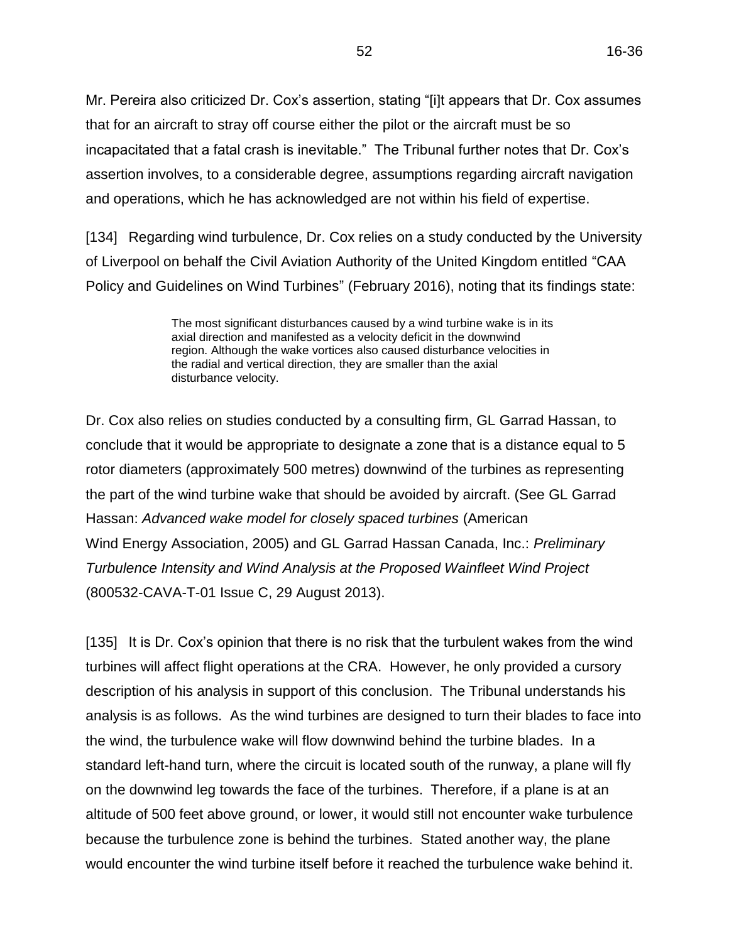# *Findings on Issue No. 1*

## *The Position of the Responding Parties*

[93] At the hearing, both the Approval Holder and the Director held the position that engaging in the Project in accordance with the REA will not cause serious harm to human health. However, in his final submissions, the Director qualified his position in light of evidence adduced at the hearing. Specifically, Dr. Cox, in cross-examination, agreed that there was an unacceptable safety risk with respect to wind turbines 3 and 7, as planes taking off or landing at the Clearview runway would be flying in the turbulence zone at a distance of just three rotor diameters of one or the other of these wind turbines. Consequently, the Director states:

> As it was the opinion of all expert witnesses, who opined on turbine wake, whether they were called for the appellants or the respondents, that there was an unacceptable safety risk where turbines are located within 5 rotor diameters from the centreline approach, the Director can no longer support the locations of turbines 3 and 7 as currently approved. The Director takes no position on whether this evidence meets the test for serious harm to human health.

#### *The Legal Test*

[94] The issue the Tribunal must address is whether the Appellants have, on a balance of probabilities, established that the Health Test has been met. It is not disputed that the harm, if it occurs, would be due to: (i) injuries sustained if a plane collides directly with a wind turbine; or (ii) a crash, resulting from collision with a wind turbine, or loss of navigational control due to the positioning of the turbines or due to wind turbulence produced by a wind turbine. There also is no dispute that the harm would likely be serious, in that it would likely result in serious physical injury or death. Therefore, the central issue in this proceeding is whether such harm will occur due to the proposed locations of the Project's eight wind turbines.

[95] As noted in *Pitt v. Director, Ministry of the Environment,* [2014] O.E.R.T.D. No. 29 ("*Pitt*"), the burden of proof to establish the "will cause" requirement of the Health Test,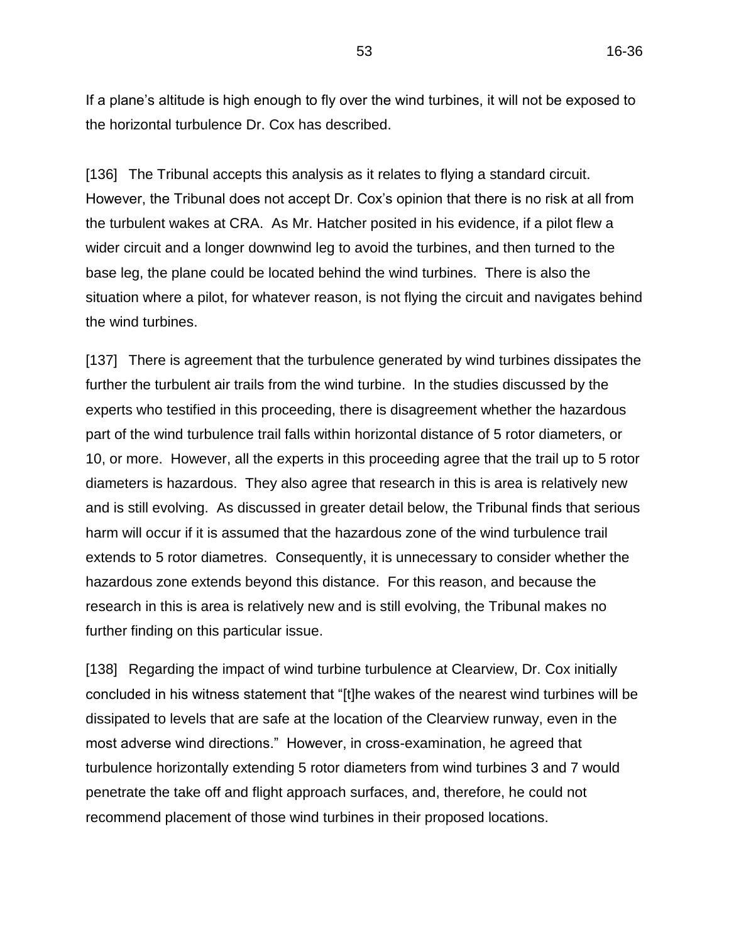38 16-36

is not lessened because of the severity of the harm that will occur. As noted in *Erickson v. Ontario (Director, Ministry of Environment)*, [2011] O.E.R.T.D. No. 29 ("*Erickson*"), in addressing causation, the Tribunal may consider the cumulative and synergistic effects of multiple direct and indirect impacts.

[96] The first step is to determine whether the Health Test has been met, when assessed in light of the current existing operations at CRA and Clearview. In previous renewable energy appeal decisions, the Tribunal's analysis has typically conjointly considered both the evidence respecting harm and the ameliorative impacts of proposed mitigation. However, based on the evidence and submissions of the parties in this proceeding, the Tribunal considers that its analysis will be clearer if the Tribunal first considers whether the Health Test has been met in the context of the current operations at CRA and Clearview. If the Tribunal finds that the Health Test has been met, the Tribunal will then consider the impact of the Approval Holder's proposed mitigation measures.

[97] Mitigation measures may be implemented at a project site on lands within the management and control of an approval holder. However, the Approval Holder's evidence respecting mitigation measures, other than implementing the lighting requirements set out in the CARS, relates solely to operational changes at CRA and Clearview, which are not within the Approval Holder's control.

[98] The Approval Holder cannot force CRA or Clearview to change their operations. However, the wording of the Health Test makes it clear that whether the Project will cause serious harm to human health is not limited to geographical or property boundaries. Therefore, in determining whether harm will occur, the Tribunal will consider whether operational mitigation measures implemented at the CRA or Clearview aerodromes would reduce the likelihood of harm, irrespective of whether CRA or Clearview would agree to implement such measures.

[99] However, the Tribunal must evaluate whether the proposed mitigation measures are both feasible and will reduce the likelihood of harm. The reason for this is obvious. Even where a proposed mitigation measure could in principle reduce the level harm or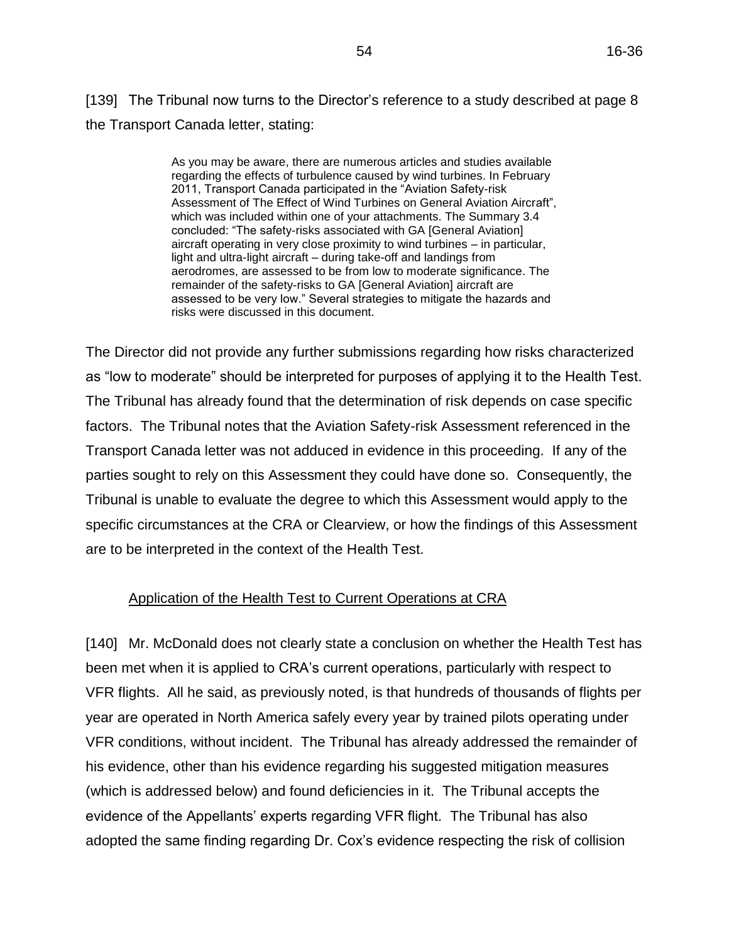the risk that such harm will occur, it will achieve neither if it is not implemented. Whether a mitigation measure is feasible must be determined on the facts of each individual case. For example, a mitigation measure that would require CRA or Clearview, or the pilots flying there, to operate in contravention of the CARS, which is federal law, cannot be implemented, and, therefore, is not feasible. As well, a mitigation measure that would require error-free piloting is unlikely to be implementable, and, therefore, is not feasible.

[100] In this proceeding, a great deal of evidence was adduced regarding the federal aviation regime, more specifically, the requirement to avoid obstacles within the zone described as the obstacle limitation surface. Although it is acknowledged that this requirement is mandatory only for airports, the Appellants emphasize that this requirement should, nevertheless, be considered by the Tribunal, as it represents safe practice and is recommended by Transport Canada to be applied to all aerodromes. While minimum safety measures have some relevance, it is, nonetheless, important to note that regulatory authorities, in this case Transport Canada and NAV CANADA, may suggest or impose higher restrictions, even where the risk of harm is low, because they consider it is prudent to do so as a safety measure.

[101] As noted in *Pitt*, at para. 231:

… in this case, the Tribunal must make findings respecting the Health Test, which is very specific. It must be shown the serious harm will occur. Hence, the regulatory policies, in and of themselves, are not evidence that harm will occur, unless they are based on other supporting evidence which indicates that harm will occur. In such circumstances, it is the supporting evidence that would be probative, not the policy itself.

The Tribunal received no evidence to suggest that the requirements of the federal aviation regime meet the stringent standard set out in the Health Test. Consequently, while safety requirements in the federal aviation regime may be indicative that harm *may* occur, they are, in and of themselves, not conclusive that harm *will* occur.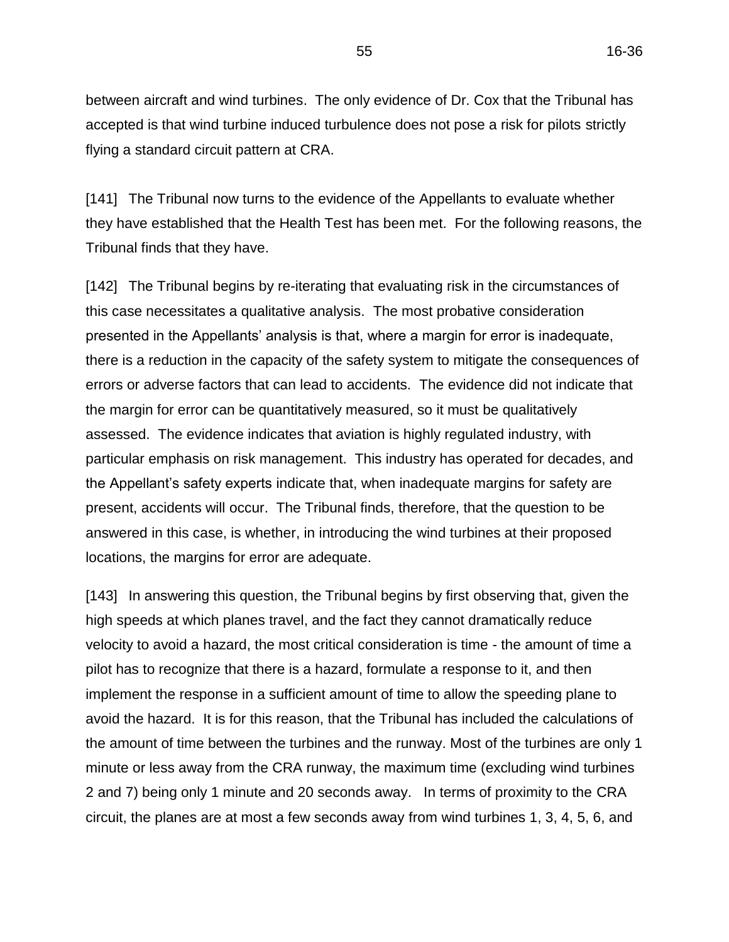[102] The Tribunal now turns to the Approval Holder's submission regarding Condition O1 of the REA, which provides that mitigation measures relating to safety at CRA and Clearview will be recommended. This Condition states:

> O1. The Company shall retain an independent aeronautical consultant who has not represented the Company and was not involved in any of the studies submitted as part of the Application. *The independent aeronautical consultant shall recommend mitigation measures that, given the presence of the Equipment included as part of this Approval, and the governing Canadian Aviation Regulations (CARs) and Standards, will enable Collingwood Regional Airport and Stayner (Clearview Field) Aerodrome to fulfill their duties related to safety* [emphasis added].

[103] The Approval Holder submits that the impact of wind turbulence would also be considered under this condition:

> Moreover, the impact of wake turbulence, if any, would necessarily be considered in connection with the development of mitigation measures under Condition O of the REA which measures, as discussed above, the Tribunal must take as given in the course of its analysis under s. 145.2.1 of the *EPA* with respect to engaging in the Project *in accordance with* the REA.

[104] The Tribunal accepts that engaging in the Project in accordance with the REA necessitates consideration of all the conditions of the REA. However, for the following reasons, the Tribunal does not accept the Approval Holder's submission that the Tribunal must "take as given" that effective and feasible mitigation measures will be developed. If the requirement to mitigate the impacts of wind turbulence is to be determined and addressed in accordance with Condition O1, this will only occur if and when the Director's decision to issue the REA is confirmed. Hence, the net effect of this interpretation is to preclude the Tribunal from considering the impacts of wind turbulence, or any other risk of harm, in the context of determining whether the Health Test has been met. The Tribunal's jurisdiction under s.145.2.1 of the *EPA* cannot be ousted in this manner.

[105] Furthermore, in order for the Tribunal to consider a proposed mitigation measure, it must be described with sufficient particulars, so that the Tribunal can adequately assess whether such a measure can reduce the level of harm or the risk that such harm will occur. A proposal that delegates development of precise mitigation measures to a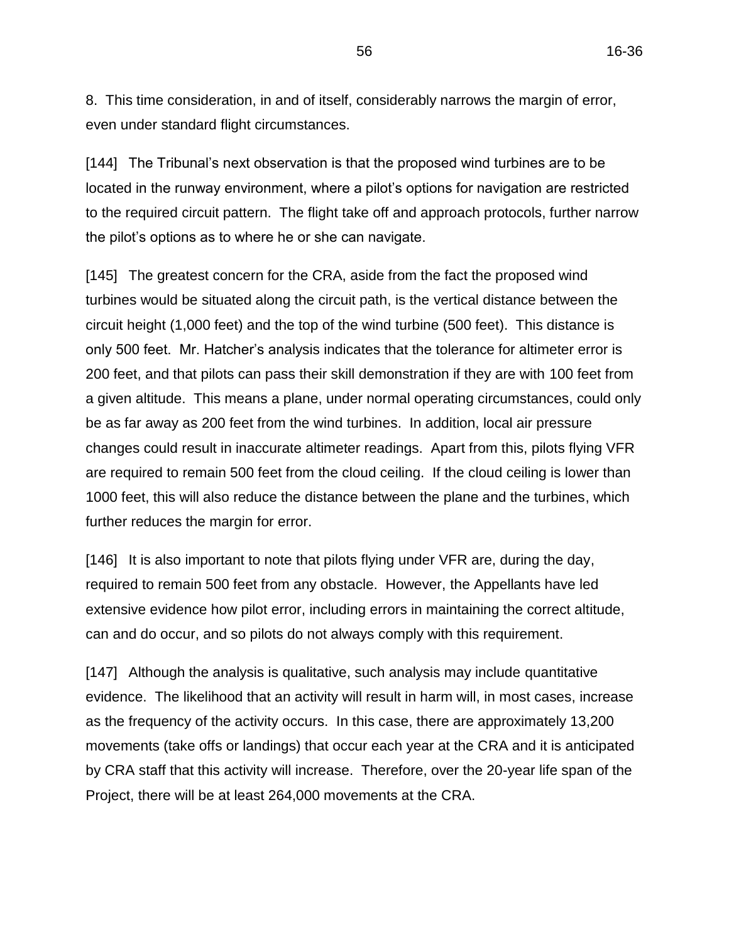third party at some later date is clearly insufficient. Condition O1 may have some benefits in addressing aviation-related issues that arise in the future after completion of this proceeding, but it is not a sufficiently particularized measure that can assist the Tribunal when applying the Health Test in this appeal hearing.

#### *Assessing Causation - Quantitative versus. Qualitative Assessment*

[106] Once it is determined that certain events, if they occurred, would result in serious harm to human health, it then becomes necessary to determine whether such events will occur at some time during the 20-year lifetime of the Project. Regarding the scientific evidence, two main analytical approaches to the causation issue have emerged from previous renewable energy approval appeal decisions. They are described as a quantitative assessment and qualitative assessment.

[107] A quantitative assessment can generally be described as a statistical probability assessment of risk. This approach analyzes information and data on the frequency of an event in the past in order to establish the likelihood of the incidence of the event over time. If it is accepted that such past experience may reflect future experience, the probability of future events can then be predicted.

[108] A qualitative assessment is a subjective evaluation of risk based on personal, albeit professional, judgement. Such judgments include an evaluative analysis provided by qualified individuals based on their expertise, i.e. their training, education, and/or experience. However, it is important to note that such subjective evaluations must be supported by information and analysis. Persons possessing the requisite training, education, and experience have acquired knowledge and information over time which informs their conclusions.

[109] There are advantages and disadvantages to both approaches. Neither approach can predict with absolute certainty whether a future event will occur. In *Erickson* at para. 629, the Tribunal stated: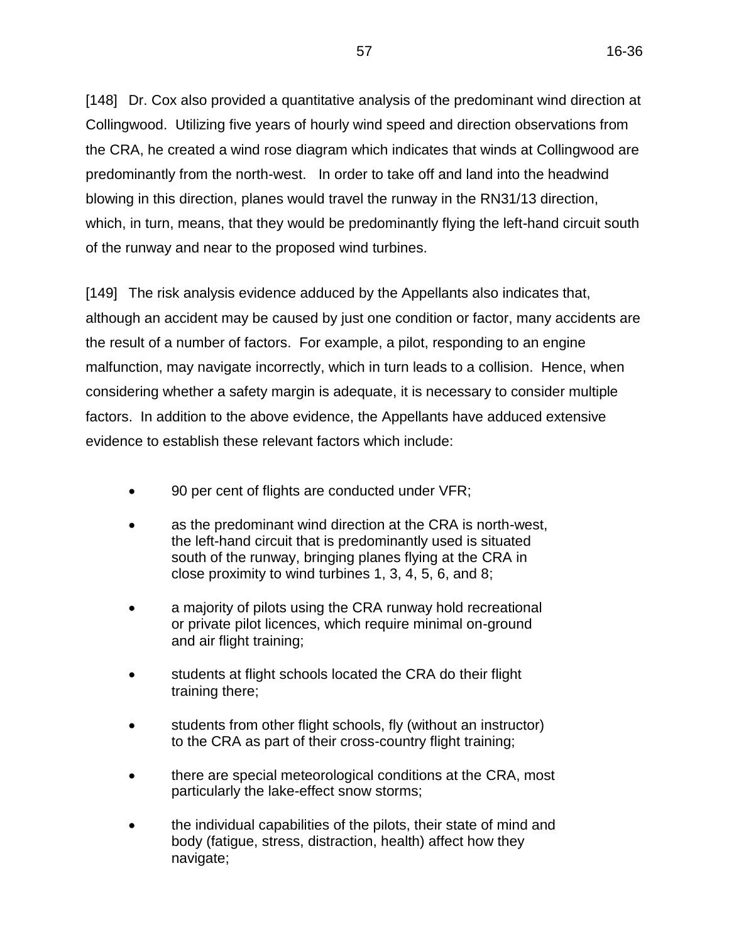The Tribunal is to determine whether specified harms will be caused according to the applicable legal standard, which is a balance of probabilities. That standard is not the exact same standard used by scientists, statisticians or medical experts. The Tribunal will take its direction on determining whether the Appellants have proven that harm will be caused according to the legal concepts of proof and causation. In doing so, it will assess the scientific evidence and consider which approaches to causation and proof were used in that evidence.

Therefore, the Tribunal will carefully consider the probity of the information and analysis provided in support of either assessment methodology.

[110] In this proceeding, the experts agree that it is not possible to do a quantitative risk analysis regarding the potential for serious harm to human health caused by the Project. As Dr. Cox indicated in his report, any attempt to quantify the incremental risk by theoretical modelling would be so dependent upon assumptions and the choice of scenarios that it would be of no assistance to the Tribunal. He explained in oral testimony:

> You would have to evaluate an astronomical number of scenarios to do it by the method of normal quantitative risk assessment. And one of the particular reasons why I say that in this case is we are dealing with pilot aircraft, so they're under human control, and they can react to situations and that's how they do, and that's a problem that doesn't relate itself to quantitative risk assessment very well.

[111] Dr. Cox, who was called by the Approval Holder, provided a qualitative risk analysis. The Approval Holder nonetheless, asserts that a quantitative probability assessment is necessary in order to determine whether the Health Test has been met. In this regard, the Approval Holder cites *Pitt*, at para. 235:

> … specific opinion regarding the probability that serious harm will occur (i.e., its likelihood) is often much more useful than a general opinion that serious harm will occur. Generally speaking, less weight is given to an expert opinion that fails to set out the specific pathways used in reaching a conclusion in terms of data, assumptions, and analysis.

The Tribunal notes, however, that this observation only refers to the requirement that an expert opinion should be supported by data, assumptions and analysis. The Tribunal did not indicate in *Pitt* that a quantitative analysis is necessary in order to determine whether the Health Test has been met, nor did the Tribunal state that a quantitative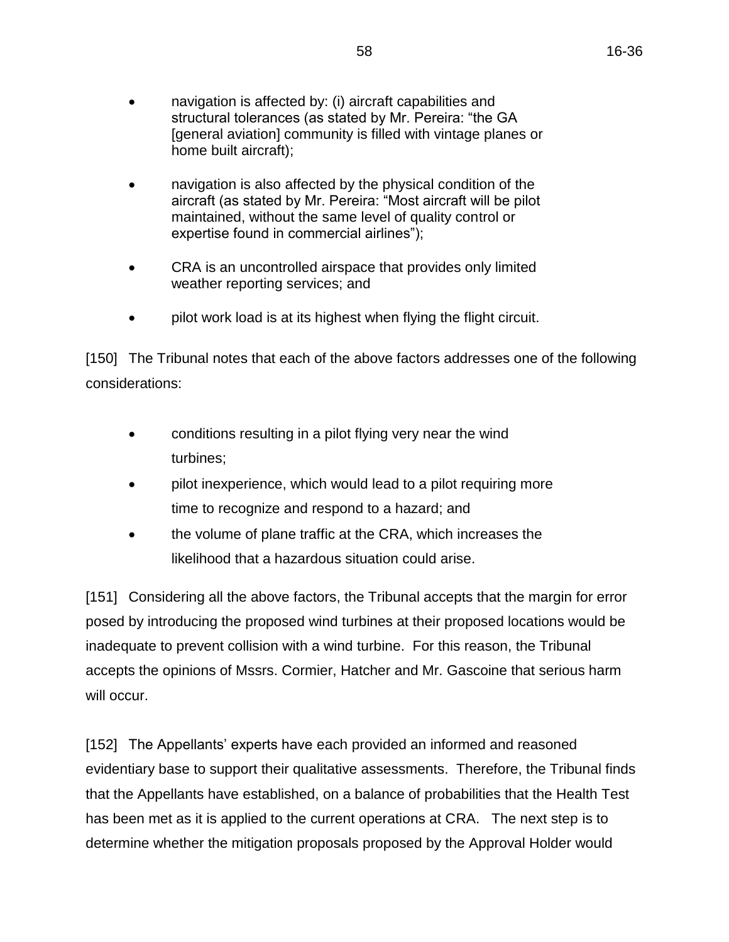analysis should be preferred over a qualitative analysis. In *Pitt*, The Tribunal considered and weighed the evidence provided under both assessment methodologies. Furthermore, the validity of a qualitative analysis has been recognized by the Ontario Court of Appeal in *Ostrander Point GP Inc. v. Prince Edward County Field Naturalists*, [2015] O.J. No. 1988 ("*Ostrander*"). At para. 66, Juriansz J.A. stated:

> The Divisional Court did say that mathematical precision was not required, but it seems to me the court thought it necessary the Tribunal be able to make calculations using quantitative orders of magnitude that proved that road mortality would lead to a decline in the population resulting in eventual extinction. I do not accept that. *It was for the Tribunal to decide whether the qualitative indications of magnitude the experts proceeded upon provided an adequate base for their conclusions.* [emphasis added]

The Director maintains that the issue in *Ostrander* was whether evidence on population numbers of a threatened species was required to prove harm, and takes the position that this is a different test than the test to be applied by the Tribunal in this proceeding. However, the Director provided no analysis to further explain this position. The Tribunal does not accept the Director's interpretation. The Court, in *Ostrander* clearly found that it was within the Tribunal's jurisdiction to rely on a qualitative assessment as an evidentiary base for its conclusions.

# *IFR Flight*

[112] A considerable amount of evidence was led respecting the issue whether the proposed placement of the wind turbines would have safety impacts when designing instrument approach procedures that must be approved for use by NAV CANADA before they are published for use by pilots. Mr. Simpson, Supervisor of Flight Procedure Design at NAV CANADA, testified that overall, NAV CANADA did not object to the proposed location of the wind turbines, as they did not affect instrument approach procedures maintained by NAV CANADA to the extent that accessibility to the CRA would be impacted beyond reason.

[113] For the following reasons, the Tribunal does not find it necessary to further consider the evidence regarding IFR flight, as it relates to the application of the Health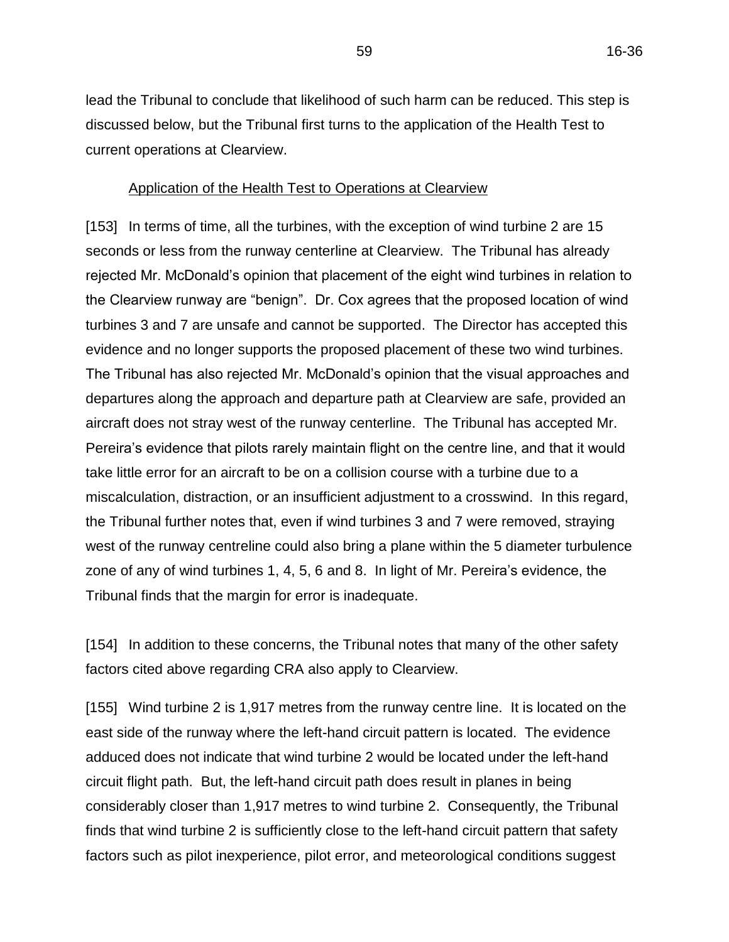44 16-36

Test. Mr. Simpson confirmed that NAV CANADA's review of instrument flight approaches does not include assessment of circumstances where the flight does not conform with regulations, or emergency situations "such as could be induced by inadvertent Visual Flight Rules flight into meteorological conditions not suitable for application of Visual Flight Rules or an inability of an aircraft to maintain required altitude in the event of a mechanical failure." The Tribunal notes that such flight circumstances are precisely the type of situations that other expert witnesses have testified in this appeal could lead to wind turbine collision or wind turbine-induced loss of navigational control.

[114] Furthermore, neither aerodrome has an air traffic control tower, so a pilot flying IFR would still need to confirm the location of other pilots flying in the circuit and ensure that the runway is clear. The Unicom radio system is available for this purpose, but its efficacy depends on the frequency by which other pilots broadcast their locations. Consequently, the Unicom still needs to be supplemented by maintaining visual contact with other pilots within the circuit. In addition, the vast majority of flights at both aerodromes (approximately 90 per cent for CRA) are conducted using VFR.

[115] In summary, the Tribunal notes that a qualitative assessment of whether harm will occur requires a practical consideration of the circumstances in which such harm could occur. In this case, the circumstances in which harm could occur include when pilots fly under VFR or must supplement their IFR flight visually.

*Whether the Health Test is met Based on the Current Profiles of the CRA and Clearview*

#### Review of Expert Evidence

[116] The Tribunal begins with the expert opinion evidence adduced in this proceeding by a climatologist, a public safety risk assessor and aeronautical professionals: engineers, pilots, risk assessors and safety specialists. A total of 15 experts testified, each providing extensive evidence. As noted earlier, the expert opinion provided is based on qualitative assessments. All experts provided a considerable amount of information and technical data to support their analyses and conclusions.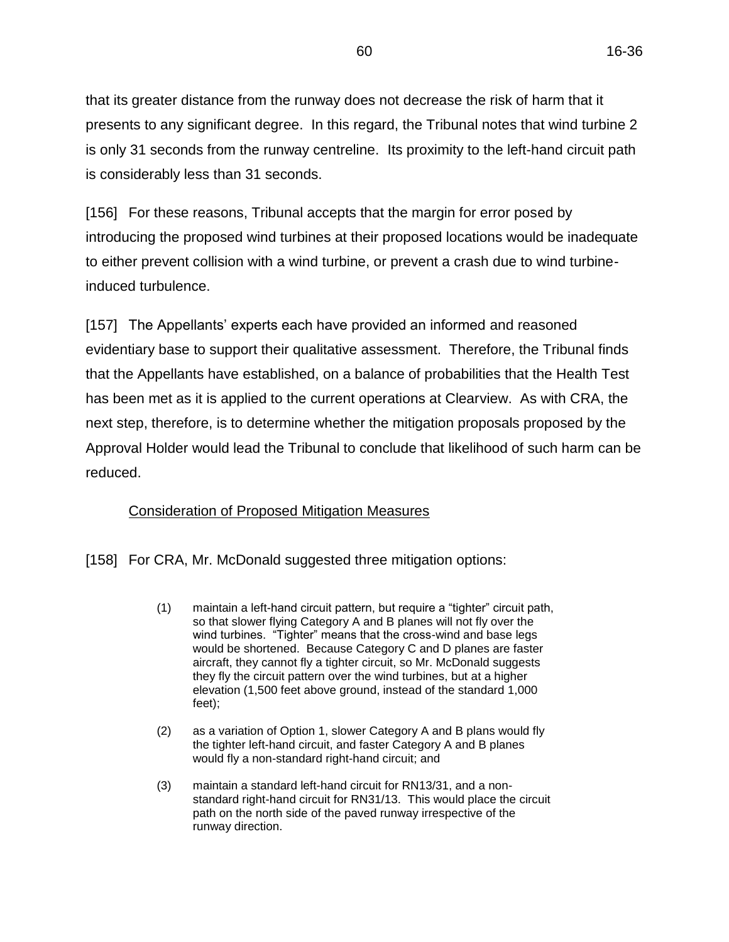[117] Regarding the CRA, Mr. Cormier gave his opinion that "there is a significant and unacceptable risk that there will be an aircraft collision with a turbine or the ground at CRA…" Mr. McKechnie expressed a similar opinion. Mr. Hatcher opined that the proposed position, height and proximity of these turbines to CRA and Clearview so drastically removes the buffers of safety built into the aerodrome circuit system that safety is hopelessly compromised, resulting in a threat to human health. Mr. Gascoine expressed his opinion as follows:

> Based on my experience, I foresee an accident at CRA due to the presence of turbines in the proposed locations. In particular, I believe that new pilots or pilots with limited familiarity with the CRA would be most susceptible to an accident involving turbines. I believe that the most likely scenario will include marginal or deteriorating weather, making an approach to CRA more challenging (although still within VFR guidelines). The presence of the turbines will complicate landing procedures including locating and tracking the turbines, moving above or around the turbines, or failing to track other aircraft using non-standard approaches. All of those issues can lead to pilot error. All of these hazards are exacerbated in moderate or deteriorating weather.

Respecting Clearview, Messrs. Duncan and Hutton stated that the planned location of the proposed wind turbines removes the capacity of the safety system to absorb errors or adverse factors that can lead to accidents. They further noted that there will be little room for any error margins in an already accident prone system.

[118] Mr. Pereira stated that "[i]n my experience in over 200 accident investigations, it is clear that when inadequate margins for safety are present, accidents *will* occur." This assertion was not disputed by any of the other experts who testified in this proceeding.

[119] Messrs. Duncan and Hutton provided extensive evidence on the factors that contribute to accidents, which include human factors. This evidence was not disputed, and is accepted by the Tribunal. Mr. McDonald did not dispute that pilot error must be considered. Messrs. Duncan and Hutton also discussed in detail Mr. McDonald's analysis of safety. In summary, they observed that Mr. McDonald "errs when he focuses only on what pilots should do, and does not address what pilots in fact do." As noted by Mr. Pereira, "Mr. McDonald's analysis provides little margin for safety and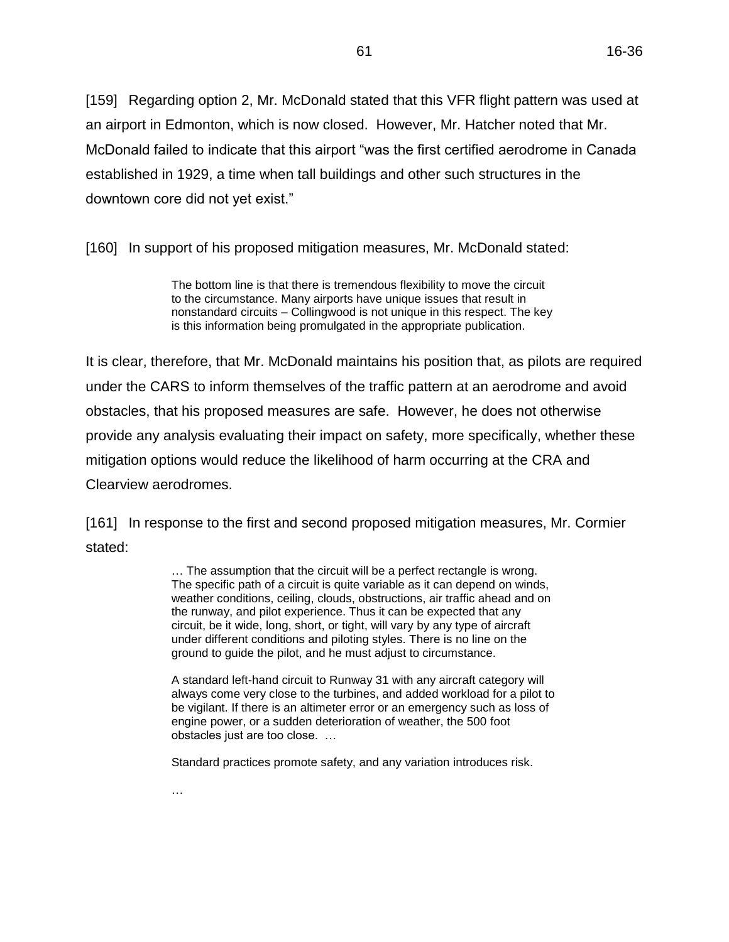appears premised on the assumption that such small margin of safety is adequate." The Tribunal finds that these observations provide a fair characterization of this aspect of Mr. McDonald's evidence. For this reason, the Tribunal accepts the evidence of Messrs. Duncan, Hutton, and Pereira to the extent that it conflicts with the evidence given by Mr. McDonald.

[120] In support of this finding, the Tribunal notes that the majority of Mr. McDonald's evidence focused on IFR and instrument approach procedures, and the obstacle limitation surface. On the issue of safety under VFR conditions, Mr. McDonald stated:

> Hundreds of thousands of flights per year are operated in North America safely every year by trained pilots operating under VFR conditions, without incident. And, as noted earlier, under VFR conditions it is the pilot's responsibility for obstacle avoidance.

In addressing the proximity of the wind turbines to the Clearview the take off and approach surface zone, Mr. McDonald stated:

> The seven wind turbines lie outside the approach and landing obstacle limitation surfaces. As such, this aerodrome has the same level of safety for visual approaches and departures along the approach and departure path, *provided an aircraft does not stray west of the runway centerline*. Thus, a standard left hand circuit for Runway 34 and a non-standard right hand circuit for Runway 16 will keep the aircraft outside and clear of the wind turbines as obstacles. [emphasis added]

[121] Mr. McDonald does not then address the issue of pilot error in determining whether an aircraft will not stray west of the runway centre line. As Mr. Pereira points out in his reply witness statement:

> However, this assumption is clearly wrong – pilots using Stayner [Clearview] aerodrome will face a myriad of factors that could lead to aircraft straying outside the specified approach and departure geometry that McDonald prescribes as being safe for installation of the wind turbines. Any accidental straying into the wind turbine area that is in close proximity to approach and departure paths during such events would have a high probability of causing a fatal accidental impact with the turbine blades or tower.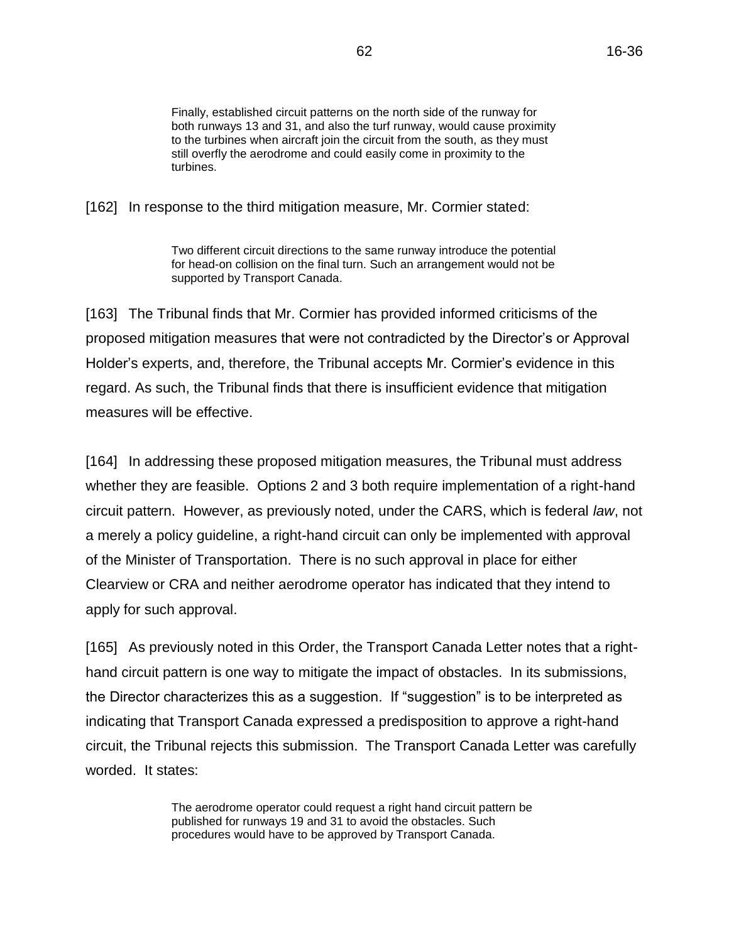The approach centreline is an imaginary line toward which a pilot aims. Pilots on approach are constantly adjusting and correcting, and the centreline is rarely maintained especially when hand-flying as all airplanes coming into Stayner would likely be. Given the very close proximity of the turbines (the closest turbine is approximately 300m from the centre of Runway 16 and less than 100m from the edge of the approach surface), it would take little error for an aircraft to be on a collision course with a turbine - a miscalculation, distraction, or an insufficient adjustment to a crosswind would do it.

Given the proximity of the turbines, the pilot would have very little time to correct any errors. In a light aircraft at typical approach speeds (which vary between aircraft), the aircraft will cover 100m in a few seconds.

Mr. Cormier expressed a similar view.

[122] There are other deficiencies in Mr. McDonald's analysis. Regarding the location of the wind turbines near Clearview's runway he stated:

> The Stayner Airport [Clearview] cannot meet any aerodrome certification standard not because of the wind turbines but due to the man-made structures and trees close to the runway surface. Setting that issue aside, the turbines lie outside the balance of the obstacle limitation surface for this runway (transitional and approach/landing) making the wind turbines benign in so far as an aerodrome and runway classification is concerned.

Regarding the trees and existing structures, Mr. Cormier testified that they do not impede access to the runway. In other words, in approaching the runway, once a plane descends to that low an altitude, it would be situated on the runway. Apart from this, Mr. McDonald clearly presumes that the proposed wind turbines are safe, simply because they meet regulatory standards. Whether the wind turbines lie outside the transitional and approach/landing surfaces is disputed by the Appellants. However, this is not a material consideration. The Tribunal has already observed that compliance with the regulatory regime is not necessarily indicative of whether the Health Test has been met. In terms of whether serious harm will be caused, the material question is whether the proposed locations of these wind turbines are too close to the runway at Clearview causing serious harm through collision with a wind turbine or the ground. It is clear that wind turbines 3 and 7 border on the boundary of the takeoff/approach surface.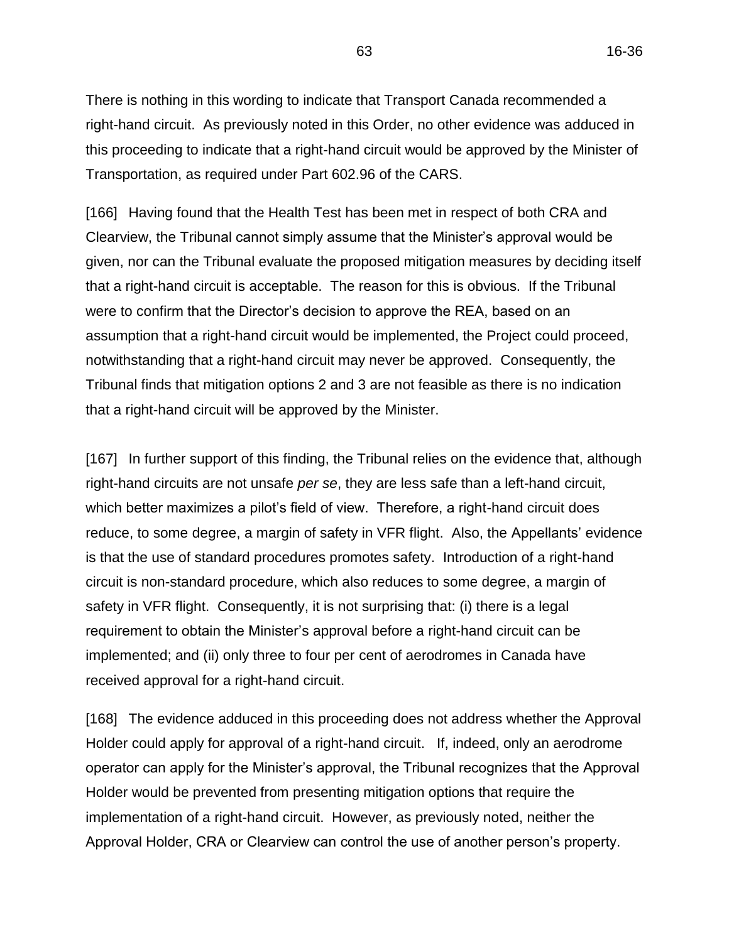[123] In focusing solely on the regulatory regime, Mr. McDonald has overlooked the impact of wind turbine-induced turbulence. As already noted, Dr. Cox agrees the locations of wind turbines 3 and 7 are unsafe and cannot be supported, which completely contradicts Mr. McDonald's view that the proposed location of the wind turbines near the Clearview runway are "benign".

[124] As noted above, Mr. McDonald observed that hundreds of thousands of flights per year are operated in North America safely every year by trained pilots operating under VFR conditions, without incident. However, in a proper risk analysis, one also has to consider the accidents that have occurred. For purposes of the Health Test, even one incident of serious injury or death would satisfy the Health Test. Mr. McDonald did not provide any data on the incidence of accidents or near accidents, whereas Messrs. Duncan and Hutton have.

[125] Mr. McDonald also stated that "[t]here are scores of examples where certified airports have the outer surface penetrated and mitigation measures are implemented". He then cited, as examples, several airports that have obstacles, including wind turbines, or mountainous terrain, near the runway. The Tribunal finds this evidence to be of little assistance. First, there is no indication in his evidence that a standard similar to the Health Test was applied when approving the layout of these airports. Secondly, the evidence adduced in this proceeding underscores that an aerodrome's risk profile includes a variety of factors: the type of general aviation traffic using the aerodrome, the volume of traffic, the experience level of pilots using the aerodrome, unique meteorological conditions, etc. In the context of applying the Health Test, therefore, one cannot assume that the experience at one aerodrome would be the same at another. Certainly, in this case, Mr. McDonald's evidence did not provide a sufficiently detailed description of the profile of each airport to establish that they are, in fact, similar to the profile of either CRA or Clearview.

[126] Another deficiency in Mr. McDonald's analysis is found in his analysis of lakeeffect snow storms. Mr. McDonald stated: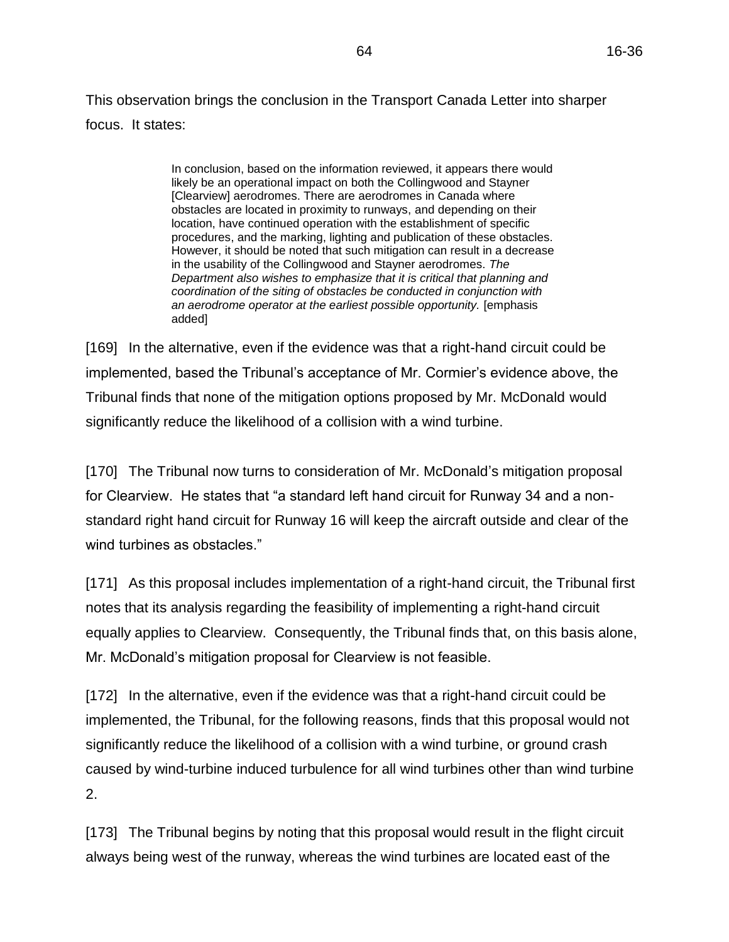Another theme is the rapidly changing weather near Collingwood with the presence of eight wind turbines. I have no reason to doubt that the lake effect snow squalls can turn a sunny day into a blizzard quickly. I would tend to think however that the conditions that create this phenomenon are well known – wind blowing over the lake towards Collingwood, open water, cold land mass, etc. Therefore, while the weather can change rapidly it is also predictable with the appropriate conditions. The wind direction must be key, short term variable that triggers this phenomenon. The lake is either open or not but it is the wind direction that causes it to suddenly occur.

This analysis does not accord with the evidence given by the climatologist, Mr. Mawson. Mr. Mawson's evidence indicates that lake-effect storms occur when a confluence of meteorological conditions occurs: air and water temperature, as well as wind direction. Also, Mr. Mawson's evidence indicates that, although climatologists can forecast which counties will experience such lake-effect snow storms, determining their exact location is almost impossible. This evidence does not support Mr. McDonald's view that pilots flying at CRA and Clearview should be able to predict when a snow storm will occur at these aerodromes, and ignores Mr. Elwood's uncontradicted evidence that such storms occur unexpectedly with very little advance signs of their on-coming approach. As such, Mr. McDonald's view completely underestimates the safety risk associated with this meteorological condition.

[127] The Tribunal now turns to consideration of Dr. Cox's evidence. Dr. Cox, who testified on behalf of the Approval Holder, is an expert in the area of risk assessment in public safety, energy and transport as well as fluid dynamics and turbulence. He acknowledged that he is not an expert in aviation matters and based his risk assessment analysis on the evidence provided by Mr. McDonald. In other words, he relied on Mr. McDonald's outline of the relevant aviation considerations, and then conducted his risk evaluation based on these considerations.

[128] There are limitations to his evidence. The first is that he has primarily relied on Mr. McDonald's evidence for a description of the aviation issues to be addressed in this proceeding. As he stated in his witness statement, "I was aware that an aviation consultant, Ed McDonald, had also been instructed by WPD's [the Approval Holder's] counsel and that I would be able to refer to his report for facts or findings that might be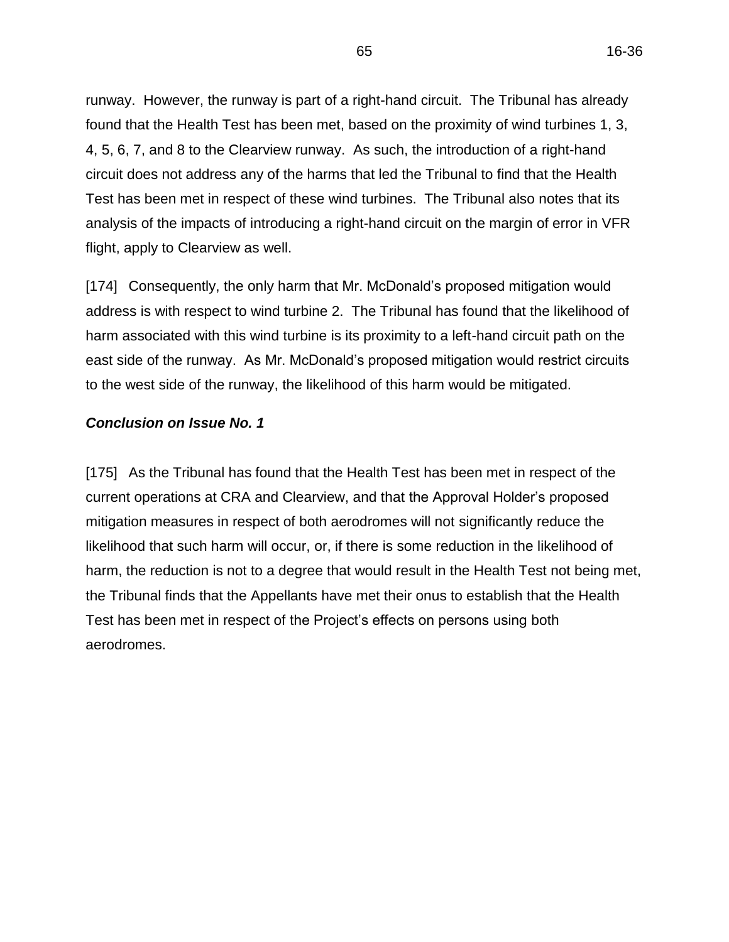required for the purposes of my analysis." More specifically, in the section of his report addressing risk of collision between aircraft and wind turbines, he stated:

> My expertise in this regard is as a mathematical modeler of risks, but I do not claim expertise or knowledge of all of the systems or activities that I am asked to analyse. Therefore, in response to this type of request it is my practice to collaborate with other experts with specific experience and knowledge of the industry sector in question. In this case, the Legal Counsel to WPD have instructed Mr. Ed McDonald P.Eng. who is an expert in the field of aircraft navigation and operations. I have had the opportunity to read his Witness Statement.

[129] In this regard, his witness statement confirms the documents he reviewed in preparing his assessment which includes the witness statements of Messrs. Lajoie and Elwood (both fact witnesses), and Mr. Green who provided a risk assessment. Notably, he did not review the witness statements of the aviation specialists who testified on behalf of the Appellants. Therefore, Dr. Cox's conclusions are not based on a comprehensive overview of the relevant aviation evidence adduced in this proceeding. This has led Dr. Cox to arrive at the following analysis and conclusion:

> Mr. McDonald explains that the proposed wind turbines would not create an obstacle to air navigation that would not be controllable by obstacle identification and avoidance measures that are normal practice in aviation operations. The location of the designated Obstacle Limitation Surfaces that would apply at the two aerodromes if they were certified aerodromes are indicative of the need to identify the wind turbines on aeronautical charts and they would be so identified. That being the case, the risk that I am being asked to evaluate becomes tantamount to the risk that normal air navigation practices are not followed (for reasons of mechanical failure or human error). Those reasons are unchanged in their likelihood of occurrence and therefore I am of the opinion that the risks will not be increased at all, *if the evidence of Mr. McDonald is accepted*. [emphasis added]

[130] To paraphrase Dr. Cox's opinion, he bases his assessment on Mr. McDonald's position that the wind turbines do not present a safety hazard if there is compliance with normal aviation regulations, noting that risk of mechanical failure or human error exists irrespective of whether the wind turbines are present or not. On this basis he asserts that installation of the proposed wind turbines will not increase the likelihood that a collision would occur. The Tribunal notes that, in his report, Dr. Cox did refer to the main safety risk factors that could contribute to a collision (e.g. pilot error or fatigue,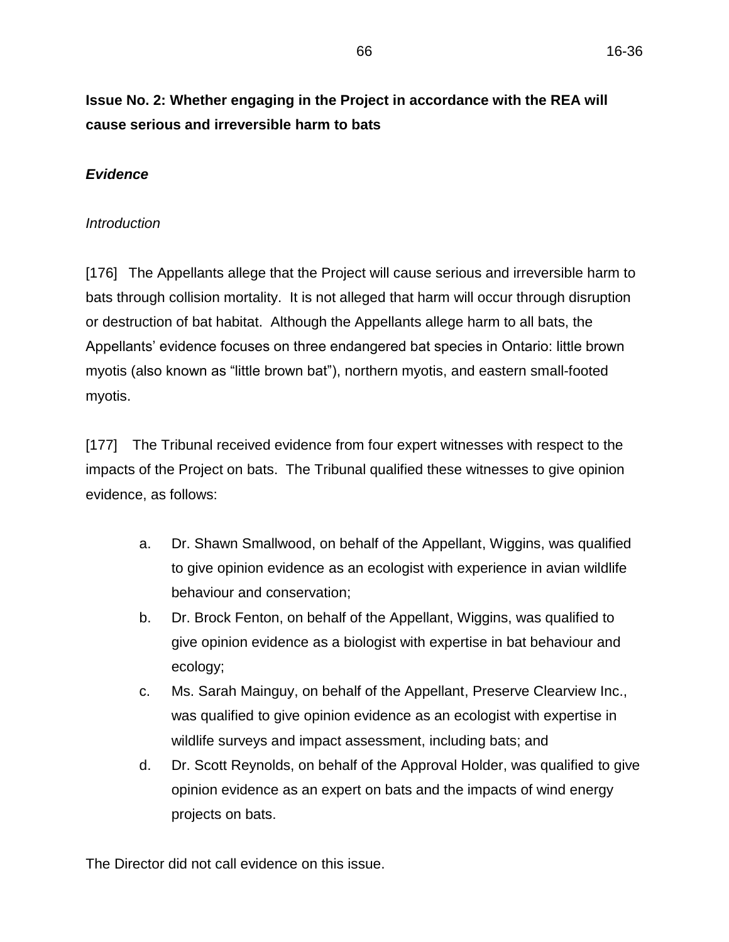adverse weather conditions, mechanical malfunctions, etc.). His analysis and conclusion was formulated in response to these concerns.

[131] In addressing his analysis and conclusion, the Tribunal first notes that Dr. Cox's analysis is contingent on acceptance of Mr. McDonald's position that the wind turbines would not create an obstacle under normal VFR flight. However, this is the central issue to be determined in this case. As will be discussed below, the Tribunal does not accept Mr. McDonald's position, and, consequently, the Tribunal cannot rely on Dr. Cox's opinion that the wind turbines themselves would not create an obstacle to air navigation.

[132] Secondly, the Tribunal understands that, from a risk assessor's perspective, a determination that there is no incremental risk of harm may have some import. However, in the context of applying the Health Test, the issue is not whether the risk of harm will be *increased* if the proposed wind turbines are installed. The issue is whether a collision with a wind turbine or other wind turbine-induced crash *will* occur. An example is found in Dr. Cox's assertion that:

> … if such a contingency [i.e. main safety risk factors] were to result in an aircraft coming within 150 m of the ground and off-course by at least 765 m, then I consider that the accident is likely to happen in any event and the presence of the wind turbines will make no difference to that.

[133] As noted by Mr. Cormier in his reply witness statement, the presence of the wind turbines will clearly make a difference if, as a result of these contingencies, a plane collides with a wind turbine. He stated:

> Even if an airborne contingency is the cause of an aircraft being at 500 feet in altitude, this would not inevitably result in a fatal crash. Depending on the circumstances, which are too numerous to mention, an aircraft may be able to recover and return to a higher altitude, or it may be able execute a landing in the nearby fields – so long as a nearly 500 foot turbine is not in the way.

On the other hand, if a light aircraft were to collide with a turbine in the air, the obvious result will be catastrophic and fatal.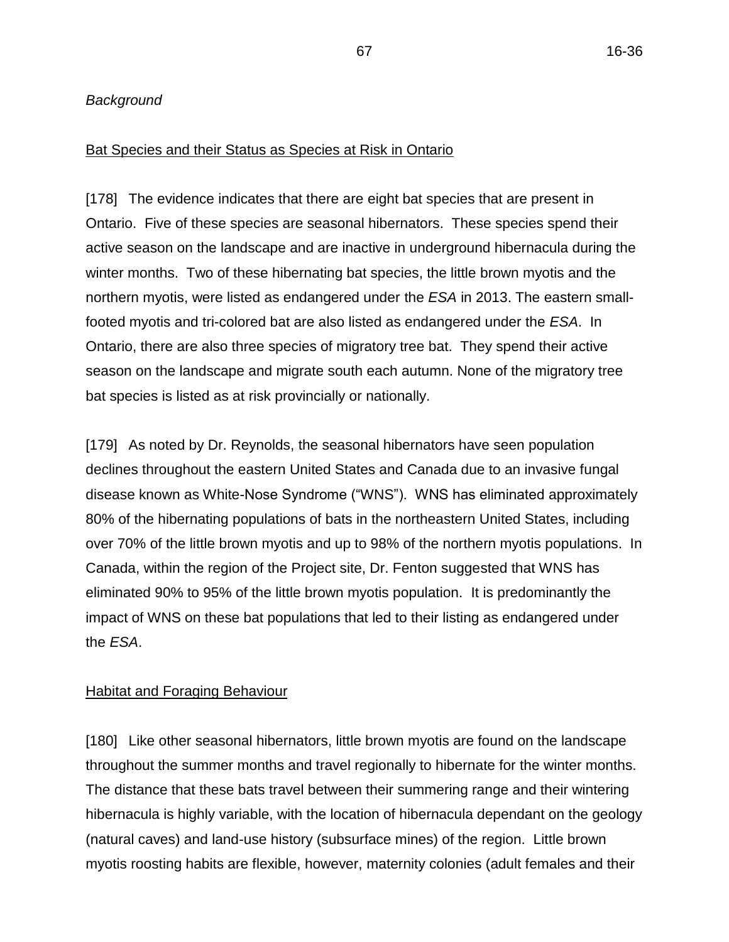Mr. Pereira also criticized Dr. Cox's assertion, stating "[i]t appears that Dr. Cox assumes that for an aircraft to stray off course either the pilot or the aircraft must be so incapacitated that a fatal crash is inevitable." The Tribunal further notes that Dr. Cox's assertion involves, to a considerable degree, assumptions regarding aircraft navigation and operations, which he has acknowledged are not within his field of expertise.

[134] Regarding wind turbulence, Dr. Cox relies on a study conducted by the University of Liverpool on behalf the Civil Aviation Authority of the United Kingdom entitled "CAA Policy and Guidelines on Wind Turbines" (February 2016), noting that its findings state:

> The most significant disturbances caused by a wind turbine wake is in its axial direction and manifested as a velocity deficit in the downwind region. Although the wake vortices also caused disturbance velocities in the radial and vertical direction, they are smaller than the axial disturbance velocity.

Dr. Cox also relies on studies conducted by a consulting firm, GL Garrad Hassan, to conclude that it would be appropriate to designate a zone that is a distance equal to 5 rotor diameters (approximately 500 metres) downwind of the turbines as representing the part of the wind turbine wake that should be avoided by aircraft. (See GL Garrad Hassan: *Advanced wake model for closely spaced turbines* (American Wind Energy Association, 2005) and GL Garrad Hassan Canada, Inc.: *Preliminary Turbulence Intensity and Wind Analysis at the Proposed Wainfleet Wind Project* (800532-CAVA-T-01 Issue C, 29 August 2013).

[135] It is Dr. Cox's opinion that there is no risk that the turbulent wakes from the wind turbines will affect flight operations at the CRA. However, he only provided a cursory description of his analysis in support of this conclusion. The Tribunal understands his analysis is as follows. As the wind turbines are designed to turn their blades to face into the wind, the turbulence wake will flow downwind behind the turbine blades. In a standard left-hand turn, where the circuit is located south of the runway, a plane will fly on the downwind leg towards the face of the turbines. Therefore, if a plane is at an altitude of 500 feet above ground, or lower, it would still not encounter wake turbulence because the turbulence zone is behind the turbines. Stated another way, the plane would encounter the wind turbine itself before it reached the turbulence wake behind it.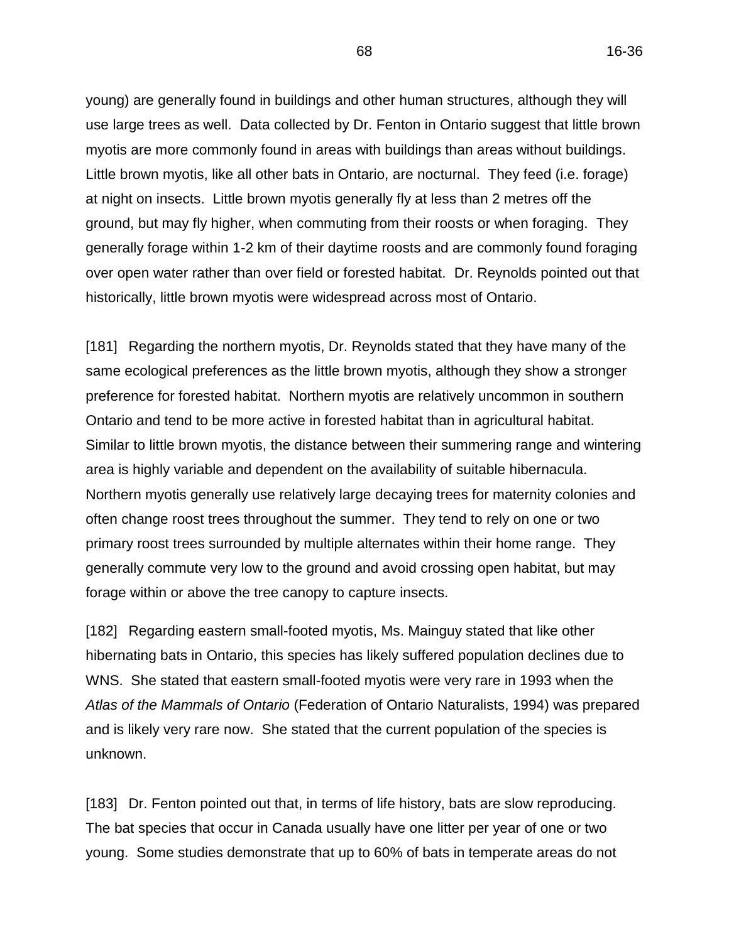If a plane's altitude is high enough to fly over the wind turbines, it will not be exposed to the horizontal turbulence Dr. Cox has described.

[136] The Tribunal accepts this analysis as it relates to flying a standard circuit. However, the Tribunal does not accept Dr. Cox's opinion that there is no risk at all from the turbulent wakes at CRA. As Mr. Hatcher posited in his evidence, if a pilot flew a wider circuit and a longer downwind leg to avoid the turbines, and then turned to the base leg, the plane could be located behind the wind turbines. There is also the situation where a pilot, for whatever reason, is not flying the circuit and navigates behind the wind turbines.

[137] There is agreement that the turbulence generated by wind turbines dissipates the further the turbulent air trails from the wind turbine. In the studies discussed by the experts who testified in this proceeding, there is disagreement whether the hazardous part of the wind turbulence trail falls within horizontal distance of 5 rotor diameters, or 10, or more. However, all the experts in this proceeding agree that the trail up to 5 rotor diameters is hazardous. They also agree that research in this is area is relatively new and is still evolving. As discussed in greater detail below, the Tribunal finds that serious harm will occur if it is assumed that the hazardous zone of the wind turbulence trail extends to 5 rotor diametres. Consequently, it is unnecessary to consider whether the hazardous zone extends beyond this distance. For this reason, and because the research in this is area is relatively new and is still evolving, the Tribunal makes no further finding on this particular issue.

[138] Regarding the impact of wind turbine turbulence at Clearview, Dr. Cox initially concluded in his witness statement that "[t]he wakes of the nearest wind turbines will be dissipated to levels that are safe at the location of the Clearview runway, even in the most adverse wind directions." However, in cross-examination, he agreed that turbulence horizontally extending 5 rotor diameters from wind turbines 3 and 7 would penetrate the take off and flight approach surfaces, and, therefore, he could not recommend placement of those wind turbines in their proposed locations.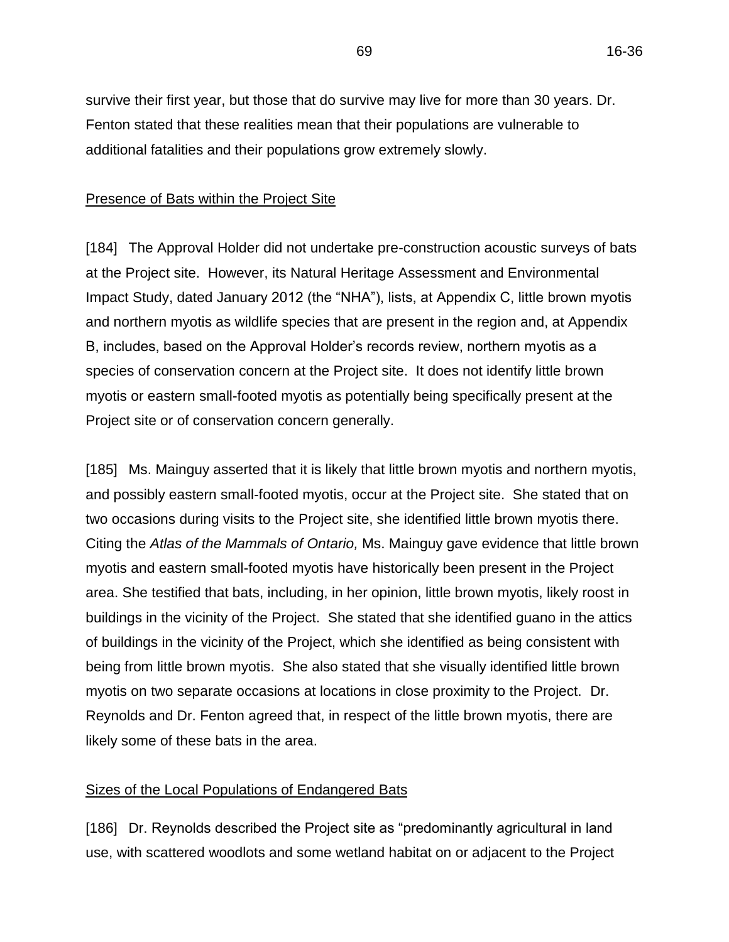[139] The Tribunal now turns to the Director's reference to a study described at page 8 the Transport Canada letter, stating:

> As you may be aware, there are numerous articles and studies available regarding the effects of turbulence caused by wind turbines. In February 2011, Transport Canada participated in the "Aviation Safety-risk Assessment of The Effect of Wind Turbines on General Aviation Aircraft", which was included within one of your attachments. The Summary 3.4 concluded: "The safety-risks associated with GA [General Aviation] aircraft operating in very close proximity to wind turbines – in particular, light and ultra-light aircraft – during take-off and landings from aerodromes, are assessed to be from low to moderate significance. The remainder of the safety-risks to GA [General Aviation] aircraft are assessed to be very low." Several strategies to mitigate the hazards and risks were discussed in this document.

The Director did not provide any further submissions regarding how risks characterized as "low to moderate" should be interpreted for purposes of applying it to the Health Test. The Tribunal has already found that the determination of risk depends on case specific factors. The Tribunal notes that the Aviation Safety-risk Assessment referenced in the Transport Canada letter was not adduced in evidence in this proceeding. If any of the parties sought to rely on this Assessment they could have done so. Consequently, the Tribunal is unable to evaluate the degree to which this Assessment would apply to the specific circumstances at the CRA or Clearview, or how the findings of this Assessment are to be interpreted in the context of the Health Test.

# Application of the Health Test to Current Operations at CRA

[140] Mr. McDonald does not clearly state a conclusion on whether the Health Test has been met when it is applied to CRA's current operations, particularly with respect to VFR flights. All he said, as previously noted, is that hundreds of thousands of flights per year are operated in North America safely every year by trained pilots operating under VFR conditions, without incident. The Tribunal has already addressed the remainder of his evidence, other than his evidence regarding his suggested mitigation measures (which is addressed below) and found deficiencies in it. The Tribunal accepts the evidence of the Appellants' experts regarding VFR flight. The Tribunal has also adopted the same finding regarding Dr. Cox's evidence respecting the risk of collision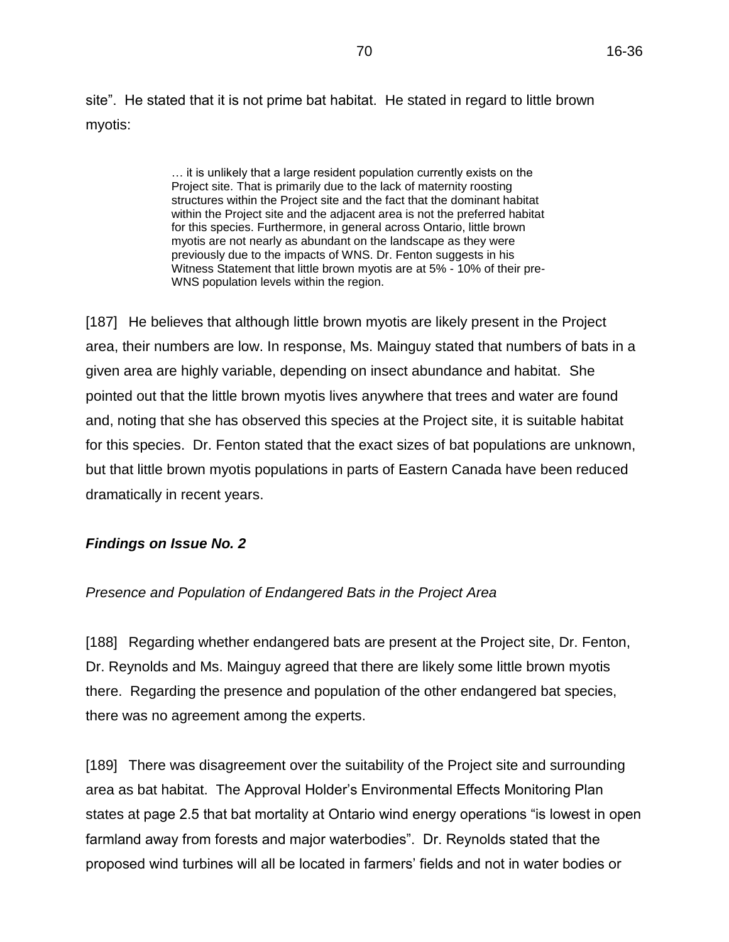between aircraft and wind turbines. The only evidence of Dr. Cox that the Tribunal has accepted is that wind turbine induced turbulence does not pose a risk for pilots strictly flying a standard circuit pattern at CRA.

[141] The Tribunal now turns to the evidence of the Appellants to evaluate whether they have established that the Health Test has been met. For the following reasons, the Tribunal finds that they have.

[142] The Tribunal begins by re-iterating that evaluating risk in the circumstances of this case necessitates a qualitative analysis. The most probative consideration presented in the Appellants' analysis is that, where a margin for error is inadequate, there is a reduction in the capacity of the safety system to mitigate the consequences of errors or adverse factors that can lead to accidents. The evidence did not indicate that the margin for error can be quantitatively measured, so it must be qualitatively assessed. The evidence indicates that aviation is highly regulated industry, with particular emphasis on risk management. This industry has operated for decades, and the Appellant's safety experts indicate that, when inadequate margins for safety are present, accidents will occur. The Tribunal finds, therefore, that the question to be answered in this case, is whether, in introducing the wind turbines at their proposed locations, the margins for error are adequate.

[143] In answering this question, the Tribunal begins by first observing that, given the high speeds at which planes travel, and the fact they cannot dramatically reduce velocity to avoid a hazard, the most critical consideration is time - the amount of time a pilot has to recognize that there is a hazard, formulate a response to it, and then implement the response in a sufficient amount of time to allow the speeding plane to avoid the hazard. It is for this reason, that the Tribunal has included the calculations of the amount of time between the turbines and the runway. Most of the turbines are only 1 minute or less away from the CRA runway, the maximum time (excluding wind turbines 2 and 7) being only 1 minute and 20 seconds away. In terms of proximity to the CRA circuit, the planes are at most a few seconds away from wind turbines 1, 3, 4, 5, 6, and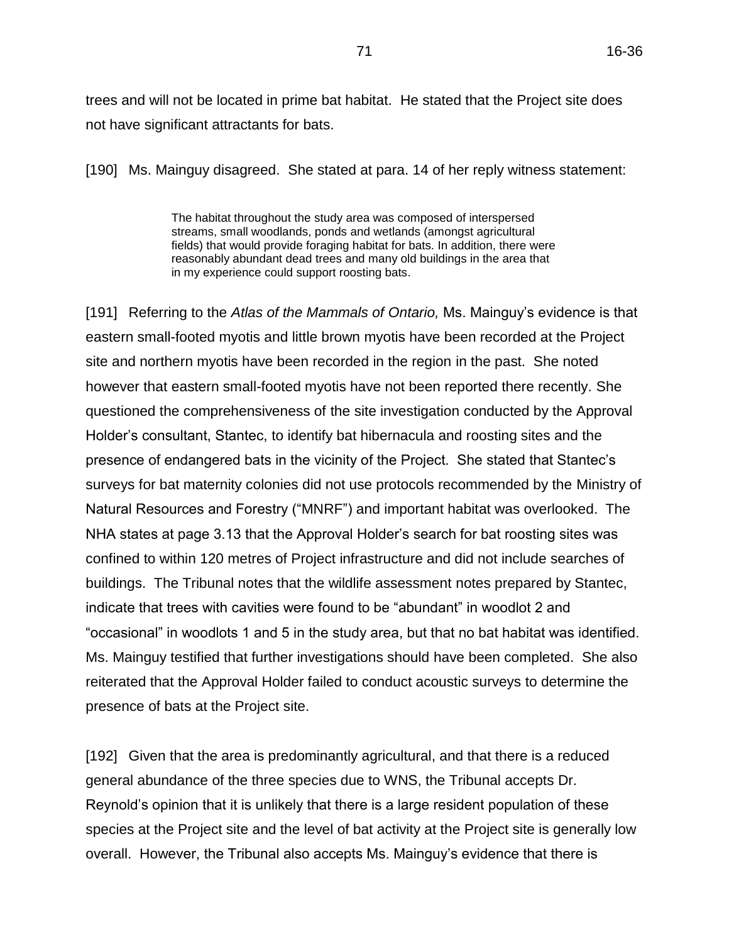8. This time consideration, in and of itself, considerably narrows the margin of error, even under standard flight circumstances.

[144] The Tribunal's next observation is that the proposed wind turbines are to be located in the runway environment, where a pilot's options for navigation are restricted to the required circuit pattern. The flight take off and approach protocols, further narrow the pilot's options as to where he or she can navigate.

[145] The greatest concern for the CRA, aside from the fact the proposed wind turbines would be situated along the circuit path, is the vertical distance between the circuit height (1,000 feet) and the top of the wind turbine (500 feet). This distance is only 500 feet. Mr. Hatcher's analysis indicates that the tolerance for altimeter error is 200 feet, and that pilots can pass their skill demonstration if they are with 100 feet from a given altitude. This means a plane, under normal operating circumstances, could only be as far away as 200 feet from the wind turbines. In addition, local air pressure changes could result in inaccurate altimeter readings. Apart from this, pilots flying VFR are required to remain 500 feet from the cloud ceiling. If the cloud ceiling is lower than 1000 feet, this will also reduce the distance between the plane and the turbines, which further reduces the margin for error.

[146] It is also important to note that pilots flying under VFR are, during the day, required to remain 500 feet from any obstacle. However, the Appellants have led extensive evidence how pilot error, including errors in maintaining the correct altitude, can and do occur, and so pilots do not always comply with this requirement.

[147] Although the analysis is qualitative, such analysis may include quantitative evidence. The likelihood that an activity will result in harm will, in most cases, increase as the frequency of the activity occurs. In this case, there are approximately 13,200 movements (take offs or landings) that occur each year at the CRA and it is anticipated by CRA staff that this activity will increase. Therefore, over the 20-year life span of the Project, there will be at least 264,000 movements at the CRA.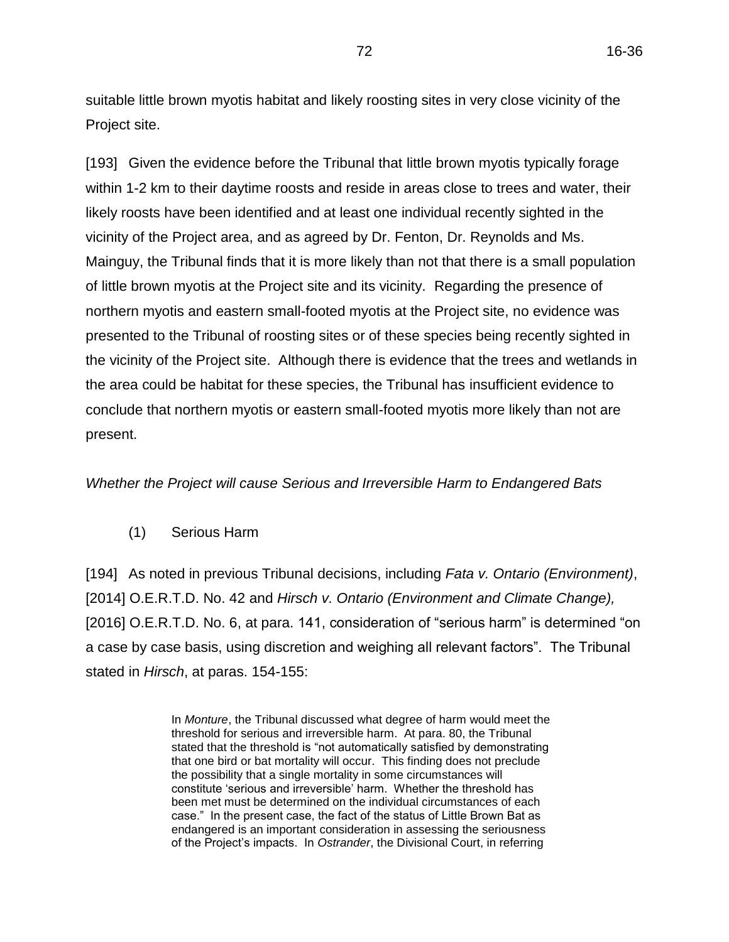[148] Dr. Cox also provided a quantitative analysis of the predominant wind direction at Collingwood. Utilizing five years of hourly wind speed and direction observations from the CRA, he created a wind rose diagram which indicates that winds at Collingwood are predominantly from the north-west. In order to take off and land into the headwind blowing in this direction, planes would travel the runway in the RN31/13 direction, which, in turn, means, that they would be predominantly flying the left-hand circuit south of the runway and near to the proposed wind turbines.

[149] The risk analysis evidence adduced by the Appellants also indicates that, although an accident may be caused by just one condition or factor, many accidents are the result of a number of factors. For example, a pilot, responding to an engine malfunction, may navigate incorrectly, which in turn leads to a collision. Hence, when considering whether a safety margin is adequate, it is necessary to consider multiple factors. In addition to the above evidence, the Appellants have adduced extensive evidence to establish these relevant factors which include:

- 90 per cent of flights are conducted under VFR;
- as the predominant wind direction at the CRA is north-west, the left-hand circuit that is predominantly used is situated south of the runway, bringing planes flying at the CRA in close proximity to wind turbines 1, 3, 4, 5, 6, and 8;
- a majority of pilots using the CRA runway hold recreational or private pilot licences, which require minimal on-ground and air flight training;
- students at flight schools located the CRA do their flight training there;
- students from other flight schools, fly (without an instructor) to the CRA as part of their cross-country flight training;
- there are special meteorological conditions at the CRA, most particularly the lake-effect snow storms;
- the individual capabilities of the pilots, their state of mind and body (fatigue, stress, distraction, health) affect how they navigate;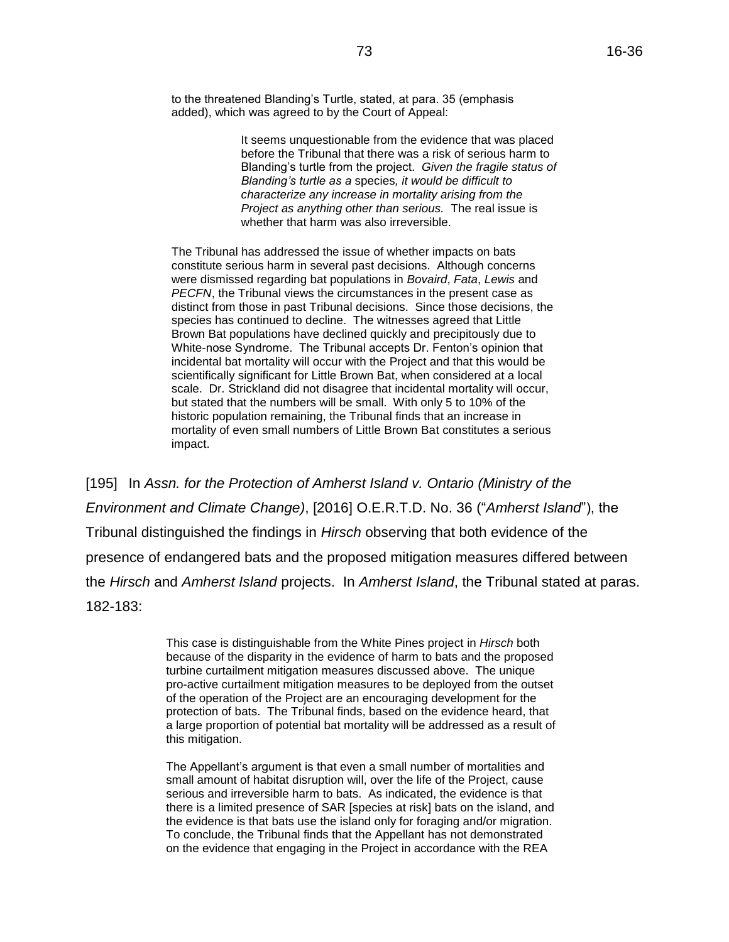- navigation is affected by: (i) aircraft capabilities and structural tolerances (as stated by Mr. Pereira: "the GA [general aviation] community is filled with vintage planes or home built aircraft);
- navigation is also affected by the physical condition of the aircraft (as stated by Mr. Pereira: "Most aircraft will be pilot maintained, without the same level of quality control or expertise found in commercial airlines");
- CRA is an uncontrolled airspace that provides only limited weather reporting services; and
- pilot work load is at its highest when flying the flight circuit.

[150] The Tribunal notes that each of the above factors addresses one of the following considerations:

- conditions resulting in a pilot flying very near the wind turbines;
- pilot inexperience, which would lead to a pilot requiring more time to recognize and respond to a hazard; and
- the volume of plane traffic at the CRA, which increases the likelihood that a hazardous situation could arise.

[151] Considering all the above factors, the Tribunal accepts that the margin for error posed by introducing the proposed wind turbines at their proposed locations would be inadequate to prevent collision with a wind turbine. For this reason, the Tribunal accepts the opinions of Mssrs. Cormier, Hatcher and Mr. Gascoine that serious harm will occur.

[152] The Appellants' experts have each provided an informed and reasoned evidentiary base to support their qualitative assessments. Therefore, the Tribunal finds that the Appellants have established, on a balance of probabilities that the Health Test has been met as it is applied to the current operations at CRA. The next step is to determine whether the mitigation proposals proposed by the Approval Holder would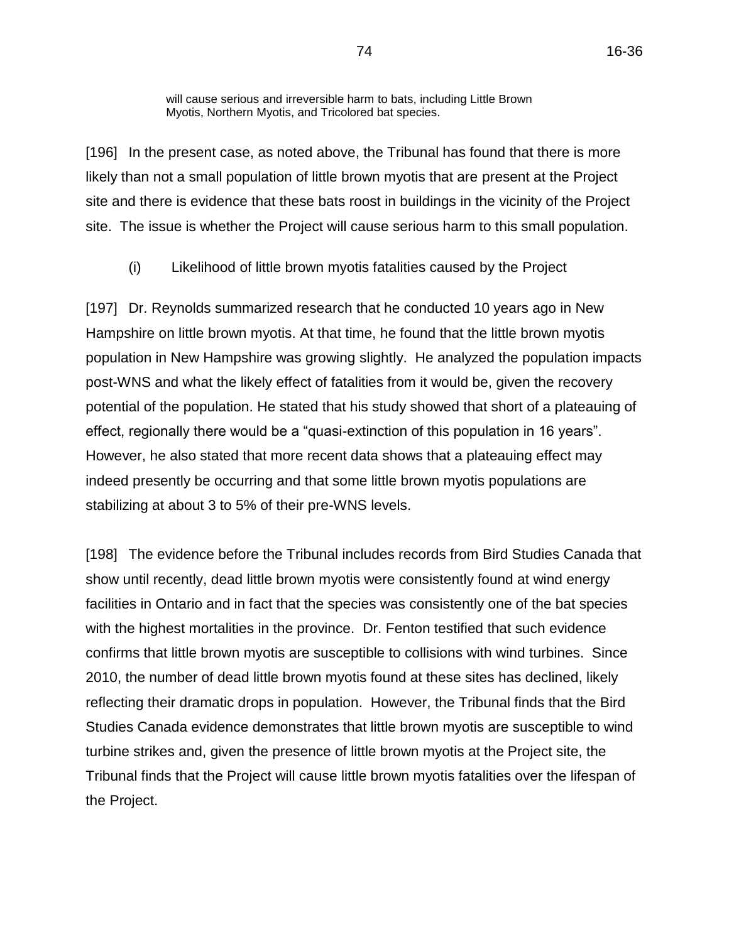lead the Tribunal to conclude that likelihood of such harm can be reduced. This step is discussed below, but the Tribunal first turns to the application of the Health Test to current operations at Clearview.

#### Application of the Health Test to Operations at Clearview

[153] In terms of time, all the turbines, with the exception of wind turbine 2 are 15 seconds or less from the runway centerline at Clearview. The Tribunal has already rejected Mr. McDonald's opinion that placement of the eight wind turbines in relation to the Clearview runway are "benign". Dr. Cox agrees that the proposed location of wind turbines 3 and 7 are unsafe and cannot be supported. The Director has accepted this evidence and no longer supports the proposed placement of these two wind turbines. The Tribunal has also rejected Mr. McDonald's opinion that the visual approaches and departures along the approach and departure path at Clearview are safe, provided an aircraft does not stray west of the runway centerline. The Tribunal has accepted Mr. Pereira's evidence that pilots rarely maintain flight on the centre line, and that it would take little error for an aircraft to be on a collision course with a turbine due to a miscalculation, distraction, or an insufficient adjustment to a crosswind. In this regard, the Tribunal further notes that, even if wind turbines 3 and 7 were removed, straying west of the runway centreline could also bring a plane within the 5 diameter turbulence zone of any of wind turbines 1, 4, 5, 6 and 8. In light of Mr. Pereira's evidence, the Tribunal finds that the margin for error is inadequate.

[154] In addition to these concerns, the Tribunal notes that many of the other safety factors cited above regarding CRA also apply to Clearview.

[155] Wind turbine 2 is 1,917 metres from the runway centre line. It is located on the east side of the runway where the left-hand circuit pattern is located. The evidence adduced does not indicate that wind turbine 2 would be located under the left-hand circuit flight path. But, the left-hand circuit path does result in planes in being considerably closer than 1,917 metres to wind turbine 2. Consequently, the Tribunal finds that wind turbine 2 is sufficiently close to the left-hand circuit pattern that safety factors such as pilot inexperience, pilot error, and meteorological conditions suggest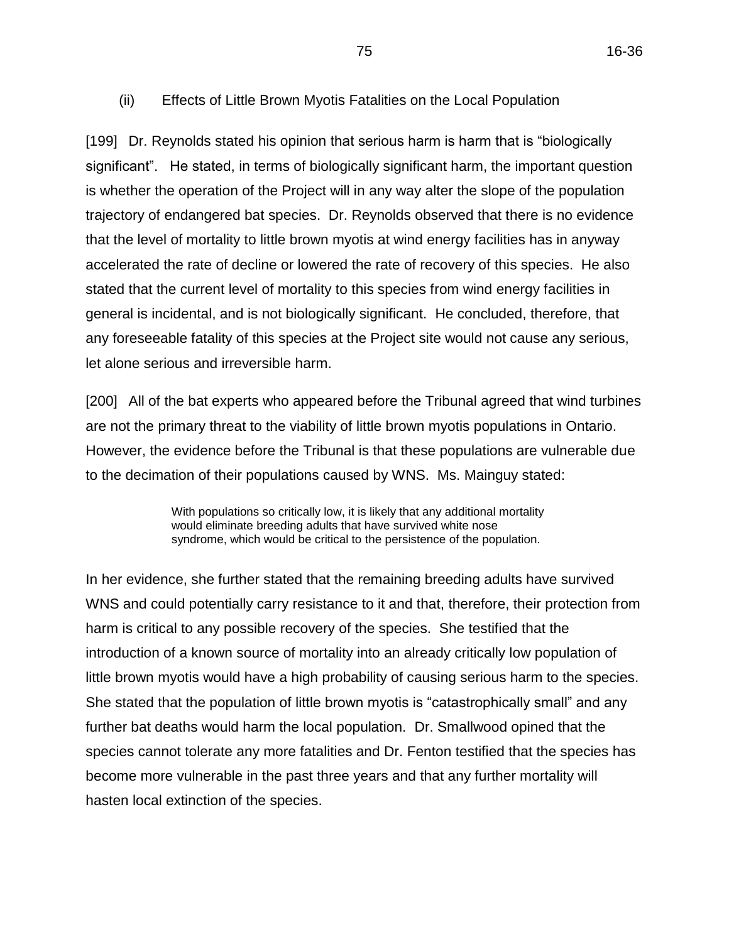that its greater distance from the runway does not decrease the risk of harm that it presents to any significant degree. In this regard, the Tribunal notes that wind turbine 2 is only 31 seconds from the runway centreline. Its proximity to the left-hand circuit path is considerably less than 31 seconds.

[156] For these reasons, Tribunal accepts that the margin for error posed by introducing the proposed wind turbines at their proposed locations would be inadequate to either prevent collision with a wind turbine, or prevent a crash due to wind turbineinduced turbulence.

[157] The Appellants' experts each have provided an informed and reasoned evidentiary base to support their qualitative assessment. Therefore, the Tribunal finds that the Appellants have established, on a balance of probabilities that the Health Test has been met as it is applied to the current operations at Clearview. As with CRA, the next step, therefore, is to determine whether the mitigation proposals proposed by the Approval Holder would lead the Tribunal to conclude that likelihood of such harm can be reduced.

#### Consideration of Proposed Mitigation Measures

[158] For CRA, Mr. McDonald suggested three mitigation options:

- (1) maintain a left-hand circuit pattern, but require a "tighter" circuit path, so that slower flying Category A and B planes will not fly over the wind turbines. "Tighter" means that the cross-wind and base legs would be shortened. Because Category C and D planes are faster aircraft, they cannot fly a tighter circuit, so Mr. McDonald suggests they fly the circuit pattern over the wind turbines, but at a higher elevation (1,500 feet above ground, instead of the standard 1,000 feet);
- (2) as a variation of Option 1, slower Category A and B plans would fly the tighter left-hand circuit, and faster Category A and B planes would fly a non-standard right-hand circuit; and
- (3) maintain a standard left-hand circuit for RN13/31, and a nonstandard right-hand circuit for RN31/13. This would place the circuit path on the north side of the paved runway irrespective of the runway direction.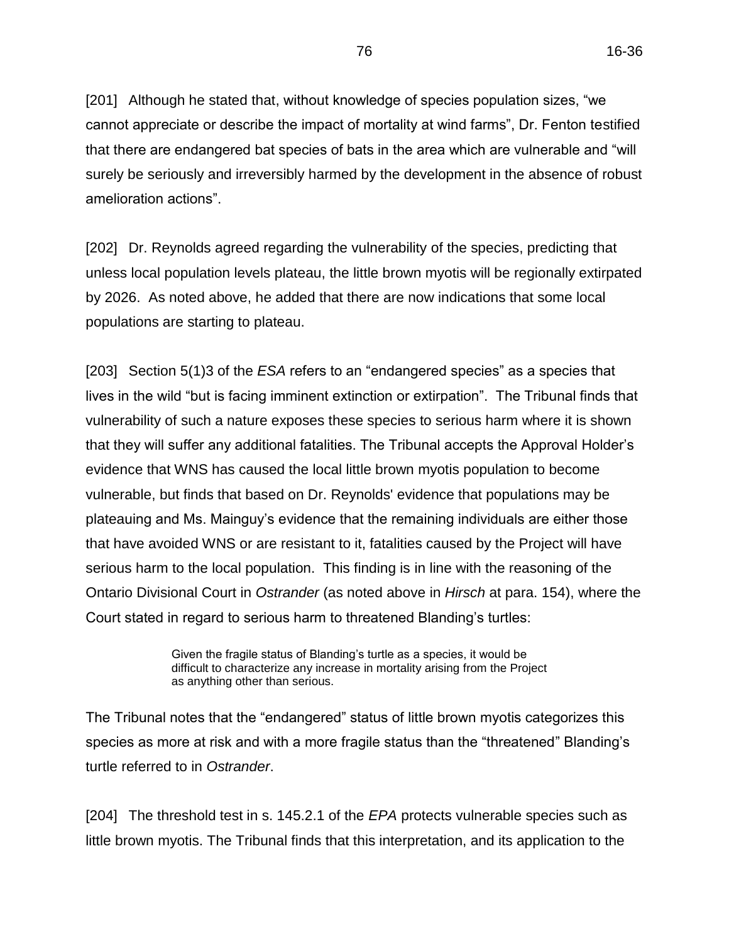[159] Regarding option 2, Mr. McDonald stated that this VFR flight pattern was used at an airport in Edmonton, which is now closed. However, Mr. Hatcher noted that Mr. McDonald failed to indicate that this airport "was the first certified aerodrome in Canada established in 1929, a time when tall buildings and other such structures in the downtown core did not yet exist."

[160] In support of his proposed mitigation measures, Mr. McDonald stated:

The bottom line is that there is tremendous flexibility to move the circuit to the circumstance. Many airports have unique issues that result in nonstandard circuits – Collingwood is not unique in this respect. The key is this information being promulgated in the appropriate publication.

It is clear, therefore, that Mr. McDonald maintains his position that, as pilots are required under the CARS to inform themselves of the traffic pattern at an aerodrome and avoid obstacles, that his proposed measures are safe. However, he does not otherwise provide any analysis evaluating their impact on safety, more specifically, whether these mitigation options would reduce the likelihood of harm occurring at the CRA and Clearview aerodromes.

[161] In response to the first and second proposed mitigation measures, Mr. Cormier stated:

> … The assumption that the circuit will be a perfect rectangle is wrong. The specific path of a circuit is quite variable as it can depend on winds, weather conditions, ceiling, clouds, obstructions, air traffic ahead and on the runway, and pilot experience. Thus it can be expected that any circuit, be it wide, long, short, or tight, will vary by any type of aircraft under different conditions and piloting styles. There is no line on the ground to guide the pilot, and he must adjust to circumstance.

A standard left-hand circuit to Runway 31 with any aircraft category will always come very close to the turbines, and added workload for a pilot to be vigilant. If there is an altimeter error or an emergency such as loss of engine power, or a sudden deterioration of weather, the 500 foot obstacles just are too close. …

Standard practices promote safety, and any variation introduces risk.

…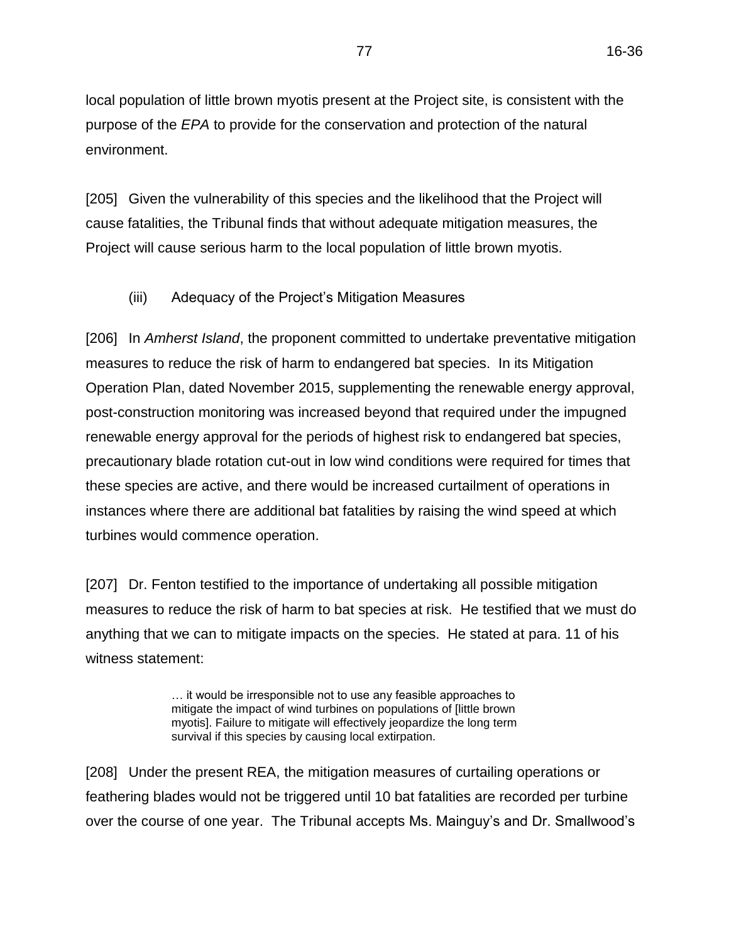Finally, established circuit patterns on the north side of the runway for both runways 13 and 31, and also the turf runway, would cause proximity to the turbines when aircraft join the circuit from the south, as they must still overfly the aerodrome and could easily come in proximity to the turbines.

[162] In response to the third mitigation measure, Mr. Cormier stated:

Two different circuit directions to the same runway introduce the potential for head-on collision on the final turn. Such an arrangement would not be supported by Transport Canada.

[163] The Tribunal finds that Mr. Cormier has provided informed criticisms of the proposed mitigation measures that were not contradicted by the Director's or Approval Holder's experts, and, therefore, the Tribunal accepts Mr. Cormier's evidence in this regard. As such, the Tribunal finds that there is insufficient evidence that mitigation measures will be effective.

[164] In addressing these proposed mitigation measures, the Tribunal must address whether they are feasible. Options 2 and 3 both require implementation of a right-hand circuit pattern. However, as previously noted, under the CARS, which is federal *law*, not a merely a policy guideline, a right-hand circuit can only be implemented with approval of the Minister of Transportation. There is no such approval in place for either Clearview or CRA and neither aerodrome operator has indicated that they intend to apply for such approval.

[165] As previously noted in this Order, the Transport Canada Letter notes that a righthand circuit pattern is one way to mitigate the impact of obstacles. In its submissions, the Director characterizes this as a suggestion. If "suggestion" is to be interpreted as indicating that Transport Canada expressed a predisposition to approve a right-hand circuit, the Tribunal rejects this submission. The Transport Canada Letter was carefully worded. It states:

> The aerodrome operator could request a right hand circuit pattern be published for runways 19 and 31 to avoid the obstacles. Such procedures would have to be approved by Transport Canada.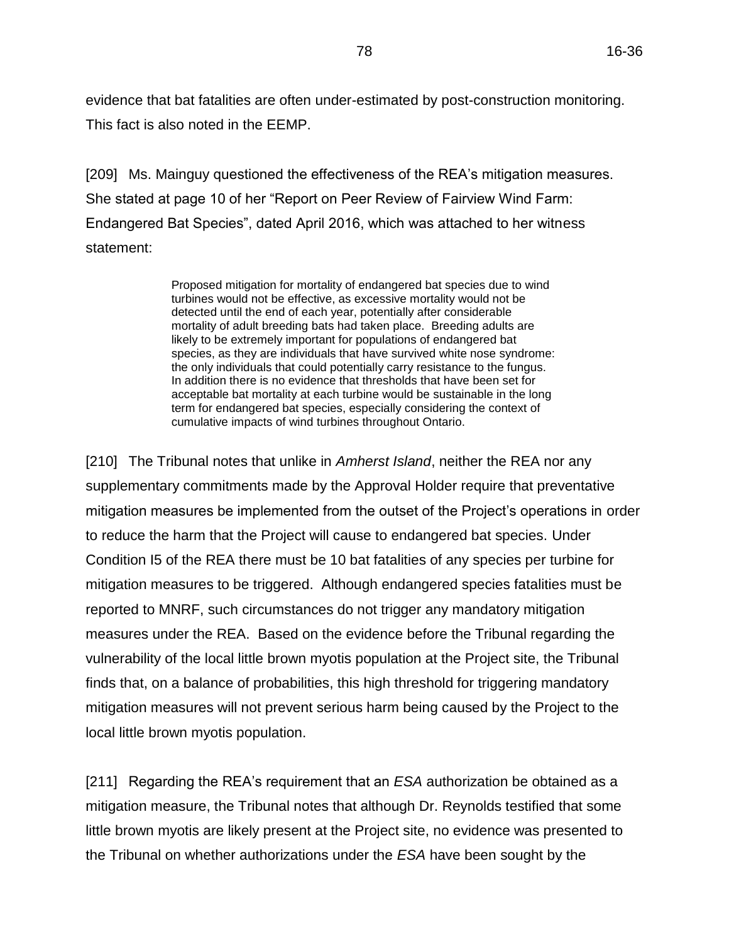63 16-36

There is nothing in this wording to indicate that Transport Canada recommended a right-hand circuit. As previously noted in this Order, no other evidence was adduced in this proceeding to indicate that a right-hand circuit would be approved by the Minister of Transportation, as required under Part 602.96 of the CARS.

[166] Having found that the Health Test has been met in respect of both CRA and Clearview, the Tribunal cannot simply assume that the Minister's approval would be given, nor can the Tribunal evaluate the proposed mitigation measures by deciding itself that a right-hand circuit is acceptable. The reason for this is obvious. If the Tribunal were to confirm that the Director's decision to approve the REA, based on an assumption that a right-hand circuit would be implemented, the Project could proceed, notwithstanding that a right-hand circuit may never be approved. Consequently, the Tribunal finds that mitigation options 2 and 3 are not feasible as there is no indication that a right-hand circuit will be approved by the Minister.

[167] In further support of this finding, the Tribunal relies on the evidence that, although right-hand circuits are not unsafe *per se*, they are less safe than a left-hand circuit, which better maximizes a pilot's field of view. Therefore, a right-hand circuit does reduce, to some degree, a margin of safety in VFR flight. Also, the Appellants' evidence is that the use of standard procedures promotes safety. Introduction of a right-hand circuit is non-standard procedure, which also reduces to some degree, a margin of safety in VFR flight. Consequently, it is not surprising that: (i) there is a legal requirement to obtain the Minister's approval before a right-hand circuit can be implemented; and (ii) only three to four per cent of aerodromes in Canada have received approval for a right-hand circuit.

[168] The evidence adduced in this proceeding does not address whether the Approval Holder could apply for approval of a right-hand circuit. If, indeed, only an aerodrome operator can apply for the Minister's approval, the Tribunal recognizes that the Approval Holder would be prevented from presenting mitigation options that require the implementation of a right-hand circuit. However, as previously noted, neither the Approval Holder, CRA or Clearview can control the use of another person's property.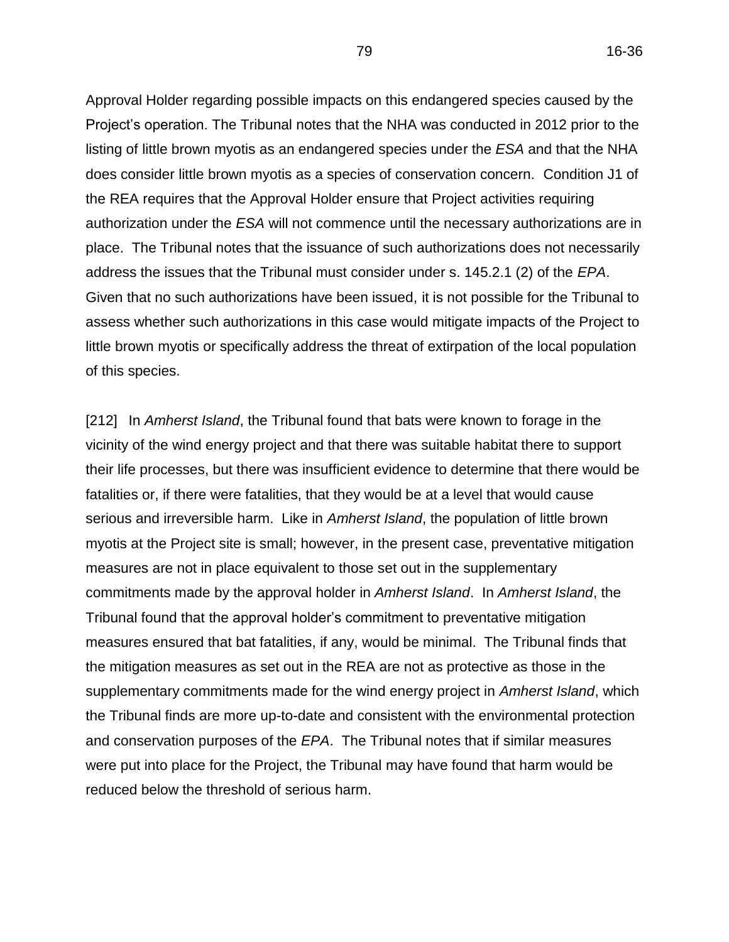This observation brings the conclusion in the Transport Canada Letter into sharper focus. It states:

> In conclusion, based on the information reviewed, it appears there would likely be an operational impact on both the Collingwood and Stayner [Clearview] aerodromes. There are aerodromes in Canada where obstacles are located in proximity to runways, and depending on their location, have continued operation with the establishment of specific procedures, and the marking, lighting and publication of these obstacles. However, it should be noted that such mitigation can result in a decrease in the usability of the Collingwood and Stayner aerodromes. *The Department also wishes to emphasize that it is critical that planning and coordination of the siting of obstacles be conducted in conjunction with an aerodrome operator at the earliest possible opportunity.* [emphasis added]

[169] In the alternative, even if the evidence was that a right-hand circuit could be implemented, based the Tribunal's acceptance of Mr. Cormier's evidence above, the Tribunal finds that none of the mitigation options proposed by Mr. McDonald would significantly reduce the likelihood of a collision with a wind turbine.

[170] The Tribunal now turns to consideration of Mr. McDonald's mitigation proposal for Clearview. He states that "a standard left hand circuit for Runway 34 and a nonstandard right hand circuit for Runway 16 will keep the aircraft outside and clear of the wind turbines as obstacles."

[171] As this proposal includes implementation of a right-hand circuit, the Tribunal first notes that its analysis regarding the feasibility of implementing a right-hand circuit equally applies to Clearview. Consequently, the Tribunal finds that, on this basis alone, Mr. McDonald's mitigation proposal for Clearview is not feasible.

[172] In the alternative, even if the evidence was that a right-hand circuit could be implemented, the Tribunal, for the following reasons, finds that this proposal would not significantly reduce the likelihood of a collision with a wind turbine, or ground crash caused by wind-turbine induced turbulence for all wind turbines other than wind turbine 2.

[173] The Tribunal begins by noting that this proposal would result in the flight circuit always being west of the runway, whereas the wind turbines are located east of the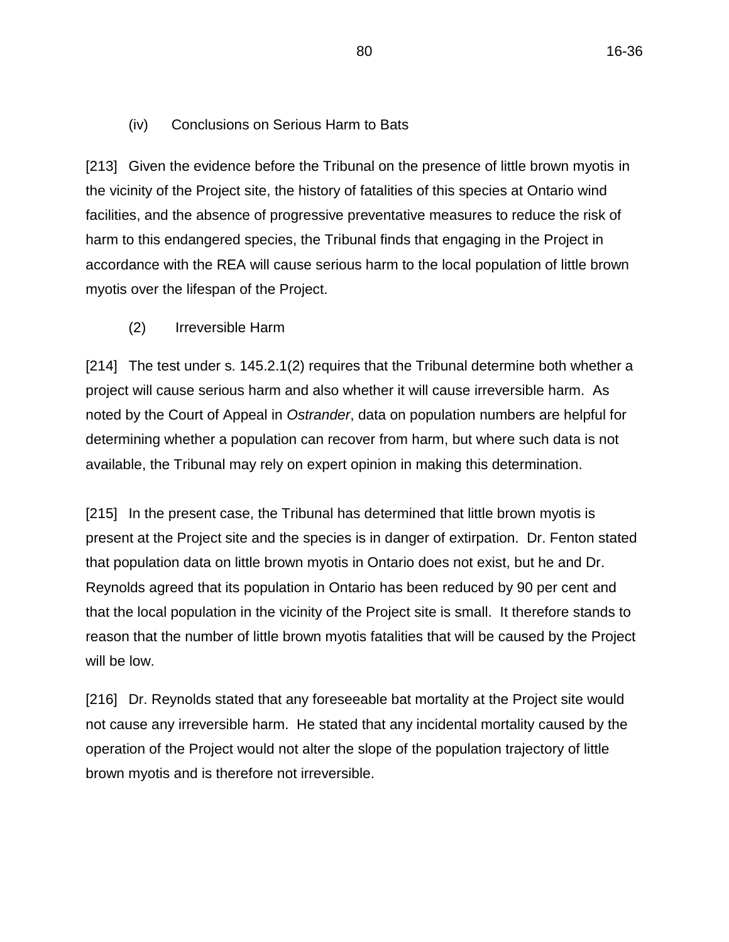runway. However, the runway is part of a right-hand circuit. The Tribunal has already found that the Health Test has been met, based on the proximity of wind turbines 1, 3, 4, 5, 6, 7, and 8 to the Clearview runway. As such, the introduction of a right-hand circuit does not address any of the harms that led the Tribunal to find that the Health Test has been met in respect of these wind turbines. The Tribunal also notes that its analysis of the impacts of introducing a right-hand circuit on the margin of error in VFR flight, apply to Clearview as well.

[174] Consequently, the only harm that Mr. McDonald's proposed mitigation would address is with respect to wind turbine 2. The Tribunal has found that the likelihood of harm associated with this wind turbine is its proximity to a left-hand circuit path on the east side of the runway. As Mr. McDonald's proposed mitigation would restrict circuits to the west side of the runway, the likelihood of this harm would be mitigated.

## *Conclusion on Issue No. 1*

[175] As the Tribunal has found that the Health Test has been met in respect of the current operations at CRA and Clearview, and that the Approval Holder's proposed mitigation measures in respect of both aerodromes will not significantly reduce the likelihood that such harm will occur, or, if there is some reduction in the likelihood of harm, the reduction is not to a degree that would result in the Health Test not being met, the Tribunal finds that the Appellants have met their onus to establish that the Health Test has been met in respect of the Project's effects on persons using both aerodromes.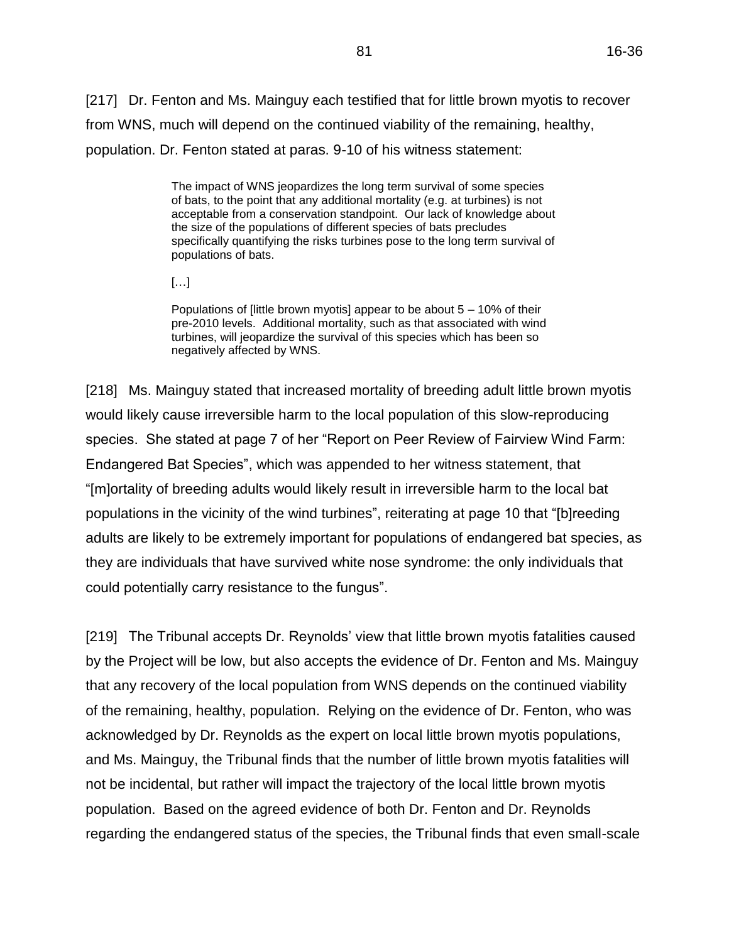# **Issue No. 2: Whether engaging in the Project in accordance with the REA will cause serious and irreversible harm to bats**

# *Evidence*

## *Introduction*

[176] The Appellants allege that the Project will cause serious and irreversible harm to bats through collision mortality. It is not alleged that harm will occur through disruption or destruction of bat habitat. Although the Appellants allege harm to all bats, the Appellants' evidence focuses on three endangered bat species in Ontario: little brown myotis (also known as "little brown bat"), northern myotis, and eastern small-footed myotis.

[177] The Tribunal received evidence from four expert witnesses with respect to the impacts of the Project on bats. The Tribunal qualified these witnesses to give opinion evidence, as follows:

- a. Dr. Shawn Smallwood, on behalf of the Appellant, Wiggins, was qualified to give opinion evidence as an ecologist with experience in avian wildlife behaviour and conservation;
- b. Dr. Brock Fenton, on behalf of the Appellant, Wiggins, was qualified to give opinion evidence as a biologist with expertise in bat behaviour and ecology;
- c. Ms. Sarah Mainguy, on behalf of the Appellant, Preserve Clearview Inc., was qualified to give opinion evidence as an ecologist with expertise in wildlife surveys and impact assessment, including bats; and
- d. Dr. Scott Reynolds, on behalf of the Approval Holder, was qualified to give opinion evidence as an expert on bats and the impacts of wind energy projects on bats.

The Director did not call evidence on this issue.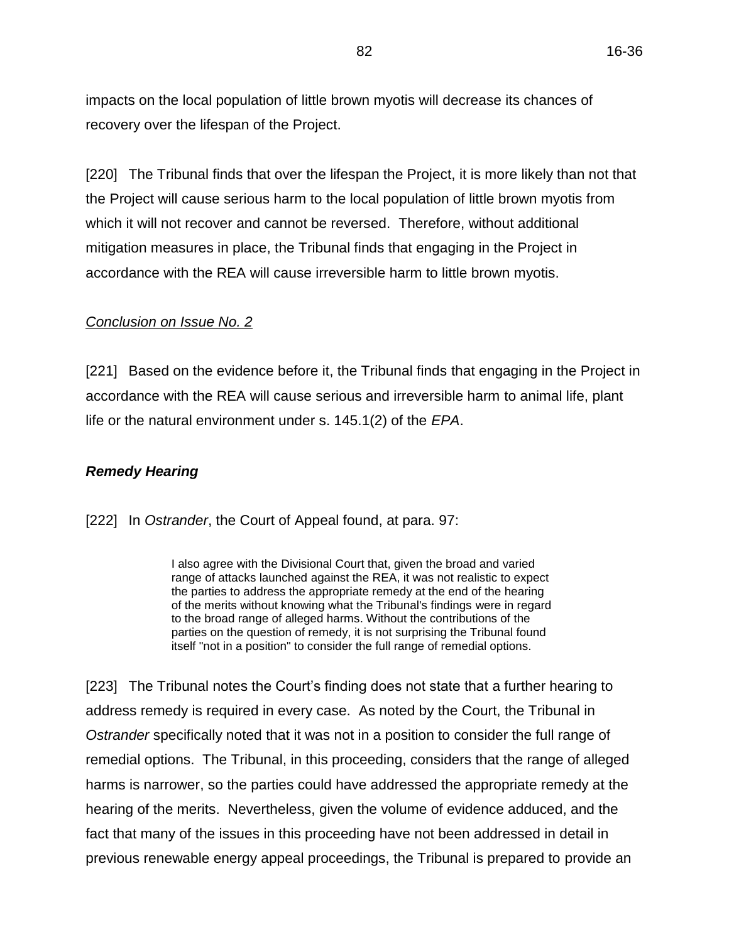# *Background*

# Bat Species and their Status as Species at Risk in Ontario

[178] The evidence indicates that there are eight bat species that are present in Ontario. Five of these species are seasonal hibernators. These species spend their active season on the landscape and are inactive in underground hibernacula during the winter months. Two of these hibernating bat species, the little brown myotis and the northern myotis, were listed as endangered under the *ESA* in 2013. The eastern smallfooted myotis and tri-colored bat are also listed as endangered under the *ESA*. In Ontario, there are also three species of migratory tree bat. They spend their active season on the landscape and migrate south each autumn. None of the migratory tree bat species is listed as at risk provincially or nationally.

[179] As noted by Dr. Reynolds, the seasonal hibernators have seen population declines throughout the eastern United States and Canada due to an invasive fungal disease known as White-Nose Syndrome ("WNS"). WNS has eliminated approximately 80% of the hibernating populations of bats in the northeastern United States, including over 70% of the little brown myotis and up to 98% of the northern myotis populations. In Canada, within the region of the Project site, Dr. Fenton suggested that WNS has eliminated 90% to 95% of the little brown myotis population. It is predominantly the impact of WNS on these bat populations that led to their listing as endangered under the *ESA*.

# **Habitat and Foraging Behaviour**

[180] Like other seasonal hibernators, little brown myotis are found on the landscape throughout the summer months and travel regionally to hibernate for the winter months. The distance that these bats travel between their summering range and their wintering hibernacula is highly variable, with the location of hibernacula dependant on the geology (natural caves) and land-use history (subsurface mines) of the region. Little brown myotis roosting habits are flexible, however, maternity colonies (adult females and their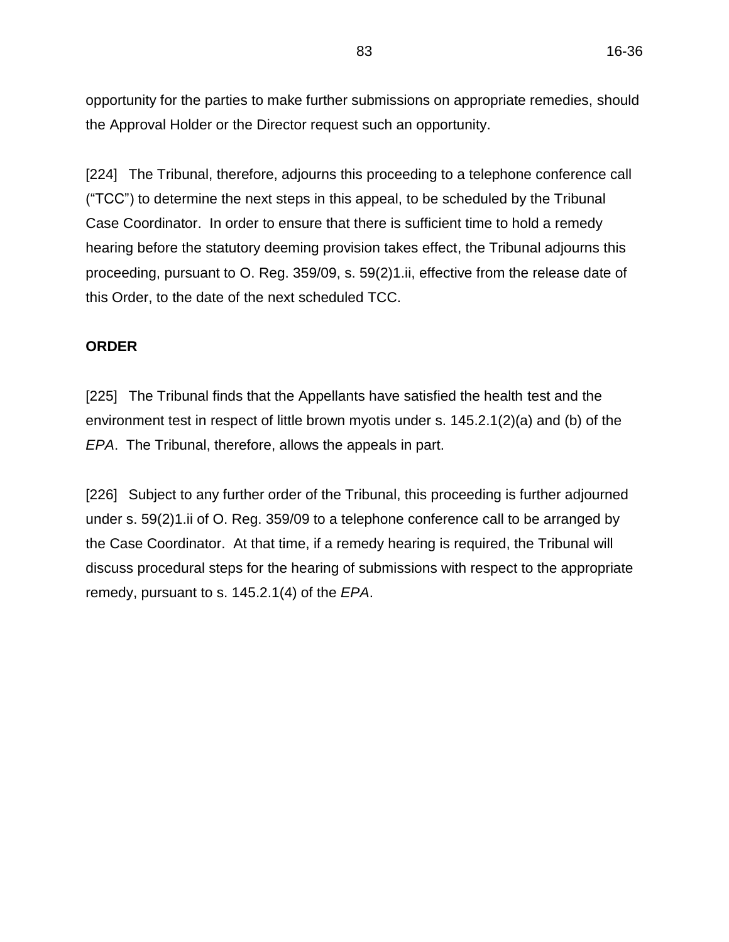young) are generally found in buildings and other human structures, although they will use large trees as well. Data collected by Dr. Fenton in Ontario suggest that little brown myotis are more commonly found in areas with buildings than areas without buildings. Little brown myotis, like all other bats in Ontario, are nocturnal. They feed (i.e. forage) at night on insects. Little brown myotis generally fly at less than 2 metres off the ground, but may fly higher, when commuting from their roosts or when foraging. They generally forage within 1-2 km of their daytime roosts and are commonly found foraging over open water rather than over field or forested habitat. Dr. Reynolds pointed out that historically, little brown myotis were widespread across most of Ontario.

[181] Regarding the northern myotis, Dr. Reynolds stated that they have many of the same ecological preferences as the little brown myotis, although they show a stronger preference for forested habitat. Northern myotis are relatively uncommon in southern Ontario and tend to be more active in forested habitat than in agricultural habitat. Similar to little brown myotis, the distance between their summering range and wintering area is highly variable and dependent on the availability of suitable hibernacula. Northern myotis generally use relatively large decaying trees for maternity colonies and often change roost trees throughout the summer. They tend to rely on one or two primary roost trees surrounded by multiple alternates within their home range. They generally commute very low to the ground and avoid crossing open habitat, but may forage within or above the tree canopy to capture insects.

[182] Regarding eastern small-footed myotis, Ms. Mainguy stated that like other hibernating bats in Ontario, this species has likely suffered population declines due to WNS. She stated that eastern small-footed myotis were very rare in 1993 when the *Atlas of the Mammals of Ontario* (Federation of Ontario Naturalists, 1994) was prepared and is likely very rare now. She stated that the current population of the species is unknown.

[183] Dr. Fenton pointed out that, in terms of life history, bats are slow reproducing. The bat species that occur in Canada usually have one litter per year of one or two young. Some studies demonstrate that up to 60% of bats in temperate areas do not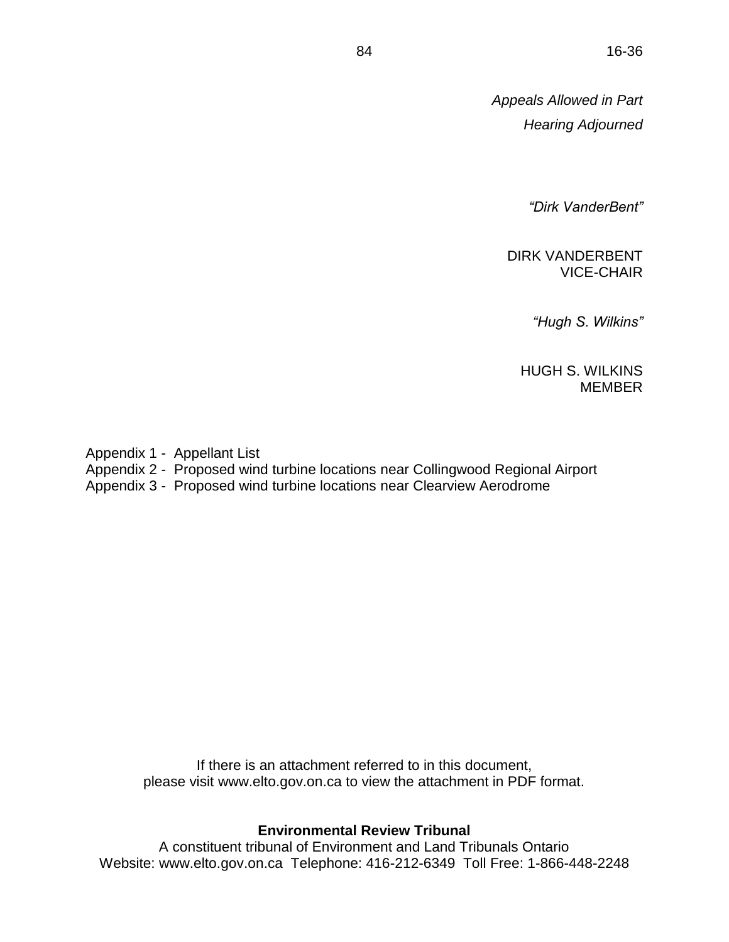survive their first year, but those that do survive may live for more than 30 years. Dr. Fenton stated that these realities mean that their populations are vulnerable to additional fatalities and their populations grow extremely slowly.

### Presence of Bats within the Project Site

[184] The Approval Holder did not undertake pre-construction acoustic surveys of bats at the Project site. However, its Natural Heritage Assessment and Environmental Impact Study, dated January 2012 (the "NHA"), lists, at Appendix C, little brown myotis and northern myotis as wildlife species that are present in the region and, at Appendix B, includes, based on the Approval Holder's records review, northern myotis as a species of conservation concern at the Project site. It does not identify little brown myotis or eastern small-footed myotis as potentially being specifically present at the Project site or of conservation concern generally.

[185] Ms. Mainguy asserted that it is likely that little brown myotis and northern myotis, and possibly eastern small-footed myotis, occur at the Project site. She stated that on two occasions during visits to the Project site, she identified little brown myotis there. Citing the *Atlas of the Mammals of Ontario,* Ms. Mainguy gave evidence that little brown myotis and eastern small-footed myotis have historically been present in the Project area. She testified that bats, including, in her opinion, little brown myotis, likely roost in buildings in the vicinity of the Project. She stated that she identified guano in the attics of buildings in the vicinity of the Project, which she identified as being consistent with being from little brown myotis. She also stated that she visually identified little brown myotis on two separate occasions at locations in close proximity to the Project. Dr. Reynolds and Dr. Fenton agreed that, in respect of the little brown myotis, there are likely some of these bats in the area.

# Sizes of the Local Populations of Endangered Bats

[186] Dr. Reynolds described the Project site as "predominantly agricultural in land use, with scattered woodlots and some wetland habitat on or adjacent to the Project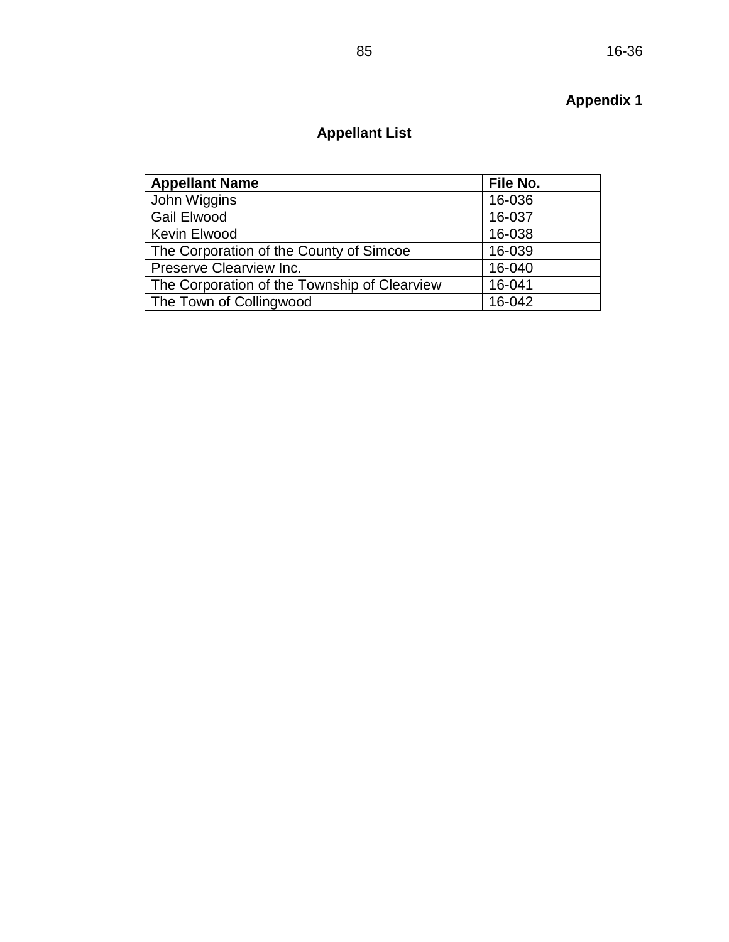site". He stated that it is not prime bat habitat. He stated in regard to little brown myotis:

> … it is unlikely that a large resident population currently exists on the Project site. That is primarily due to the lack of maternity roosting structures within the Project site and the fact that the dominant habitat within the Project site and the adjacent area is not the preferred habitat for this species. Furthermore, in general across Ontario, little brown myotis are not nearly as abundant on the landscape as they were previously due to the impacts of WNS. Dr. Fenton suggests in his Witness Statement that little brown myotis are at 5% - 10% of their pre-WNS population levels within the region.

[187] He believes that although little brown myotis are likely present in the Project area, their numbers are low. In response, Ms. Mainguy stated that numbers of bats in a given area are highly variable, depending on insect abundance and habitat. She pointed out that the little brown myotis lives anywhere that trees and water are found and, noting that she has observed this species at the Project site, it is suitable habitat for this species. Dr. Fenton stated that the exact sizes of bat populations are unknown, but that little brown myotis populations in parts of Eastern Canada have been reduced dramatically in recent years.

#### *Findings on Issue No. 2*

#### *Presence and Population of Endangered Bats in the Project Area*

[188] Regarding whether endangered bats are present at the Project site, Dr. Fenton, Dr. Reynolds and Ms. Mainguy agreed that there are likely some little brown myotis there. Regarding the presence and population of the other endangered bat species, there was no agreement among the experts.

[189] There was disagreement over the suitability of the Project site and surrounding area as bat habitat. The Approval Holder's Environmental Effects Monitoring Plan states at page 2.5 that bat mortality at Ontario wind energy operations "is lowest in open farmland away from forests and major waterbodies". Dr. Reynolds stated that the proposed wind turbines will all be located in farmers' fields and not in water bodies or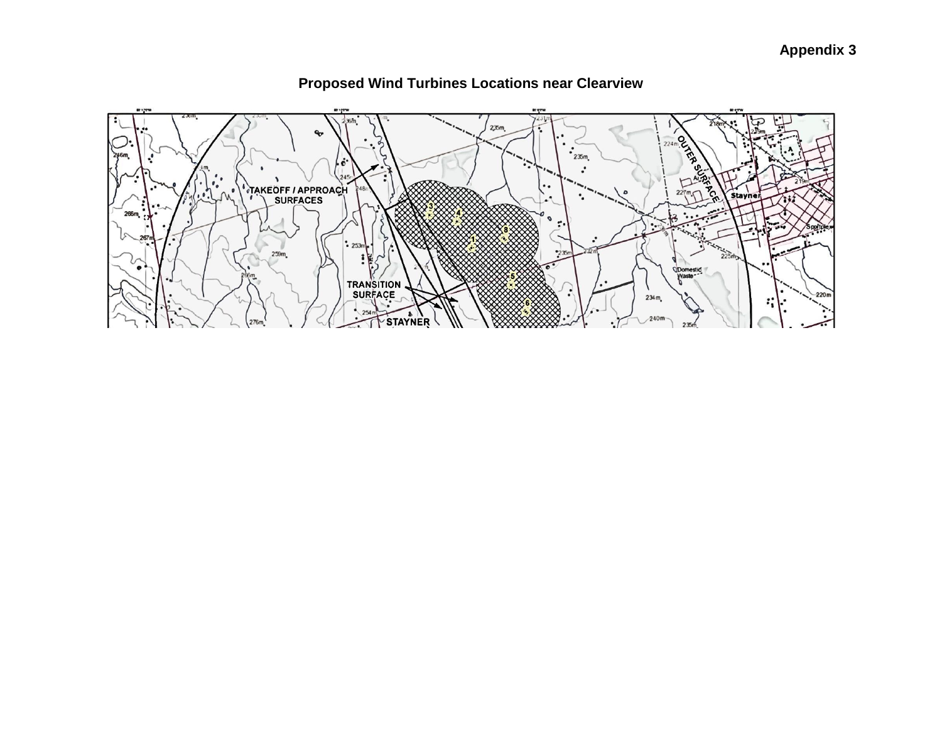trees and will not be located in prime bat habitat. He stated that the Project site does not have significant attractants for bats.

[190] Ms. Mainguy disagreed. She stated at para. 14 of her reply witness statement:

The habitat throughout the study area was composed of interspersed streams, small woodlands, ponds and wetlands (amongst agricultural fields) that would provide foraging habitat for bats. In addition, there were reasonably abundant dead trees and many old buildings in the area that in my experience could support roosting bats.

[191] Referring to the *Atlas of the Mammals of Ontario,* Ms. Mainguy's evidence is that eastern small-footed myotis and little brown myotis have been recorded at the Project site and northern myotis have been recorded in the region in the past. She noted however that eastern small-footed myotis have not been reported there recently. She questioned the comprehensiveness of the site investigation conducted by the Approval Holder's consultant, Stantec, to identify bat hibernacula and roosting sites and the presence of endangered bats in the vicinity of the Project. She stated that Stantec's surveys for bat maternity colonies did not use protocols recommended by the Ministry of Natural Resources and Forestry ("MNRF") and important habitat was overlooked. The NHA states at page 3.13 that the Approval Holder's search for bat roosting sites was confined to within 120 metres of Project infrastructure and did not include searches of buildings. The Tribunal notes that the wildlife assessment notes prepared by Stantec, indicate that trees with cavities were found to be "abundant" in woodlot 2 and "occasional" in woodlots 1 and 5 in the study area, but that no bat habitat was identified. Ms. Mainguy testified that further investigations should have been completed. She also reiterated that the Approval Holder failed to conduct acoustic surveys to determine the presence of bats at the Project site.

[192] Given that the area is predominantly agricultural, and that there is a reduced general abundance of the three species due to WNS, the Tribunal accepts Dr. Reynold's opinion that it is unlikely that there is a large resident population of these species at the Project site and the level of bat activity at the Project site is generally low overall. However, the Tribunal also accepts Ms. Mainguy's evidence that there is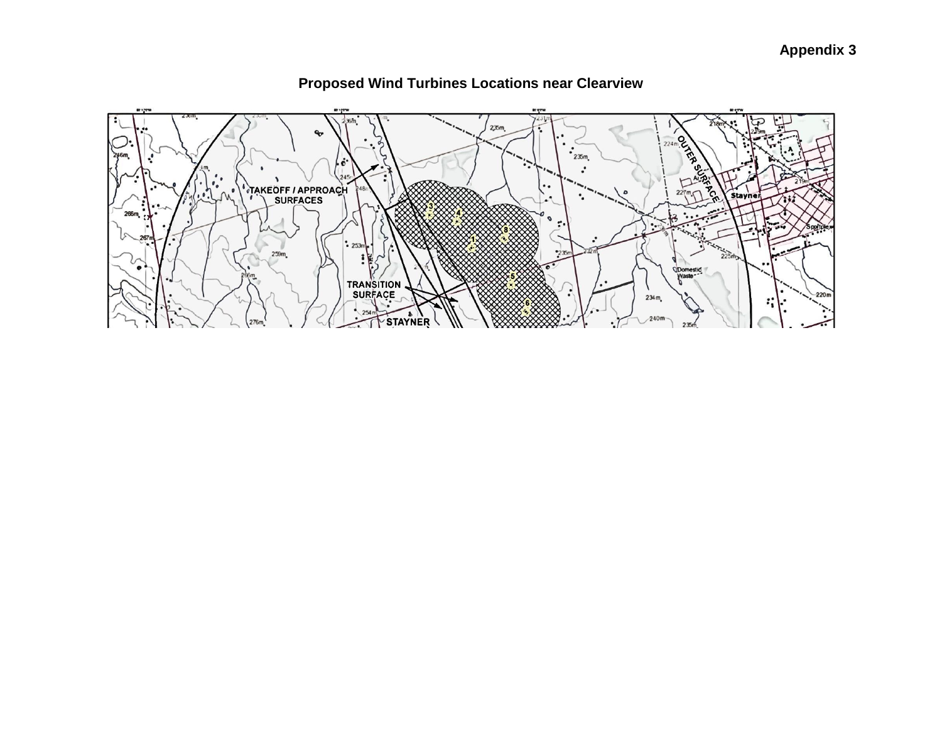suitable little brown myotis habitat and likely roosting sites in very close vicinity of the Project site.

[193] Given the evidence before the Tribunal that little brown myotis typically forage within 1-2 km to their daytime roosts and reside in areas close to trees and water, their likely roosts have been identified and at least one individual recently sighted in the vicinity of the Project area, and as agreed by Dr. Fenton, Dr. Reynolds and Ms. Mainguy, the Tribunal finds that it is more likely than not that there is a small population of little brown myotis at the Project site and its vicinity. Regarding the presence of northern myotis and eastern small-footed myotis at the Project site, no evidence was presented to the Tribunal of roosting sites or of these species being recently sighted in the vicinity of the Project site. Although there is evidence that the trees and wetlands in the area could be habitat for these species, the Tribunal has insufficient evidence to conclude that northern myotis or eastern small-footed myotis more likely than not are present.

#### *Whether the Project will cause Serious and Irreversible Harm to Endangered Bats*

(1) Serious Harm

[194] As noted in previous Tribunal decisions, including *Fata v. Ontario (Environment)*, [2014] O.E.R.T.D. No. 42 and *Hirsch v. Ontario (Environment and Climate Change),*  [2016] O.E.R.T.D. No. 6, at para. 141, consideration of "serious harm" is determined "on a case by case basis, using discretion and weighing all relevant factors". The Tribunal stated in *Hirsch*, at paras. 154-155:

> In *Monture*, the Tribunal discussed what degree of harm would meet the threshold for serious and irreversible harm. At para. 80, the Tribunal stated that the threshold is "not automatically satisfied by demonstrating that one bird or bat mortality will occur. This finding does not preclude the possibility that a single mortality in some circumstances will constitute 'serious and irreversible' harm. Whether the threshold has been met must be determined on the individual circumstances of each case." In the present case, the fact of the status of Little Brown Bat as endangered is an important consideration in assessing the seriousness of the Project's impacts. In *Ostrander*, the Divisional Court, in referring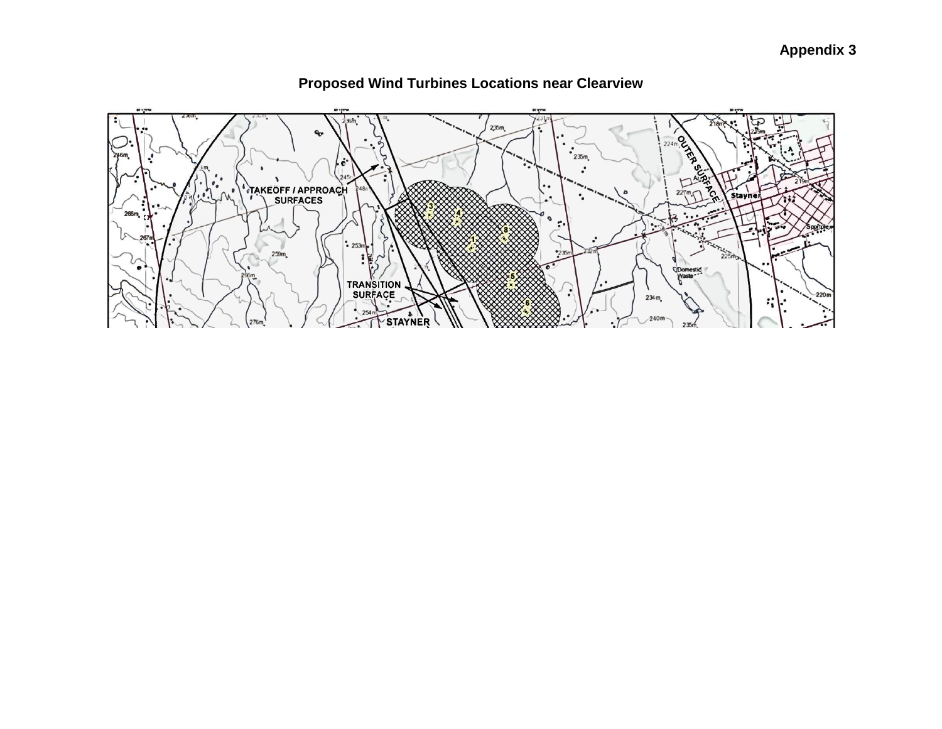to the threatened Blanding's Turtle, stated, at para. 35 (emphasis added), which was agreed to by the Court of Appeal:

> It seems unquestionable from the evidence that was placed before the Tribunal that there was a risk of serious harm to Blanding's turtle from the project. *Given the fragile status of Blanding's turtle as a* species*, it would be difficult to characterize any increase in mortality arising from the Project as anything other than serious.* The real issue is whether that harm was also irreversible.

The Tribunal has addressed the issue of whether impacts on bats constitute serious harm in several past decisions. Although concerns were dismissed regarding bat populations in *Bovaird*, *Fata*, *Lewis* and *PECFN*, the Tribunal views the circumstances in the present case as distinct from those in past Tribunal decisions. Since those decisions, the species has continued to decline. The witnesses agreed that Little Brown Bat populations have declined quickly and precipitously due to White-nose Syndrome. The Tribunal accepts Dr. Fenton's opinion that incidental bat mortality will occur with the Project and that this would be scientifically significant for Little Brown Bat, when considered at a local scale. Dr. Strickland did not disagree that incidental mortality will occur, but stated that the numbers will be small. With only 5 to 10% of the historic population remaining, the Tribunal finds that an increase in mortality of even small numbers of Little Brown Bat constitutes a serious impact.

[195] In *Assn. for the Protection of Amherst Island v. Ontario (Ministry of the Environment and Climate Change)*, [2016] O.E.R.T.D. No. 36 ("*Amherst Island*"), the Tribunal distinguished the findings in *Hirsch* observing that both evidence of the presence of endangered bats and the proposed mitigation measures differed between the *Hirsch* and *Amherst Island* projects. In *Amherst Island*, the Tribunal stated at paras. 182-183:

> This case is distinguishable from the White Pines project in *Hirsch* both because of the disparity in the evidence of harm to bats and the proposed turbine curtailment mitigation measures discussed above. The unique pro-active curtailment mitigation measures to be deployed from the outset of the operation of the Project are an encouraging development for the protection of bats. The Tribunal finds, based on the evidence heard, that a large proportion of potential bat mortality will be addressed as a result of this mitigation.

> The Appellant's argument is that even a small number of mortalities and small amount of habitat disruption will, over the life of the Project, cause serious and irreversible harm to bats. As indicated, the evidence is that there is a limited presence of SAR [species at risk] bats on the island, and the evidence is that bats use the island only for foraging and/or migration. To conclude, the Tribunal finds that the Appellant has not demonstrated on the evidence that engaging in the Project in accordance with the REA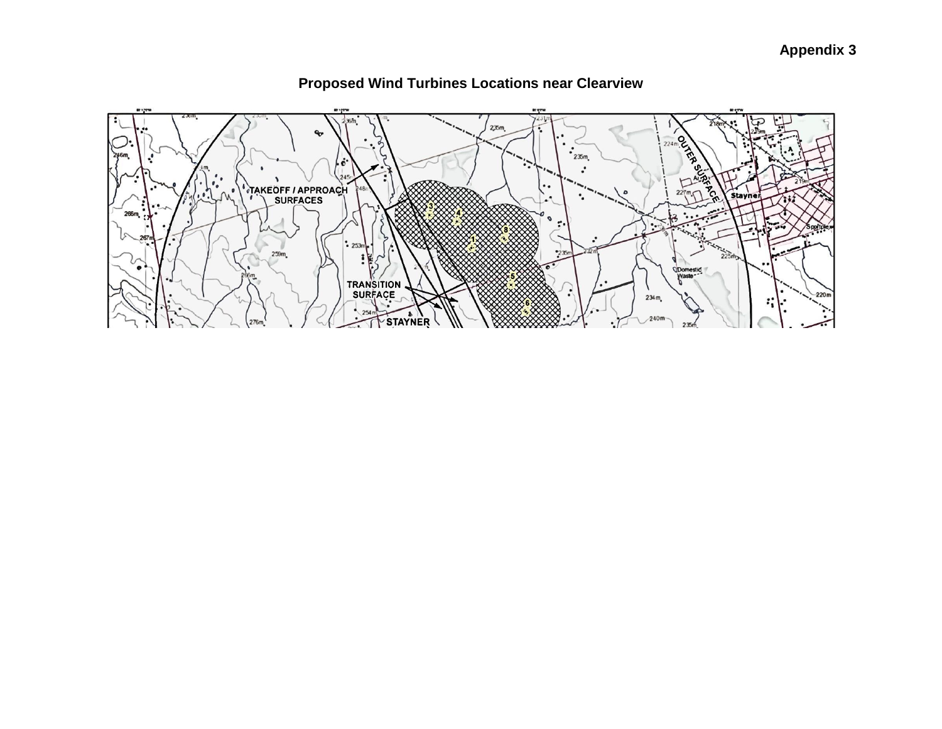[196] In the present case, as noted above, the Tribunal has found that there is more likely than not a small population of little brown myotis that are present at the Project site and there is evidence that these bats roost in buildings in the vicinity of the Project site. The issue is whether the Project will cause serious harm to this small population.

(i) Likelihood of little brown myotis fatalities caused by the Project

[197] Dr. Reynolds summarized research that he conducted 10 years ago in New Hampshire on little brown myotis. At that time, he found that the little brown myotis population in New Hampshire was growing slightly. He analyzed the population impacts post-WNS and what the likely effect of fatalities from it would be, given the recovery potential of the population. He stated that his study showed that short of a plateauing of effect, regionally there would be a "quasi-extinction of this population in 16 years". However, he also stated that more recent data shows that a plateauing effect may indeed presently be occurring and that some little brown myotis populations are stabilizing at about 3 to 5% of their pre-WNS levels.

[198] The evidence before the Tribunal includes records from Bird Studies Canada that show until recently, dead little brown myotis were consistently found at wind energy facilities in Ontario and in fact that the species was consistently one of the bat species with the highest mortalities in the province. Dr. Fenton testified that such evidence confirms that little brown myotis are susceptible to collisions with wind turbines. Since 2010, the number of dead little brown myotis found at these sites has declined, likely reflecting their dramatic drops in population. However, the Tribunal finds that the Bird Studies Canada evidence demonstrates that little brown myotis are susceptible to wind turbine strikes and, given the presence of little brown myotis at the Project site, the Tribunal finds that the Project will cause little brown myotis fatalities over the lifespan of the Project.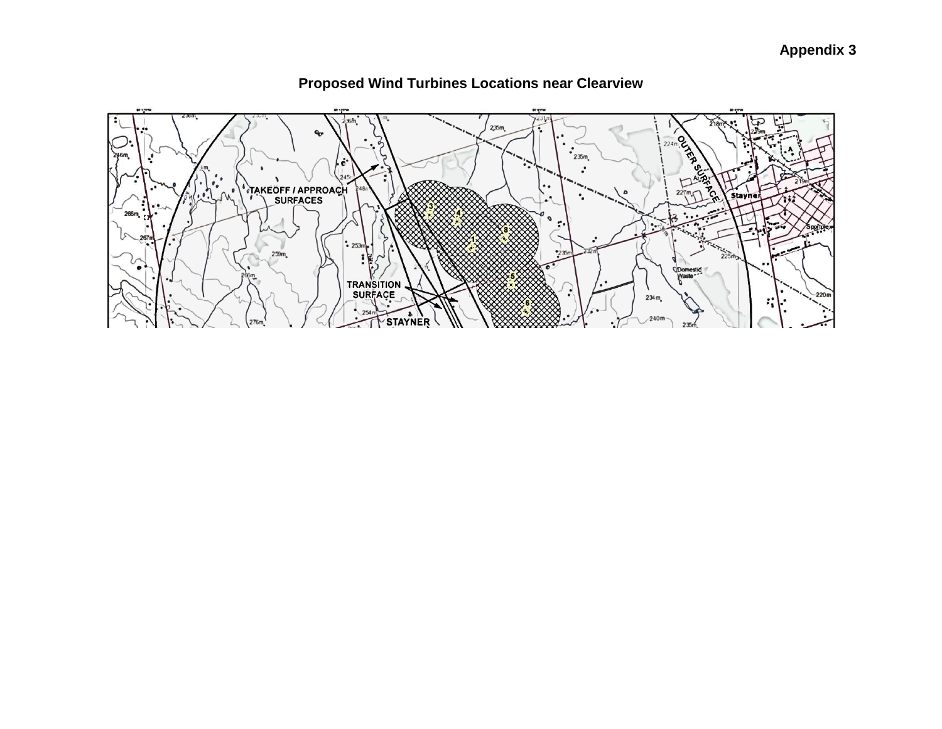(ii) Effects of Little Brown Myotis Fatalities on the Local Population

[199] Dr. Reynolds stated his opinion that serious harm is harm that is "biologically significant". He stated, in terms of biologically significant harm, the important question is whether the operation of the Project will in any way alter the slope of the population trajectory of endangered bat species. Dr. Reynolds observed that there is no evidence that the level of mortality to little brown myotis at wind energy facilities has in anyway accelerated the rate of decline or lowered the rate of recovery of this species. He also stated that the current level of mortality to this species from wind energy facilities in general is incidental, and is not biologically significant. He concluded, therefore, that any foreseeable fatality of this species at the Project site would not cause any serious, let alone serious and irreversible harm.

[200] All of the bat experts who appeared before the Tribunal agreed that wind turbines are not the primary threat to the viability of little brown myotis populations in Ontario. However, the evidence before the Tribunal is that these populations are vulnerable due to the decimation of their populations caused by WNS. Ms. Mainguy stated:

> With populations so critically low, it is likely that any additional mortality would eliminate breeding adults that have survived white nose syndrome, which would be critical to the persistence of the population.

In her evidence, she further stated that the remaining breeding adults have survived WNS and could potentially carry resistance to it and that, therefore, their protection from harm is critical to any possible recovery of the species. She testified that the introduction of a known source of mortality into an already critically low population of little brown myotis would have a high probability of causing serious harm to the species. She stated that the population of little brown myotis is "catastrophically small" and any further bat deaths would harm the local population. Dr. Smallwood opined that the species cannot tolerate any more fatalities and Dr. Fenton testified that the species has become more vulnerable in the past three years and that any further mortality will hasten local extinction of the species.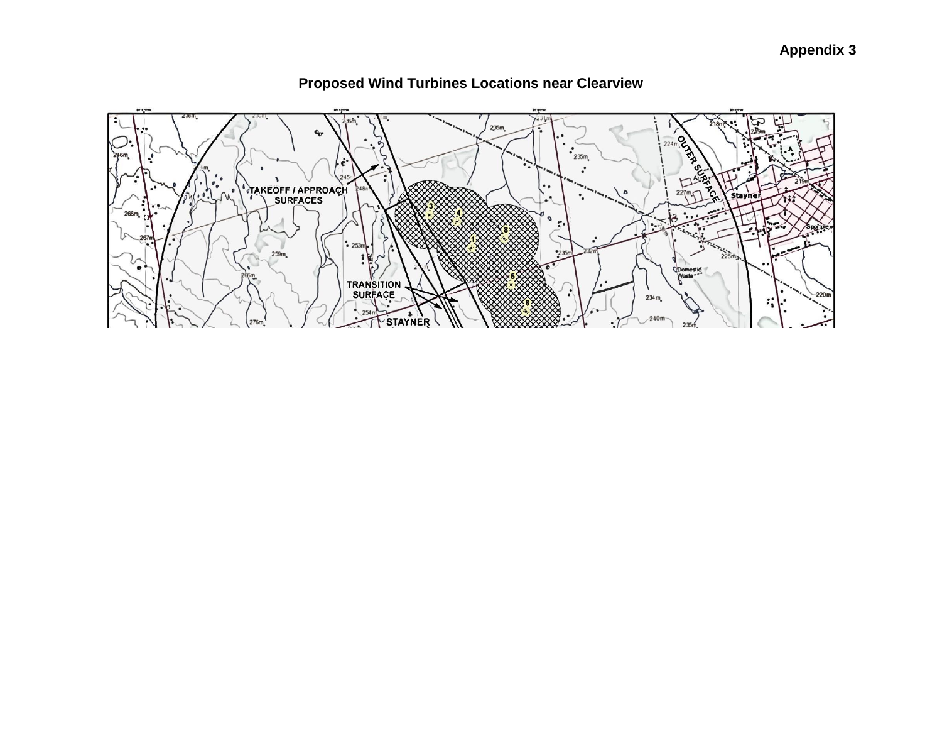[201] Although he stated that, without knowledge of species population sizes, "we cannot appreciate or describe the impact of mortality at wind farms", Dr. Fenton testified that there are endangered bat species of bats in the area which are vulnerable and "will surely be seriously and irreversibly harmed by the development in the absence of robust amelioration actions".

[202] Dr. Reynolds agreed regarding the vulnerability of the species, predicting that unless local population levels plateau, the little brown myotis will be regionally extirpated by 2026. As noted above, he added that there are now indications that some local populations are starting to plateau.

[203] Section 5(1)3 of the *ESA* refers to an "endangered species" as a species that lives in the wild "but is facing imminent extinction or extirpation". The Tribunal finds that vulnerability of such a nature exposes these species to serious harm where it is shown that they will suffer any additional fatalities. The Tribunal accepts the Approval Holder's evidence that WNS has caused the local little brown myotis population to become vulnerable, but finds that based on Dr. Reynolds' evidence that populations may be plateauing and Ms. Mainguy's evidence that the remaining individuals are either those that have avoided WNS or are resistant to it, fatalities caused by the Project will have serious harm to the local population. This finding is in line with the reasoning of the Ontario Divisional Court in *Ostrander* (as noted above in *Hirsch* at para. 154), where the Court stated in regard to serious harm to threatened Blanding's turtles:

> Given the fragile status of Blanding's turtle as a species, it would be difficult to characterize any increase in mortality arising from the Project as anything other than serious.

The Tribunal notes that the "endangered" status of little brown myotis categorizes this species as more at risk and with a more fragile status than the "threatened" Blanding's turtle referred to in *Ostrander*.

[204] The threshold test in s. 145.2.1 of the *EPA* protects vulnerable species such as little brown myotis. The Tribunal finds that this interpretation, and its application to the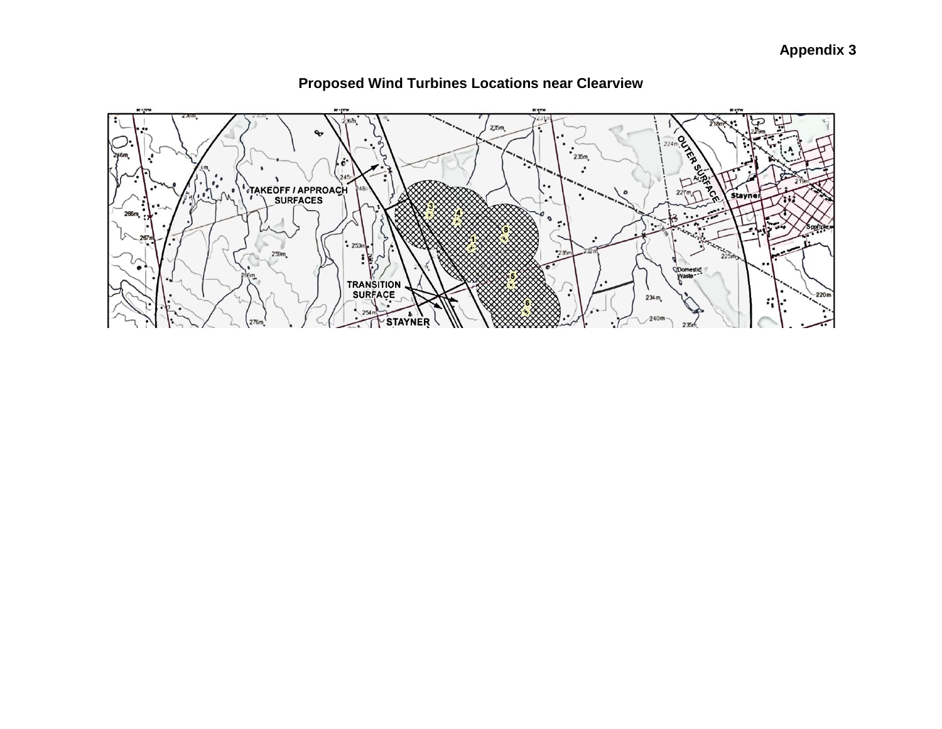local population of little brown myotis present at the Project site, is consistent with the purpose of the *EPA* to provide for the conservation and protection of the natural environment.

[205] Given the vulnerability of this species and the likelihood that the Project will cause fatalities, the Tribunal finds that without adequate mitigation measures, the Project will cause serious harm to the local population of little brown myotis.

## (iii) Adequacy of the Project's Mitigation Measures

[206] In *Amherst Island*, the proponent committed to undertake preventative mitigation measures to reduce the risk of harm to endangered bat species. In its Mitigation Operation Plan, dated November 2015, supplementing the renewable energy approval, post-construction monitoring was increased beyond that required under the impugned renewable energy approval for the periods of highest risk to endangered bat species, precautionary blade rotation cut-out in low wind conditions were required for times that these species are active, and there would be increased curtailment of operations in instances where there are additional bat fatalities by raising the wind speed at which turbines would commence operation.

[207] Dr. Fenton testified to the importance of undertaking all possible mitigation measures to reduce the risk of harm to bat species at risk. He testified that we must do anything that we can to mitigate impacts on the species. He stated at para. 11 of his witness statement:

> … it would be irresponsible not to use any feasible approaches to mitigate the impact of wind turbines on populations of [little brown myotis]. Failure to mitigate will effectively jeopardize the long term survival if this species by causing local extirpation.

[208] Under the present REA, the mitigation measures of curtailing operations or feathering blades would not be triggered until 10 bat fatalities are recorded per turbine over the course of one year. The Tribunal accepts Ms. Mainguy's and Dr. Smallwood's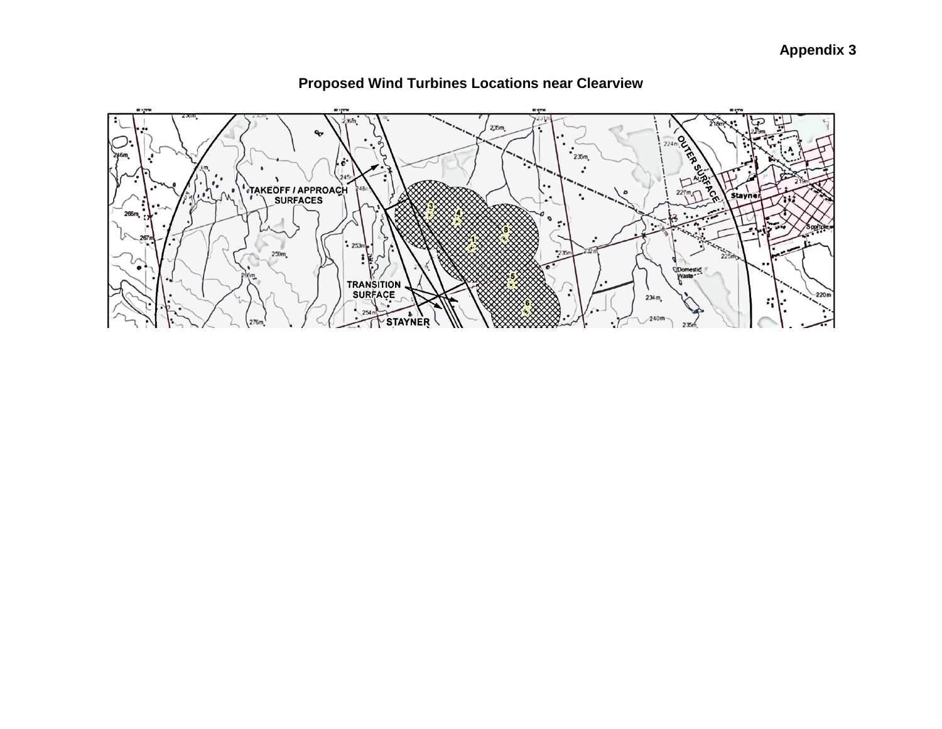evidence that bat fatalities are often under-estimated by post-construction monitoring. This fact is also noted in the EEMP.

[209] Ms. Mainguy questioned the effectiveness of the REA's mitigation measures. She stated at page 10 of her "Report on Peer Review of Fairview Wind Farm: Endangered Bat Species", dated April 2016, which was attached to her witness statement:

> Proposed mitigation for mortality of endangered bat species due to wind turbines would not be effective, as excessive mortality would not be detected until the end of each year, potentially after considerable mortality of adult breeding bats had taken place. Breeding adults are likely to be extremely important for populations of endangered bat species, as they are individuals that have survived white nose syndrome: the only individuals that could potentially carry resistance to the fungus. In addition there is no evidence that thresholds that have been set for acceptable bat mortality at each turbine would be sustainable in the long term for endangered bat species, especially considering the context of cumulative impacts of wind turbines throughout Ontario.

[210] The Tribunal notes that unlike in *Amherst Island*, neither the REA nor any supplementary commitments made by the Approval Holder require that preventative mitigation measures be implemented from the outset of the Project's operations in order to reduce the harm that the Project will cause to endangered bat species. Under Condition I5 of the REA there must be 10 bat fatalities of any species per turbine for mitigation measures to be triggered. Although endangered species fatalities must be reported to MNRF, such circumstances do not trigger any mandatory mitigation measures under the REA. Based on the evidence before the Tribunal regarding the vulnerability of the local little brown myotis population at the Project site, the Tribunal finds that, on a balance of probabilities, this high threshold for triggering mandatory mitigation measures will not prevent serious harm being caused by the Project to the local little brown myotis population.

[211] Regarding the REA's requirement that an *ESA* authorization be obtained as a mitigation measure, the Tribunal notes that although Dr. Reynolds testified that some little brown myotis are likely present at the Project site, no evidence was presented to the Tribunal on whether authorizations under the *ESA* have been sought by the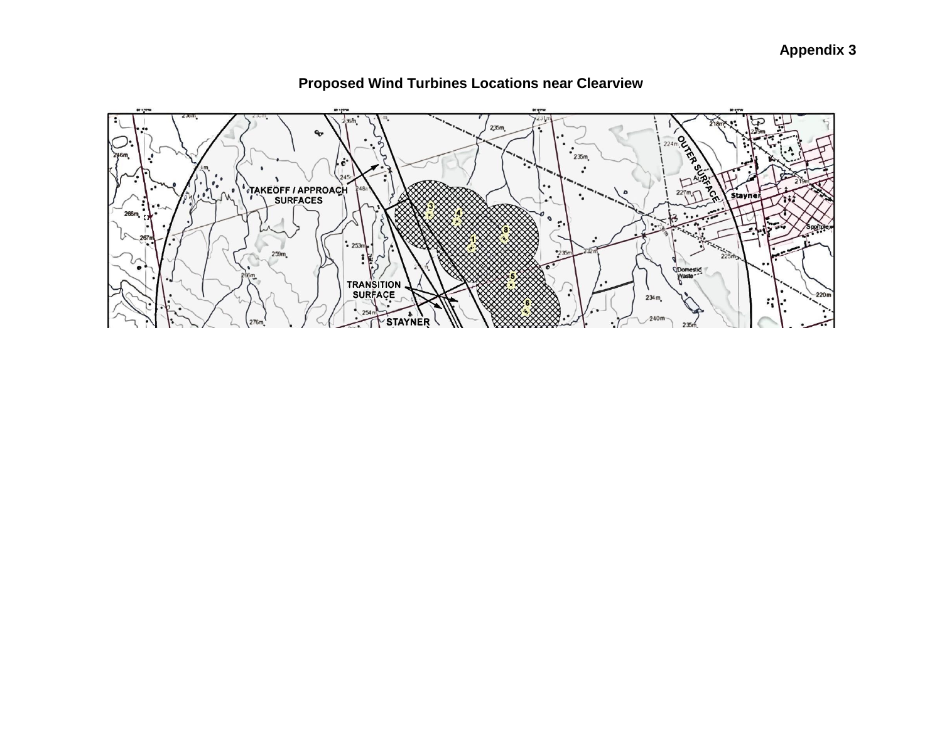Approval Holder regarding possible impacts on this endangered species caused by the Project's operation. The Tribunal notes that the NHA was conducted in 2012 prior to the listing of little brown myotis as an endangered species under the *ESA* and that the NHA does consider little brown myotis as a species of conservation concern. Condition J1 of the REA requires that the Approval Holder ensure that Project activities requiring authorization under the *ESA* will not commence until the necessary authorizations are in place. The Tribunal notes that the issuance of such authorizations does not necessarily address the issues that the Tribunal must consider under s. 145.2.1 (2) of the *EPA*. Given that no such authorizations have been issued, it is not possible for the Tribunal to assess whether such authorizations in this case would mitigate impacts of the Project to little brown myotis or specifically address the threat of extirpation of the local population of this species.

[212] In *Amherst Island*, the Tribunal found that bats were known to forage in the vicinity of the wind energy project and that there was suitable habitat there to support their life processes, but there was insufficient evidence to determine that there would be fatalities or, if there were fatalities, that they would be at a level that would cause serious and irreversible harm. Like in *Amherst Island*, the population of little brown myotis at the Project site is small; however, in the present case, preventative mitigation measures are not in place equivalent to those set out in the supplementary commitments made by the approval holder in *Amherst Island*. In *Amherst Island*, the Tribunal found that the approval holder's commitment to preventative mitigation measures ensured that bat fatalities, if any, would be minimal. The Tribunal finds that the mitigation measures as set out in the REA are not as protective as those in the supplementary commitments made for the wind energy project in *Amherst Island*, which the Tribunal finds are more up-to-date and consistent with the environmental protection and conservation purposes of the *EPA*. The Tribunal notes that if similar measures were put into place for the Project, the Tribunal may have found that harm would be reduced below the threshold of serious harm.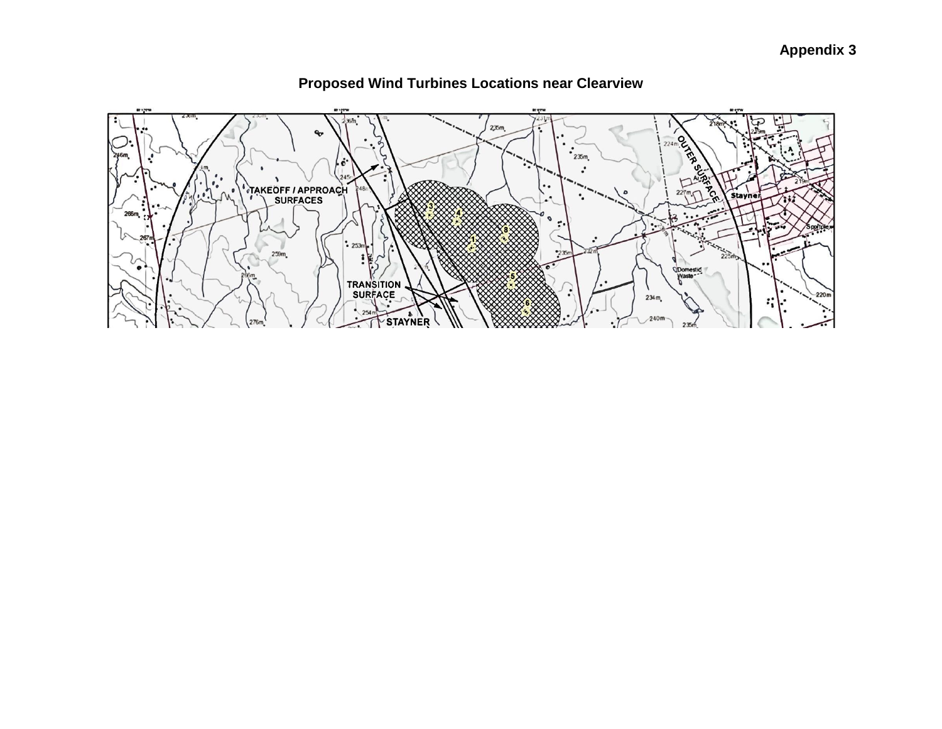## (iv) Conclusions on Serious Harm to Bats

[213] Given the evidence before the Tribunal on the presence of little brown myotis in the vicinity of the Project site, the history of fatalities of this species at Ontario wind facilities, and the absence of progressive preventative measures to reduce the risk of harm to this endangered species, the Tribunal finds that engaging in the Project in accordance with the REA will cause serious harm to the local population of little brown myotis over the lifespan of the Project.

(2) Irreversible Harm

[214] The test under s. 145.2.1(2) requires that the Tribunal determine both whether a project will cause serious harm and also whether it will cause irreversible harm. As noted by the Court of Appeal in *Ostrander*, data on population numbers are helpful for determining whether a population can recover from harm, but where such data is not available, the Tribunal may rely on expert opinion in making this determination.

[215] In the present case, the Tribunal has determined that little brown myotis is present at the Project site and the species is in danger of extirpation. Dr. Fenton stated that population data on little brown myotis in Ontario does not exist, but he and Dr. Reynolds agreed that its population in Ontario has been reduced by 90 per cent and that the local population in the vicinity of the Project site is small. It therefore stands to reason that the number of little brown myotis fatalities that will be caused by the Project will be low.

[216] Dr. Reynolds stated that any foreseeable bat mortality at the Project site would not cause any irreversible harm. He stated that any incidental mortality caused by the operation of the Project would not alter the slope of the population trajectory of little brown myotis and is therefore not irreversible.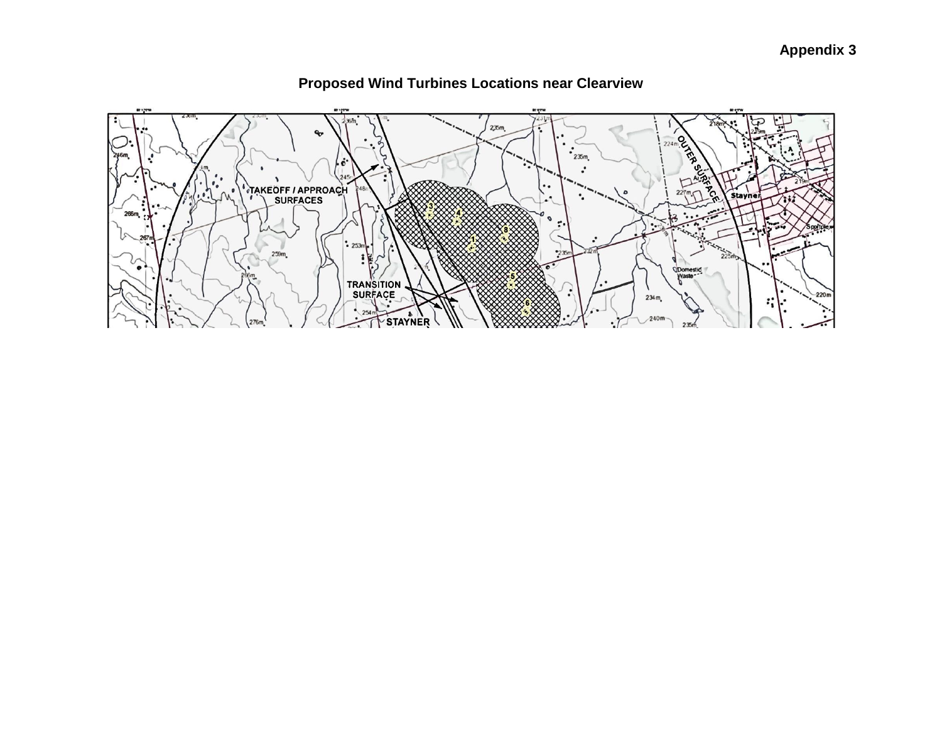[217] Dr. Fenton and Ms. Mainguy each testified that for little brown myotis to recover from WNS, much will depend on the continued viability of the remaining, healthy, population. Dr. Fenton stated at paras. 9-10 of his witness statement:

> The impact of WNS jeopardizes the long term survival of some species of bats, to the point that any additional mortality (e.g. at turbines) is not acceptable from a conservation standpoint. Our lack of knowledge about the size of the populations of different species of bats precludes specifically quantifying the risks turbines pose to the long term survival of populations of bats.

 $\left[\ldots\right]$ 

Populations of [little brown myotis] appear to be about  $5 - 10\%$  of their pre-2010 levels. Additional mortality, such as that associated with wind turbines, will jeopardize the survival of this species which has been so negatively affected by WNS.

[218] Ms. Mainguy stated that increased mortality of breeding adult little brown myotis would likely cause irreversible harm to the local population of this slow-reproducing species. She stated at page 7 of her "Report on Peer Review of Fairview Wind Farm: Endangered Bat Species", which was appended to her witness statement, that "[m]ortality of breeding adults would likely result in irreversible harm to the local bat populations in the vicinity of the wind turbines", reiterating at page 10 that "[b]reeding adults are likely to be extremely important for populations of endangered bat species, as they are individuals that have survived white nose syndrome: the only individuals that could potentially carry resistance to the fungus".

[219] The Tribunal accepts Dr. Reynolds' view that little brown myotis fatalities caused by the Project will be low, but also accepts the evidence of Dr. Fenton and Ms. Mainguy that any recovery of the local population from WNS depends on the continued viability of the remaining, healthy, population. Relying on the evidence of Dr. Fenton, who was acknowledged by Dr. Reynolds as the expert on local little brown myotis populations, and Ms. Mainguy, the Tribunal finds that the number of little brown myotis fatalities will not be incidental, but rather will impact the trajectory of the local little brown myotis population. Based on the agreed evidence of both Dr. Fenton and Dr. Reynolds regarding the endangered status of the species, the Tribunal finds that even small-scale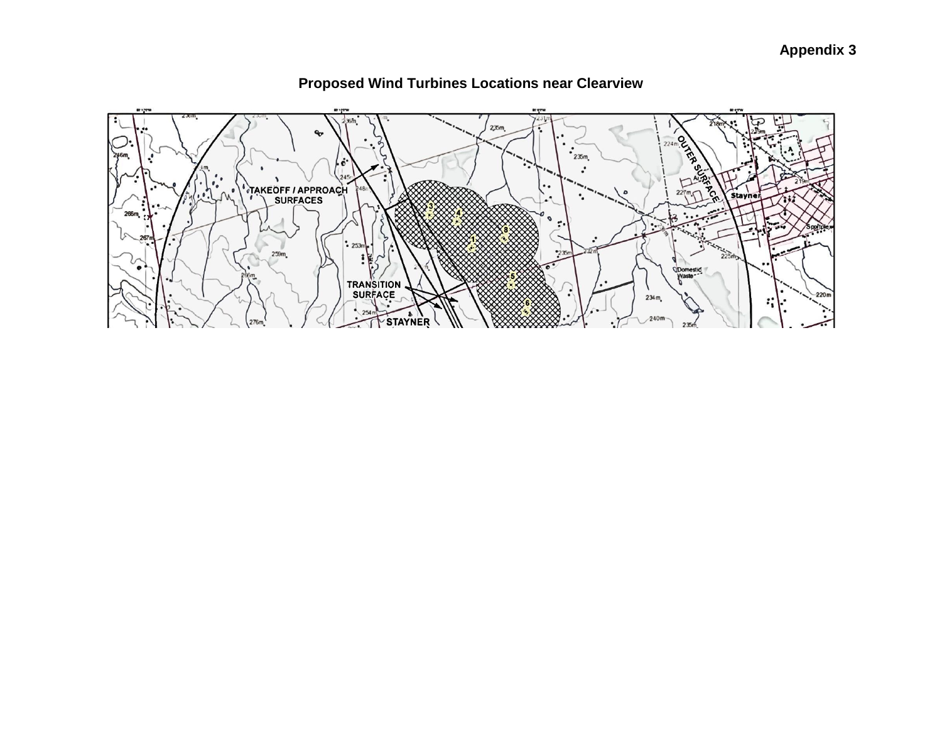impacts on the local population of little brown myotis will decrease its chances of recovery over the lifespan of the Project.

[220] The Tribunal finds that over the lifespan the Project, it is more likely than not that the Project will cause serious harm to the local population of little brown myotis from which it will not recover and cannot be reversed. Therefore, without additional mitigation measures in place, the Tribunal finds that engaging in the Project in accordance with the REA will cause irreversible harm to little brown myotis.

#### *Conclusion on Issue No. 2*

[221] Based on the evidence before it, the Tribunal finds that engaging in the Project in accordance with the REA will cause serious and irreversible harm to animal life, plant life or the natural environment under s. 145.1(2) of the *EPA*.

#### *Remedy Hearing*

[222] In *Ostrander*, the Court of Appeal found, at para. 97:

I also agree with the Divisional Court that, given the broad and varied range of attacks launched against the REA, it was not realistic to expect the parties to address the appropriate remedy at the end of the hearing of the merits without knowing what the Tribunal's findings were in regard to the broad range of alleged harms. Without the contributions of the parties on the question of remedy, it is not surprising the Tribunal found itself "not in a position" to consider the full range of remedial options.

[223] The Tribunal notes the Court's finding does not state that a further hearing to address remedy is required in every case. As noted by the Court, the Tribunal in *Ostrander* specifically noted that it was not in a position to consider the full range of remedial options. The Tribunal, in this proceeding, considers that the range of alleged harms is narrower, so the parties could have addressed the appropriate remedy at the hearing of the merits. Nevertheless, given the volume of evidence adduced, and the fact that many of the issues in this proceeding have not been addressed in detail in previous renewable energy appeal proceedings, the Tribunal is prepared to provide an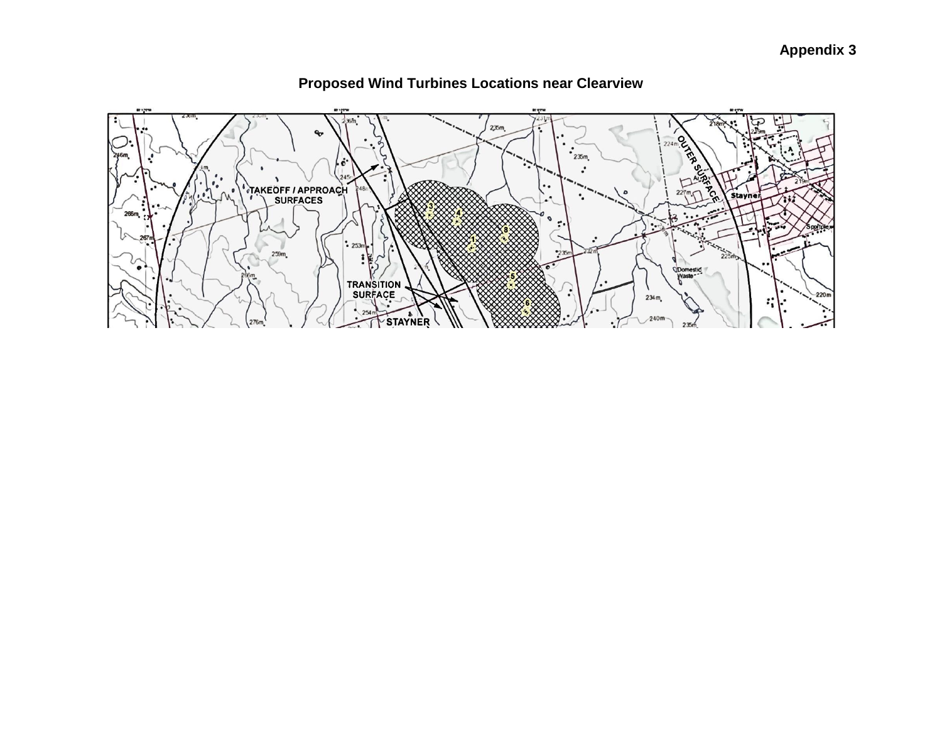opportunity for the parties to make further submissions on appropriate remedies, should the Approval Holder or the Director request such an opportunity.

[224] The Tribunal, therefore, adjourns this proceeding to a telephone conference call ("TCC") to determine the next steps in this appeal, to be scheduled by the Tribunal Case Coordinator. In order to ensure that there is sufficient time to hold a remedy hearing before the statutory deeming provision takes effect, the Tribunal adjourns this proceeding, pursuant to O. Reg. 359/09, s. 59(2)1.ii, effective from the release date of this Order, to the date of the next scheduled TCC.

#### **ORDER**

[225] The Tribunal finds that the Appellants have satisfied the health test and the environment test in respect of little brown myotis under s. 145.2.1(2)(a) and (b) of the *EPA*. The Tribunal, therefore, allows the appeals in part.

[226] Subject to any further order of the Tribunal, this proceeding is further adjourned under s. 59(2)1.ii of O. Reg. 359/09 to a telephone conference call to be arranged by the Case Coordinator. At that time, if a remedy hearing is required, the Tribunal will discuss procedural steps for the hearing of submissions with respect to the appropriate remedy, pursuant to s. 145.2.1(4) of the *EPA*.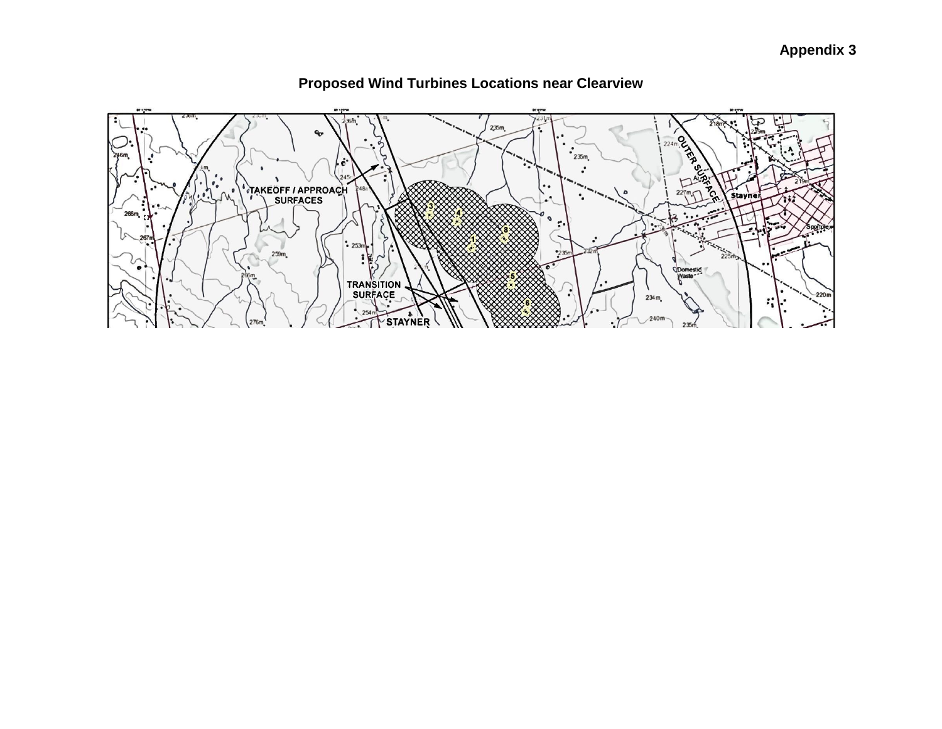*Appeals Allowed in Part Hearing Adjourned*

*"Dirk VanderBent"*

DIRK VANDERBENT VICE-CHAIR

*"Hugh S. Wilkins"*

HUGH S. WILKINS MEMBER

Appendix 1 - Appellant List Appendix 2 - Proposed wind turbine locations near Collingwood Regional Airport Appendix 3 - Proposed wind turbine locations near Clearview Aerodrome

> If there is an attachment referred to in this document, please visit www.elto.gov.on.ca to view the attachment in PDF format.

## **Environmental Review Tribunal**

A constituent tribunal of Environment and Land Tribunals Ontario Website: www.elto.gov.on.ca Telephone: 416-212-6349 Toll Free: 1-866-448-2248